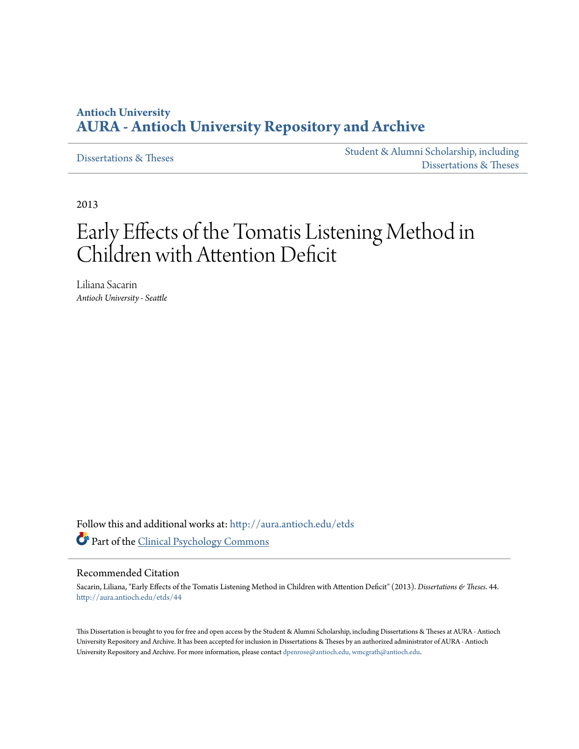### **Antioch University [AURA - Antioch University Repository and Archive](http://aura.antioch.edu?utm_source=aura.antioch.edu%2Fetds%2F44&utm_medium=PDF&utm_campaign=PDFCoverPages)**

[Dissertations & Theses](http://aura.antioch.edu/etds?utm_source=aura.antioch.edu%2Fetds%2F44&utm_medium=PDF&utm_campaign=PDFCoverPages)

[Student & Alumni Scholarship, including](http://aura.antioch.edu/stuscholar?utm_source=aura.antioch.edu%2Fetds%2F44&utm_medium=PDF&utm_campaign=PDFCoverPages) [Dissertations & Theses](http://aura.antioch.edu/stuscholar?utm_source=aura.antioch.edu%2Fetds%2F44&utm_medium=PDF&utm_campaign=PDFCoverPages)

2013

# Early Effects of the Tomatis Listening Method in Children with Attention Deficit

Liliana Sacarin *Antioch University - Seattle*

Follow this and additional works at: [http://aura.antioch.edu/etds](http://aura.antioch.edu/etds?utm_source=aura.antioch.edu%2Fetds%2F44&utm_medium=PDF&utm_campaign=PDFCoverPages) Part of the [Clinical Psychology Commons](http://network.bepress.com/hgg/discipline/406?utm_source=aura.antioch.edu%2Fetds%2F44&utm_medium=PDF&utm_campaign=PDFCoverPages)

#### Recommended Citation

Sacarin, Liliana, "Early Effects of the Tomatis Listening Method in Children with Attention Deficit" (2013). *Dissertations & Theses*. 44. [http://aura.antioch.edu/etds/44](http://aura.antioch.edu/etds/44?utm_source=aura.antioch.edu%2Fetds%2F44&utm_medium=PDF&utm_campaign=PDFCoverPages)

This Dissertation is brought to you for free and open access by the Student & Alumni Scholarship, including Dissertations & Theses at AURA - Antioch University Repository and Archive. It has been accepted for inclusion in Dissertations & Theses by an authorized administrator of AURA - Antioch University Repository and Archive. For more information, please contact [dpenrose@antioch.edu, wmcgrath@antioch.edu](mailto:dpenrose@antioch.edu,%20wmcgrath@antioch.edu).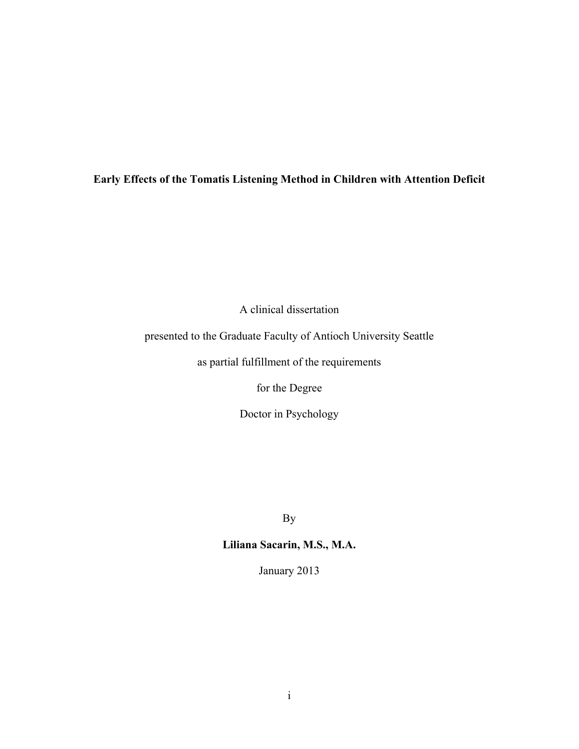### **Early Effects of the Tomatis Listening Method in Children with Attention Deficit**

A clinical dissertation

### presented to the Graduate Faculty of Antioch University Seattle

as partial fulfillment of the requirements

for the Degree

Doctor in Psychology

By

### **Liliana Sacarin, M.S., M.A.**

January 2013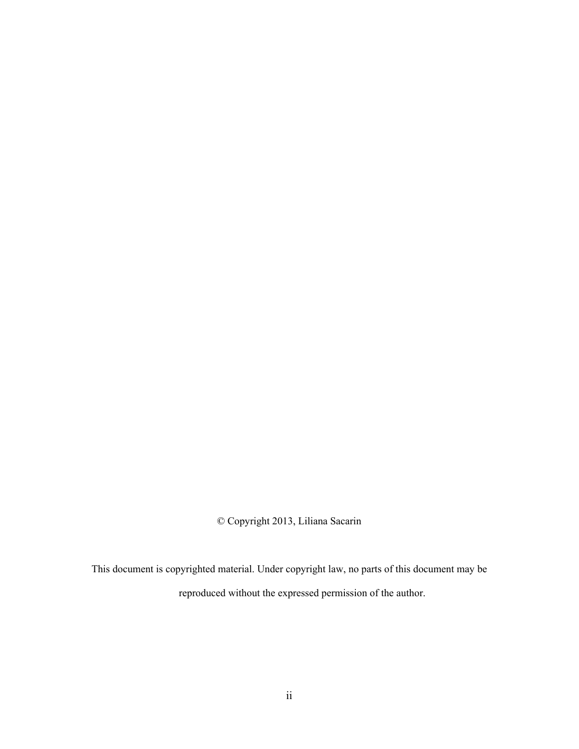© Copyright 2013, Liliana Sacarin

This document is copyrighted material. Under copyright law, no parts of this document may be reproduced without the expressed permission of the author.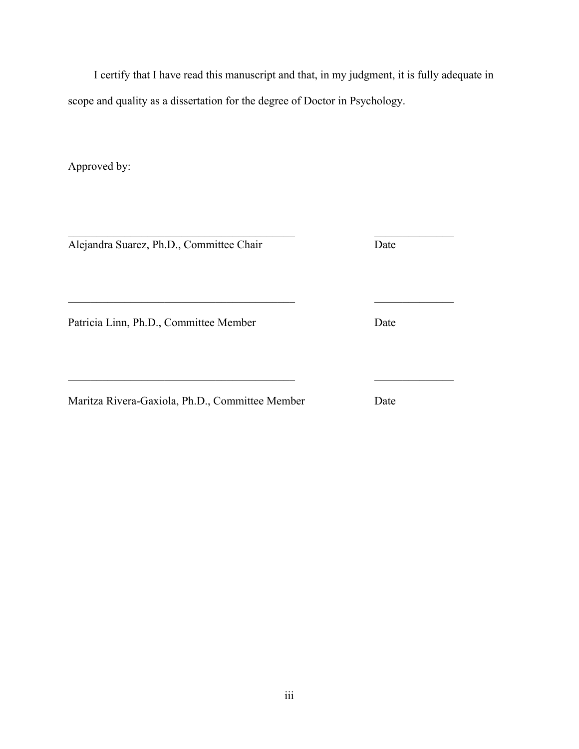I certify that I have read this manuscript and that, in my judgment, it is fully adequate in scope and quality as a dissertation for the degree of Doctor in Psychology.

Approved by:

| Alejandra Suarez, Ph.D., Committee Chair        | Date |
|-------------------------------------------------|------|
| Patricia Linn, Ph.D., Committee Member          | Date |
| Maritza Rivera-Gaxiola, Ph.D., Committee Member | Date |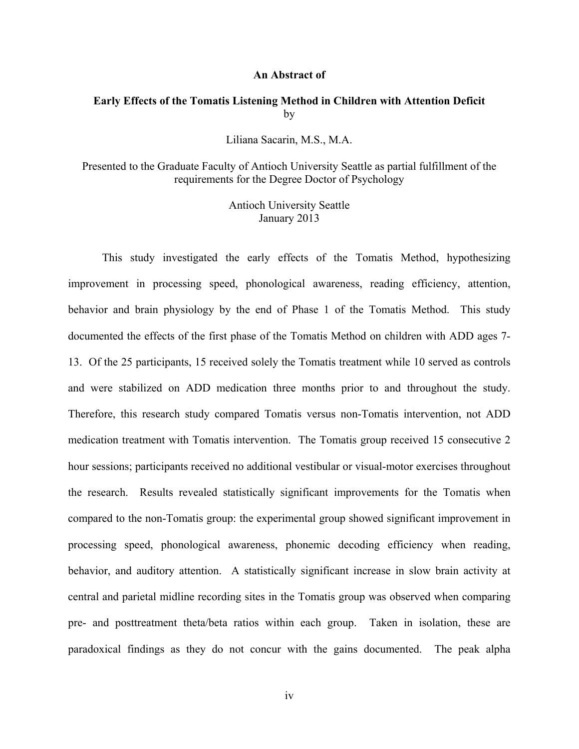### **An Abstract of**

### **Early Effects of the Tomatis Listening Method in Children with Attention Deficit**  by

Liliana Sacarin, M.S., M.A.

Presented to the Graduate Faculty of Antioch University Seattle as partial fulfillment of the requirements for the Degree Doctor of Psychology

> Antioch University Seattle January 2013

This study investigated the early effects of the Tomatis Method, hypothesizing improvement in processing speed, phonological awareness, reading efficiency, attention, behavior and brain physiology by the end of Phase 1 of the Tomatis Method. This study documented the effects of the first phase of the Tomatis Method on children with ADD ages 7- 13. Of the 25 participants, 15 received solely the Tomatis treatment while 10 served as controls and were stabilized on ADD medication three months prior to and throughout the study. Therefore, this research study compared Tomatis versus non-Tomatis intervention, not ADD medication treatment with Tomatis intervention. The Tomatis group received 15 consecutive 2 hour sessions; participants received no additional vestibular or visual-motor exercises throughout the research. Results revealed statistically significant improvements for the Tomatis when compared to the non-Tomatis group: the experimental group showed significant improvement in processing speed, phonological awareness, phonemic decoding efficiency when reading, behavior, and auditory attention. A statistically significant increase in slow brain activity at central and parietal midline recording sites in the Tomatis group was observed when comparing pre- and posttreatment theta/beta ratios within each group. Taken in isolation, these are paradoxical findings as they do not concur with the gains documented. The peak alpha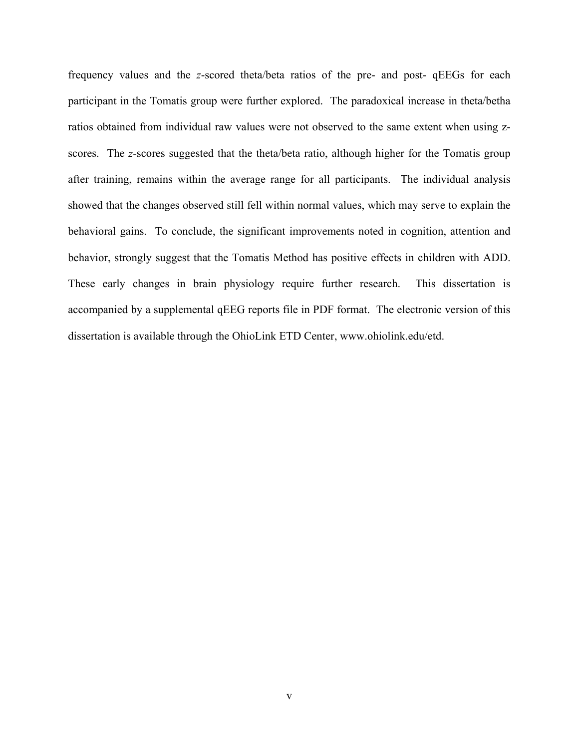frequency values and the *z*-scored theta/beta ratios of the pre- and post- qEEGs for each participant in the Tomatis group were further explored. The paradoxical increase in theta/betha ratios obtained from individual raw values were not observed to the same extent when using zscores. The *z*-scores suggested that the theta/beta ratio, although higher for the Tomatis group after training, remains within the average range for all participants. The individual analysis showed that the changes observed still fell within normal values, which may serve to explain the behavioral gains. To conclude, the significant improvements noted in cognition, attention and behavior, strongly suggest that the Tomatis Method has positive effects in children with ADD. These early changes in brain physiology require further research. This dissertation is accompanied by a supplemental qEEG reports file in PDF format. The electronic version of this dissertation is available through the OhioLink ETD Center, www.ohiolink.edu/etd.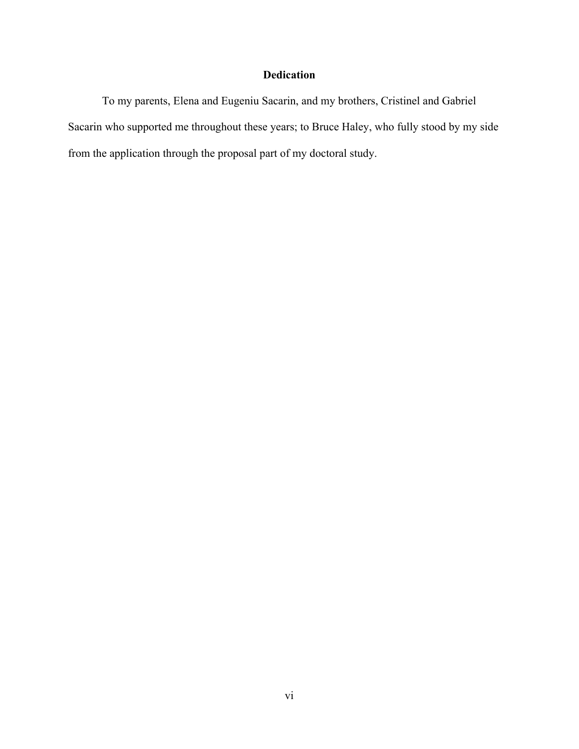### **Dedication**

 To my parents, Elena and Eugeniu Sacarin, and my brothers, Cristinel and Gabriel Sacarin who supported me throughout these years; to Bruce Haley, who fully stood by my side from the application through the proposal part of my doctoral study.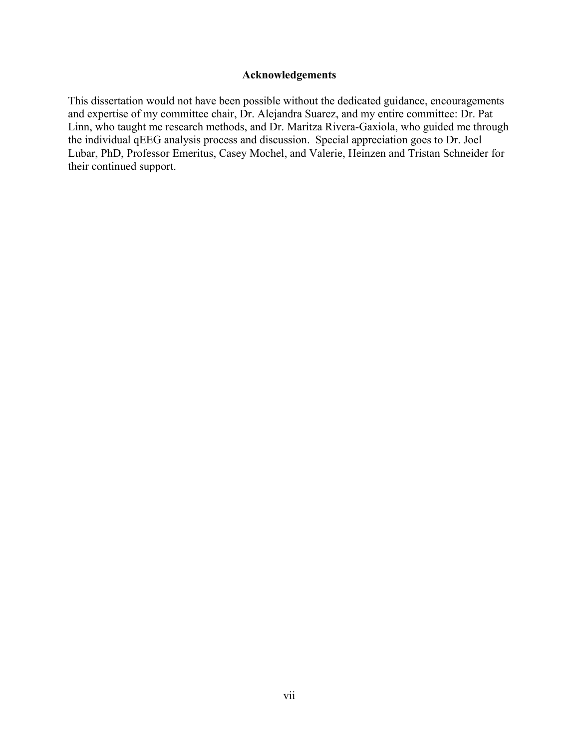### **Acknowledgements**

This dissertation would not have been possible without the dedicated guidance, encouragements and expertise of my committee chair, Dr. Alejandra Suarez, and my entire committee: Dr. Pat Linn, who taught me research methods, and Dr. Maritza Rivera-Gaxiola, who guided me through the individual qEEG analysis process and discussion. Special appreciation goes to Dr. Joel Lubar, PhD, Professor Emeritus, Casey Mochel, and Valerie, Heinzen and Tristan Schneider for their continued support.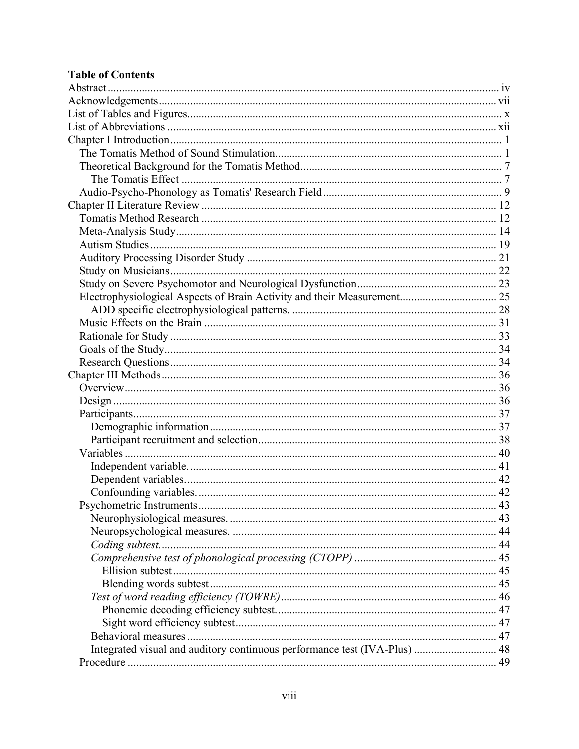### **Table of Contents**

| Psychometric Instruments                                                  | 43 |
|---------------------------------------------------------------------------|----|
|                                                                           |    |
|                                                                           |    |
|                                                                           |    |
|                                                                           |    |
|                                                                           |    |
|                                                                           |    |
|                                                                           |    |
|                                                                           |    |
|                                                                           |    |
|                                                                           |    |
| Integrated visual and auditory continuous performance test (IVA-Plus)  48 |    |
|                                                                           |    |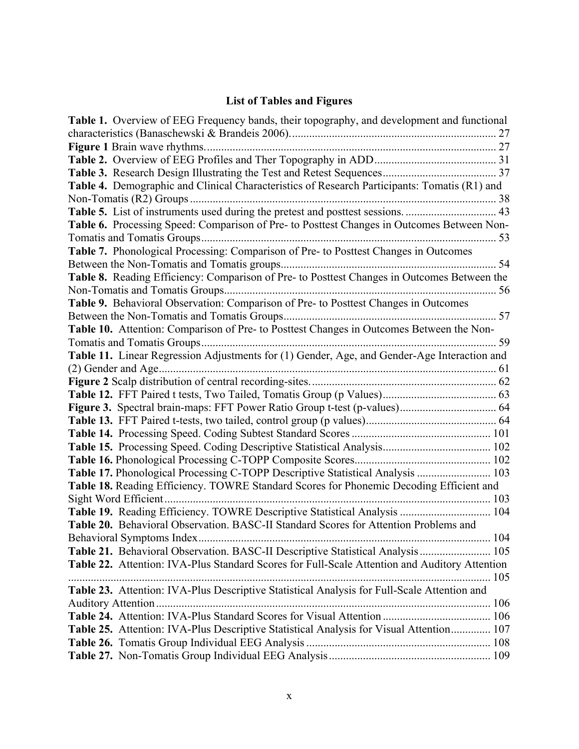## **List of Tables and Figures**

| <b>Table 1.</b> Overview of EEG Frequency bands, their topography, and development and functional |    |
|---------------------------------------------------------------------------------------------------|----|
|                                                                                                   |    |
|                                                                                                   |    |
|                                                                                                   |    |
|                                                                                                   |    |
| Table 4. Demographic and Clinical Characteristics of Research Participants: Tomatis (R1) and      |    |
|                                                                                                   |    |
| Table 5. List of instruments used during the pretest and posttest sessions.  43                   |    |
| Table 6. Processing Speed: Comparison of Pre- to Posttest Changes in Outcomes Between Non-        |    |
|                                                                                                   |    |
| Table 7. Phonological Processing: Comparison of Pre- to Posttest Changes in Outcomes              |    |
|                                                                                                   |    |
| Table 8. Reading Efficiency: Comparison of Pre- to Posttest Changes in Outcomes Between the       |    |
|                                                                                                   |    |
| Table 9. Behavioral Observation: Comparison of Pre- to Posttest Changes in Outcomes               |    |
|                                                                                                   |    |
| Table 10. Attention: Comparison of Pre- to Posttest Changes in Outcomes Between the Non-          |    |
|                                                                                                   | 59 |
| Table 11. Linear Regression Adjustments for (1) Gender, Age, and Gender-Age Interaction and       |    |
|                                                                                                   |    |
|                                                                                                   |    |
|                                                                                                   |    |
|                                                                                                   |    |
|                                                                                                   |    |
|                                                                                                   |    |
|                                                                                                   |    |
|                                                                                                   |    |
| Table 17. Phonological Processing C-TOPP Descriptive Statistical Analysis  103                    |    |
| Table 18. Reading Efficiency. TOWRE Standard Scores for Phonemic Decoding Efficient and           |    |
|                                                                                                   |    |
| Table 19. Reading Efficiency. TOWRE Descriptive Statistical Analysis  104                         |    |
| Table 20. Behavioral Observation. BASC-II Standard Scores for Attention Problems and              |    |
|                                                                                                   |    |
| Table 21. Behavioral Observation. BASC-II Descriptive Statistical Analysis 105                    |    |
| Table 22. Attention: IVA-Plus Standard Scores for Full-Scale Attention and Auditory Attention     |    |
|                                                                                                   |    |
| Table 23. Attention: IVA-Plus Descriptive Statistical Analysis for Full-Scale Attention and       |    |
|                                                                                                   |    |
|                                                                                                   |    |
| Table 25. Attention: IVA-Plus Descriptive Statistical Analysis for Visual Attention 107           |    |
|                                                                                                   |    |
|                                                                                                   |    |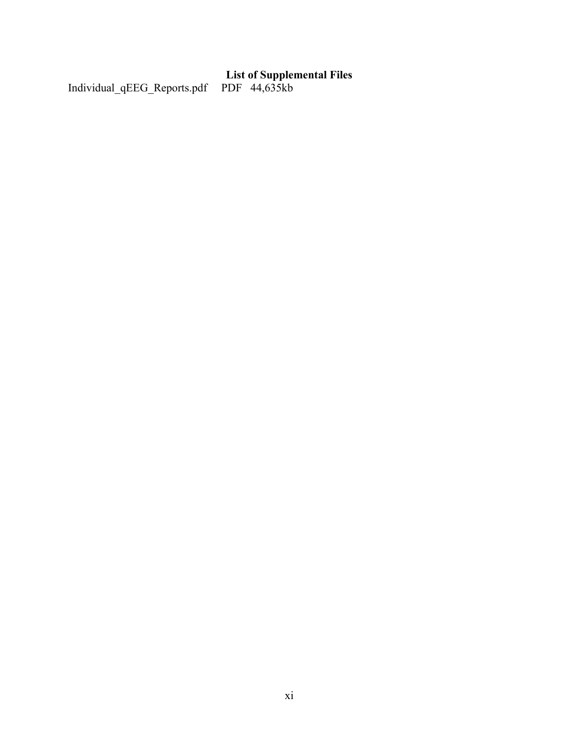### **List of Supplemental Files**

Individual\_qEEG\_Reports.pdf PDF 44,635kb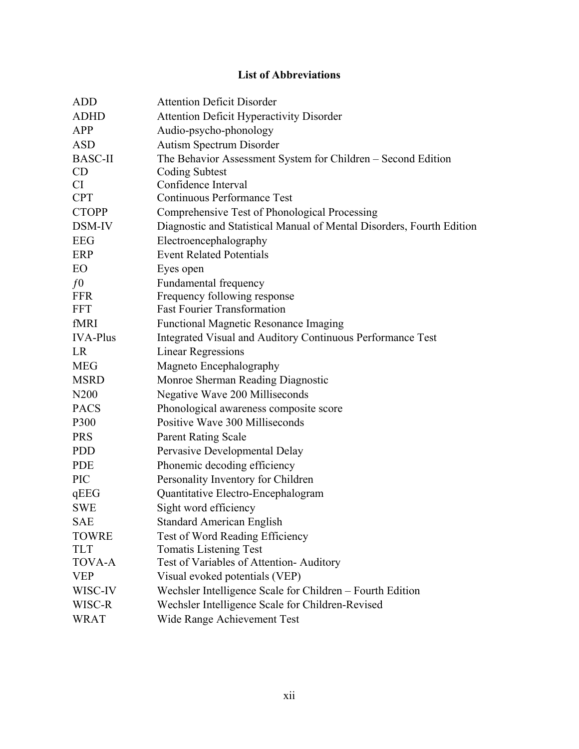### **List of Abbreviations**

| <b>ADD</b>       | <b>Attention Deficit Disorder</b>                                     |
|------------------|-----------------------------------------------------------------------|
| <b>ADHD</b>      | <b>Attention Deficit Hyperactivity Disorder</b>                       |
| <b>APP</b>       | Audio-psycho-phonology                                                |
| <b>ASD</b>       | Autism Spectrum Disorder                                              |
| <b>BASC-II</b>   | The Behavior Assessment System for Children - Second Edition          |
| CD               | <b>Coding Subtest</b>                                                 |
| CI               | Confidence Interval                                                   |
| <b>CPT</b>       | <b>Continuous Performance Test</b>                                    |
| <b>CTOPP</b>     | Comprehensive Test of Phonological Processing                         |
| DSM-IV           | Diagnostic and Statistical Manual of Mental Disorders, Fourth Edition |
| <b>EEG</b>       | Electroencephalography                                                |
| ERP              | <b>Event Related Potentials</b>                                       |
| EO               | Eyes open                                                             |
| $f_{0}$          | Fundamental frequency                                                 |
| <b>FFR</b>       | Frequency following response                                          |
| <b>FFT</b>       | <b>Fast Fourier Transformation</b>                                    |
| fMRI             | <b>Functional Magnetic Resonance Imaging</b>                          |
| <b>IVA-Plus</b>  | Integrated Visual and Auditory Continuous Performance Test            |
| <b>LR</b>        | <b>Linear Regressions</b>                                             |
| <b>MEG</b>       | Magneto Encephalography                                               |
| <b>MSRD</b>      | Monroe Sherman Reading Diagnostic                                     |
| N <sub>200</sub> | Negative Wave 200 Milliseconds                                        |
| <b>PACS</b>      | Phonological awareness composite score                                |
| P300             | Positive Wave 300 Milliseconds                                        |
| <b>PRS</b>       | <b>Parent Rating Scale</b>                                            |
| <b>PDD</b>       | Pervasive Developmental Delay                                         |
| <b>PDE</b>       | Phonemic decoding efficiency                                          |
| <b>PIC</b>       | Personality Inventory for Children                                    |
| qEEG             | Quantitative Electro-Encephalogram                                    |
| <b>SWE</b>       | Sight word efficiency                                                 |
| <b>SAE</b>       | <b>Standard American English</b>                                      |
| <b>TOWRE</b>     | Test of Word Reading Efficiency                                       |
| <b>TLT</b>       | <b>Tomatis Listening Test</b>                                         |
| <b>TOVA-A</b>    | Test of Variables of Attention-Auditory                               |
| <b>VEP</b>       | Visual evoked potentials (VEP)                                        |
| WISC-IV          | Wechsler Intelligence Scale for Children – Fourth Edition             |
| WISC-R           | Wechsler Intelligence Scale for Children-Revised                      |
| <b>WRAT</b>      | Wide Range Achievement Test                                           |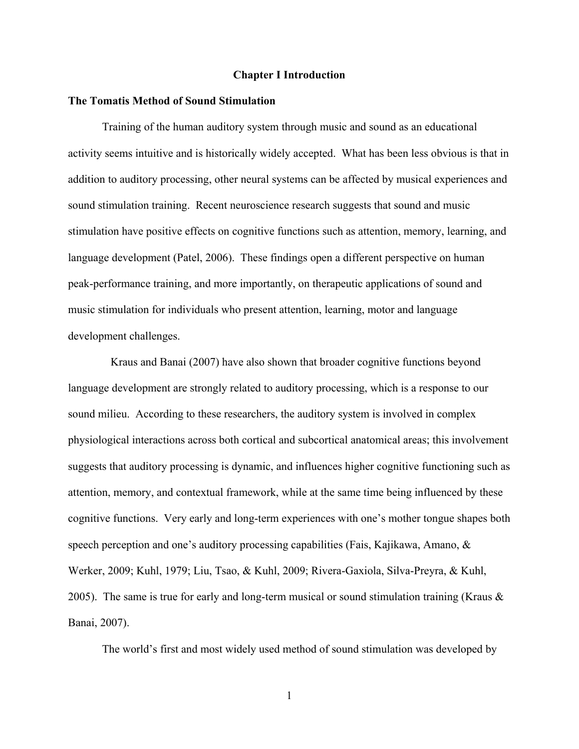#### **Chapter I Introduction**

### **The Tomatis Method of Sound Stimulation**

Training of the human auditory system through music and sound as an educational activity seems intuitive and is historically widely accepted. What has been less obvious is that in addition to auditory processing, other neural systems can be affected by musical experiences and sound stimulation training. Recent neuroscience research suggests that sound and music stimulation have positive effects on cognitive functions such as attention, memory, learning, and language development (Patel, 2006). These findings open a different perspective on human peak-performance training, and more importantly, on therapeutic applications of sound and music stimulation for individuals who present attention, learning, motor and language development challenges.

Kraus and Banai (2007) have also shown that broader cognitive functions beyond language development are strongly related to auditory processing, which is a response to our sound milieu. According to these researchers, the auditory system is involved in complex physiological interactions across both cortical and subcortical anatomical areas; this involvement suggests that auditory processing is dynamic, and influences higher cognitive functioning such as attention, memory, and contextual framework, while at the same time being influenced by these cognitive functions. Very early and long-term experiences with one's mother tongue shapes both speech perception and one's auditory processing capabilities (Fais, Kajikawa, Amano,  $\&$ Werker, 2009; Kuhl, 1979; Liu, Tsao, & Kuhl, 2009; Rivera-Gaxiola, Silva-Preyra, & Kuhl, 2005). The same is true for early and long-term musical or sound stimulation training (Kraus  $\&$ Banai, 2007).

The world's first and most widely used method of sound stimulation was developed by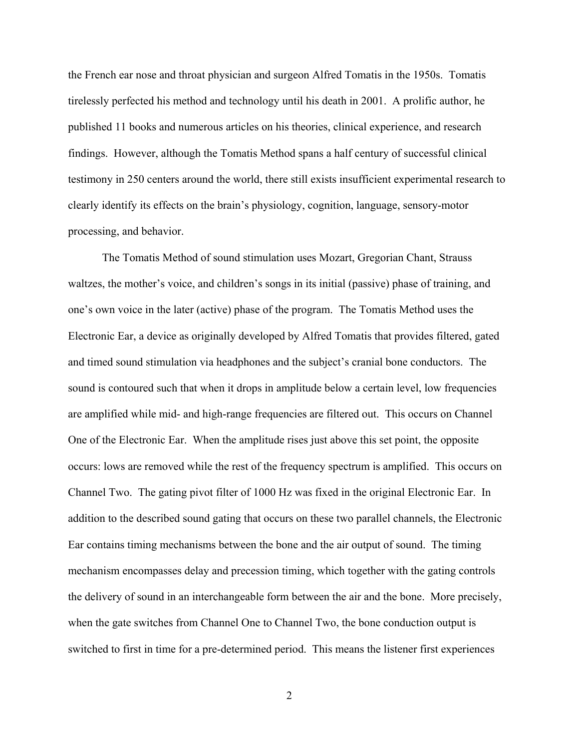the French ear nose and throat physician and surgeon Alfred Tomatis in the 1950s. Tomatis tirelessly perfected his method and technology until his death in 2001.A prolific author, he published 11 books and numerous articles on his theories, clinical experience, and research findings. However, although the Tomatis Method spans a half century of successful clinical testimony in 250 centers around the world, there still exists insufficient experimental research to clearly identify its effects on the brain's physiology, cognition, language, sensory-motor processing, and behavior.

The Tomatis Method of sound stimulation uses Mozart, Gregorian Chant, Strauss waltzes, the mother's voice, and children's songs in its initial (passive) phase of training, and one's own voice in the later (active) phase of the program. The Tomatis Method uses the Electronic Ear, a device as originally developed by Alfred Tomatis that provides filtered, gated and timed sound stimulation via headphones and the subject's cranial bone conductors. The sound is contoured such that when it drops in amplitude below a certain level, low frequencies are amplified while mid- and high-range frequencies are filtered out. This occurs on Channel One of the Electronic Ear. When the amplitude rises just above this set point, the opposite occurs: lows are removed while the rest of the frequency spectrum is amplified. This occurs on Channel Two. The gating pivot filter of 1000 Hz was fixed in the original Electronic Ear. In addition to the described sound gating that occurs on these two parallel channels, the Electronic Ear contains timing mechanisms between the bone and the air output of sound. The timing mechanism encompasses delay and precession timing, which together with the gating controls the delivery of sound in an interchangeable form between the air and the bone. More precisely, when the gate switches from Channel One to Channel Two, the bone conduction output is switched to first in time for a pre-determined period. This means the listener first experiences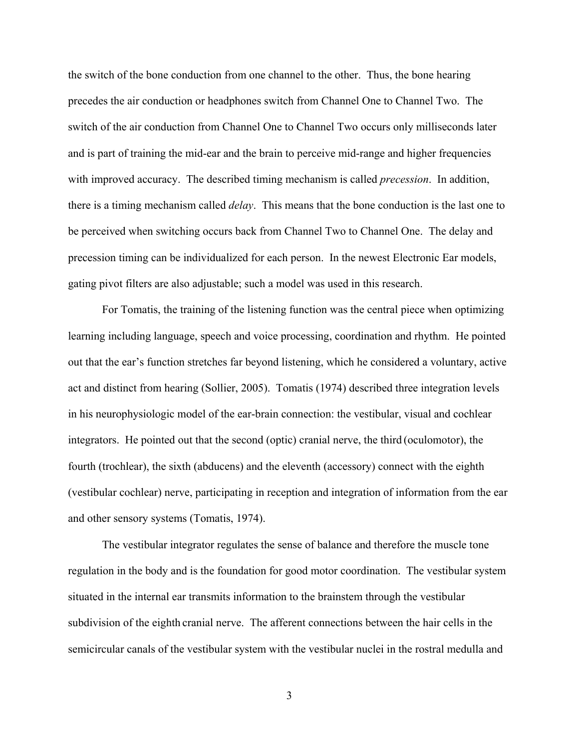the switch of the bone conduction from one channel to the other. Thus, the bone hearing precedes the air conduction or headphones switch from Channel One to Channel Two. The switch of the air conduction from Channel One to Channel Two occurs only milliseconds later and is part of training the mid-ear and the brain to perceive mid-range and higher frequencies with improved accuracy. The described timing mechanism is called *precession*. In addition, there is a timing mechanism called *delay*. This means that the bone conduction is the last one to be perceived when switching occurs back from Channel Two to Channel One. The delay and precession timing can be individualized for each person. In the newest Electronic Ear models, gating pivot filters are also adjustable; such a model was used in this research.

For Tomatis, the training of the listening function was the central piece when optimizing learning including language, speech and voice processing, coordination and rhythm. He pointed out that the ear's function stretches far beyond listening, which he considered a voluntary, active act and distinct from hearing (Sollier, 2005). Tomatis (1974) described three integration levels in his neurophysiologic model of the ear-brain connection: the vestibular, visual and cochlear integrators. He pointed out that the second (optic) cranial nerve, the third (oculomotor), the fourth (trochlear), the sixth (abducens) and the eleventh (accessory) connect with the eighth (vestibular cochlear) nerve, participating in reception and integration of information from the ear and other sensory systems (Tomatis, 1974).

The vestibular integrator regulates the sense of balance and therefore the muscle tone regulation in the body and is the foundation for good motor coordination. The vestibular system situated in the internal ear transmits information to the brainstem through the vestibular subdivision of the eighth cranial nerve. The afferent connections between the hair cells in the semicircular canals of the vestibular system with the vestibular nuclei in the rostral medulla and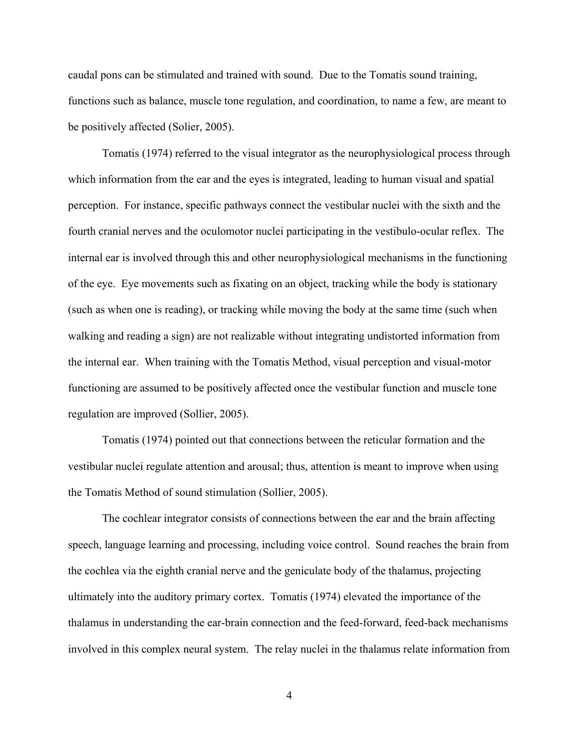caudal pons can be stimulated and trained with sound. Due to the Tomatis sound training, functions such as balance, muscle tone regulation, and coordination, to name a few, are meant to be positively affected (Solier, 2005).

Tomatis (1974) referred to the visual integrator as the neurophysiological process through which information from the ear and the eyes is integrated, leading to human visual and spatial perception. For instance, specific pathways connect the vestibular nuclei with the sixth and the fourth cranial nerves and the oculomotor nuclei participating in the vestibulo-ocular reflex. The internal ear is involved through this and other neurophysiological mechanisms in the functioning of the eye. Eye movements such as fixating on an object, tracking while the body is stationary (such as when one is reading), or tracking while moving the body at the same time (such when walking and reading a sign) are not realizable without integrating undistorted information from the internal ear. When training with the Tomatis Method, visual perception and visual-motor functioning are assumed to be positively affected once the vestibular function and muscle tone regulation are improved (Sollier, 2005).

Tomatis (1974) pointed out that connections between the reticular formation and the vestibular nuclei regulate attention and arousal; thus, attention is meant to improve when using the Tomatis Method of sound stimulation (Sollier, 2005).

The cochlear integrator consists of connections between the ear and the brain affecting speech, language learning and processing, including voice control. Sound reaches the brain from the cochlea via the eighth cranial nerve and the geniculate body of the thalamus, projecting ultimately into the auditory primary cortex. Tomatis (1974) elevated the importance of the thalamus in understanding the ear-brain connection and the feed-forward, feed-back mechanisms involved in this complex neural system. The relay nuclei in the thalamus relate information from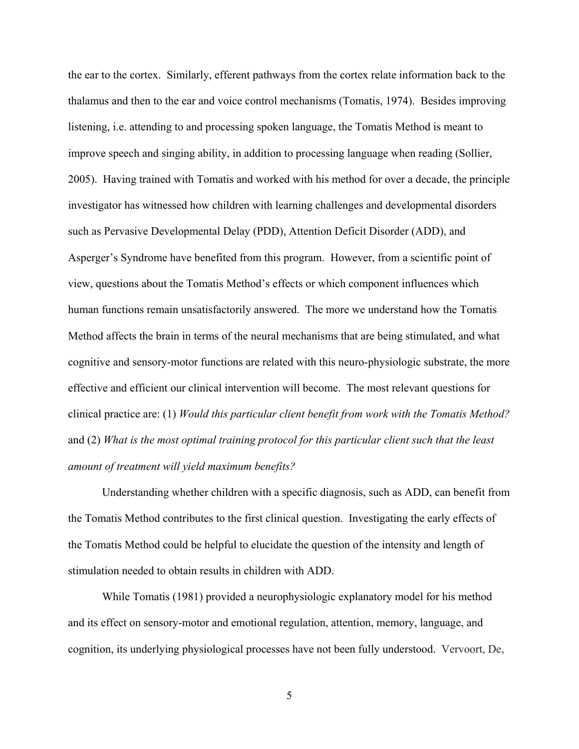the ear to the cortex. Similarly, efferent pathways from the cortex relate information back to the thalamus and then to the ear and voice control mechanisms (Tomatis, 1974). Besides improving listening, i.e. attending to and processing spoken language, the Tomatis Method is meant to improve speech and singing ability, in addition to processing language when reading (Sollier, 2005). Having trained with Tomatis and worked with his method for over a decade, the principle investigator has witnessed how children with learning challenges and developmental disorders such as Pervasive Developmental Delay (PDD), Attention Deficit Disorder (ADD), and Asperger's Syndrome have benefited from this program. However, from a scientific point of view, questions about the Tomatis Method's effects or which component influences which human functions remain unsatisfactorily answered. The more we understand how the Tomatis Method affects the brain in terms of the neural mechanisms that are being stimulated, and what cognitive and sensory-motor functions are related with this neuro-physiologic substrate, the more effective and efficient our clinical intervention will become. The most relevant questions for clinical practice are: (1) *Would this particular client benefit from work with the Tomatis Method?* and (2) *What is the most optimal training protocol for this particular client such that the least amount of treatment will yield maximum benefits?* 

Understanding whether children with a specific diagnosis, such as ADD, can benefit from the Tomatis Method contributes to the first clinical question. Investigating the early effects of the Tomatis Method could be helpful to elucidate the question of the intensity and length of stimulation needed to obtain results in children with ADD.

While Tomatis (1981) provided a neurophysiologic explanatory model for his method and its effect on sensory-motor and emotional regulation, attention, memory, language, and cognition, its underlying physiological processes have not been fully understood. Vervoort, De,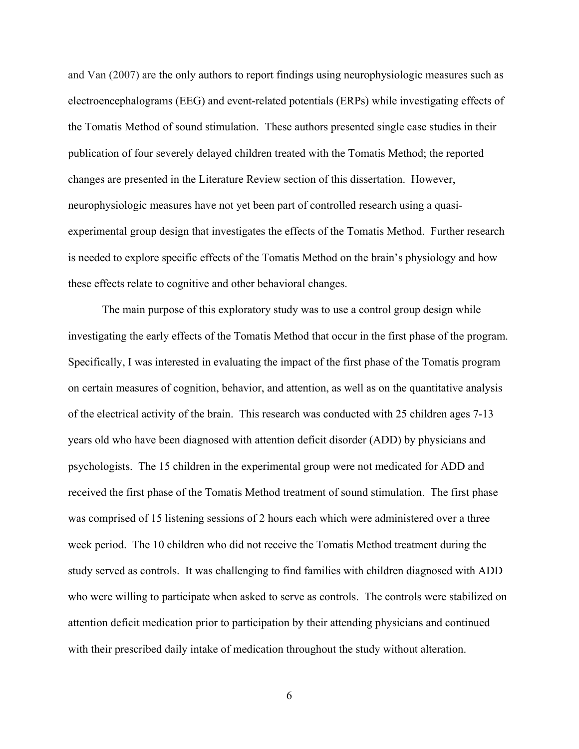and Van (2007) are the only authors to report findings using neurophysiologic measures such as electroencephalograms (EEG) and event-related potentials (ERPs) while investigating effects of the Tomatis Method of sound stimulation. These authors presented single case studies in their publication of four severely delayed children treated with the Tomatis Method; the reported changes are presented in the Literature Review section of this dissertation. However, neurophysiologic measures have not yet been part of controlled research using a quasiexperimental group design that investigates the effects of the Tomatis Method. Further research is needed to explore specific effects of the Tomatis Method on the brain's physiology and how these effects relate to cognitive and other behavioral changes.

 The main purpose of this exploratory study was to use a control group design while investigating the early effects of the Tomatis Method that occur in the first phase of the program. Specifically, I was interested in evaluating the impact of the first phase of the Tomatis program on certain measures of cognition, behavior, and attention, as well as on the quantitative analysis of the electrical activity of the brain. This research was conducted with 25 children ages 7-13 years old who have been diagnosed with attention deficit disorder (ADD) by physicians and psychologists. The 15 children in the experimental group were not medicated for ADD and received the first phase of the Tomatis Method treatment of sound stimulation. The first phase was comprised of 15 listening sessions of 2 hours each which were administered over a three week period. The 10 children who did not receive the Tomatis Method treatment during the study served as controls. It was challenging to find families with children diagnosed with ADD who were willing to participate when asked to serve as controls. The controls were stabilized on attention deficit medication prior to participation by their attending physicians and continued with their prescribed daily intake of medication throughout the study without alteration.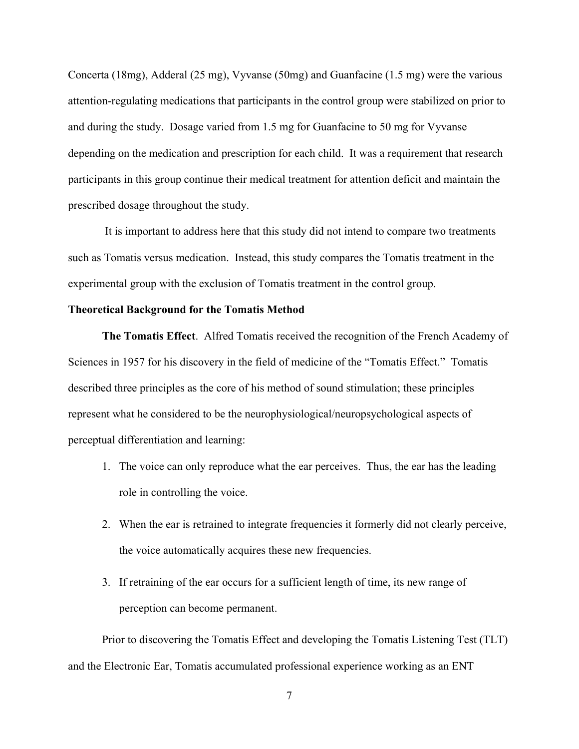Concerta (18mg), Adderal (25 mg), Vyvanse (50mg) and Guanfacine (1.5 mg) were the various attention-regulating medications that participants in the control group were stabilized on prior to and during the study. Dosage varied from 1.5 mg for Guanfacine to 50 mg for Vyvanse depending on the medication and prescription for each child. It was a requirement that research participants in this group continue their medical treatment for attention deficit and maintain the prescribed dosage throughout the study.

 It is important to address here that this study did not intend to compare two treatments such as Tomatis versus medication. Instead, this study compares the Tomatis treatment in the experimental group with the exclusion of Tomatis treatment in the control group.

### **Theoretical Background for the Tomatis Method**

**The Tomatis Effect**. Alfred Tomatis received the recognition of the French Academy of Sciences in 1957 for his discovery in the field of medicine of the "Tomatis Effect." Tomatis described three principles as the core of his method of sound stimulation; these principles represent what he considered to be the neurophysiological/neuropsychological aspects of perceptual differentiation and learning:

- 1. The voice can only reproduce what the ear perceives. Thus, the ear has the leading role in controlling the voice.
- 2. When the ear is retrained to integrate frequencies it formerly did not clearly perceive, the voice automatically acquires these new frequencies.
- 3. If retraining of the ear occurs for a sufficient length of time, its new range of perception can become permanent.

Prior to discovering the Tomatis Effect and developing the Tomatis Listening Test (TLT) and the Electronic Ear, Tomatis accumulated professional experience working as an ENT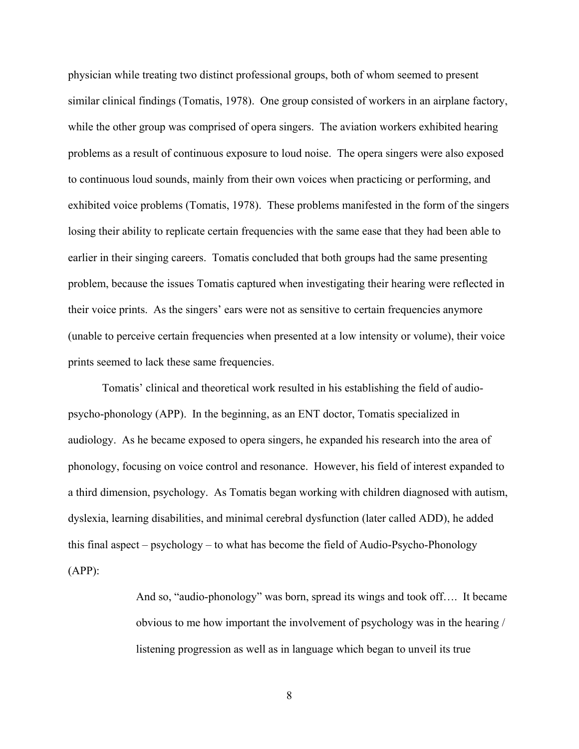physician while treating two distinct professional groups, both of whom seemed to present similar clinical findings (Tomatis, 1978). One group consisted of workers in an airplane factory, while the other group was comprised of opera singers. The aviation workers exhibited hearing problems as a result of continuous exposure to loud noise. The opera singers were also exposed to continuous loud sounds, mainly from their own voices when practicing or performing, and exhibited voice problems (Tomatis, 1978). These problems manifested in the form of the singers losing their ability to replicate certain frequencies with the same ease that they had been able to earlier in their singing careers. Tomatis concluded that both groups had the same presenting problem, because the issues Tomatis captured when investigating their hearing were reflected in their voice prints. As the singers' ears were not as sensitive to certain frequencies anymore (unable to perceive certain frequencies when presented at a low intensity or volume), their voice prints seemed to lack these same frequencies.

Tomatis' clinical and theoretical work resulted in his establishing the field of audiopsycho-phonology (APP). In the beginning, as an ENT doctor, Tomatis specialized in audiology. As he became exposed to opera singers, he expanded his research into the area of phonology, focusing on voice control and resonance. However, his field of interest expanded to a third dimension, psychology. As Tomatis began working with children diagnosed with autism, dyslexia, learning disabilities, and minimal cerebral dysfunction (later called ADD), he added this final aspect – psychology – to what has become the field of Audio-Psycho-Phonology (APP):

> And so, "audio-phonology" was born, spread its wings and took off…. It became obvious to me how important the involvement of psychology was in the hearing / listening progression as well as in language which began to unveil its true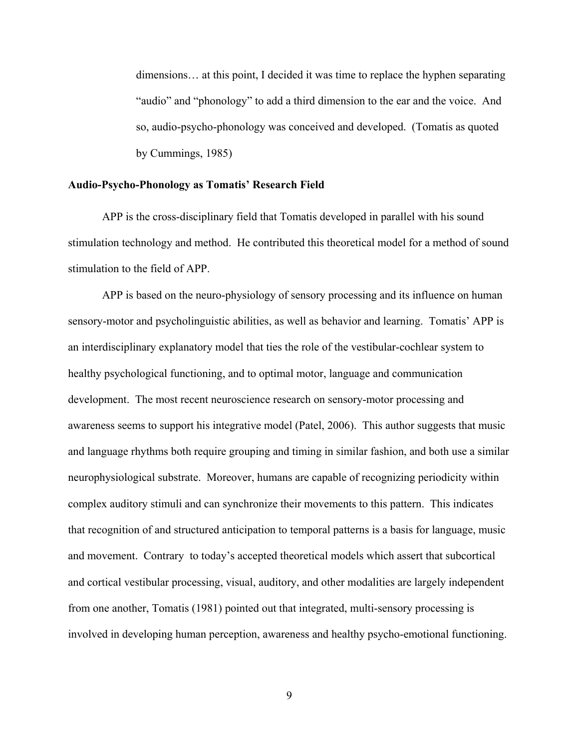dimensions… at this point, I decided it was time to replace the hyphen separating "audio" and "phonology" to add a third dimension to the ear and the voice. And so, audio-psycho-phonology was conceived and developed. (Tomatis as quoted by Cummings, 1985)

### **Audio-Psycho-Phonology as Tomatis' Research Field**

APP is the cross-disciplinary field that Tomatis developed in parallel with his sound stimulation technology and method. He contributed this theoretical model for a method of sound stimulation to the field of APP.

APP is based on the neuro-physiology of sensory processing and its influence on human sensory-motor and psycholinguistic abilities, as well as behavior and learning. Tomatis' APP is an interdisciplinary explanatory model that ties the role of the vestibular-cochlear system to healthy psychological functioning, and to optimal motor, language and communication development.The most recent neuroscience research on sensory-motor processing and awareness seems to support his integrative model (Patel, 2006). This author suggests that music and language rhythms both require grouping and timing in similar fashion, and both use a similar neurophysiological substrate. Moreover, humans are capable of recognizing periodicity within complex auditory stimuli and can synchronize their movements to this pattern. This indicates that recognition of and structured anticipation to temporal patterns is a basis for language, music and movement. Contrary to today's accepted theoretical models which assert that subcortical and cortical vestibular processing, visual, auditory, and other modalities are largely independent from one another, Tomatis (1981) pointed out that integrated, multi-sensory processing is involved in developing human perception, awareness and healthy psycho-emotional functioning.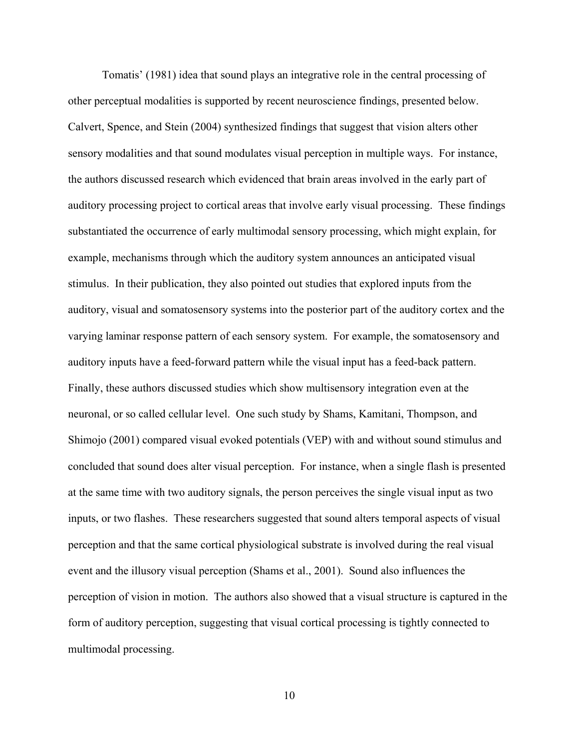Tomatis' (1981) idea that sound plays an integrative role in the central processing of other perceptual modalities is supported by recent neuroscience findings, presented below. Calvert, Spence, and Stein (2004) synthesized findings that suggest that vision alters other sensory modalities and that sound modulates visual perception in multiple ways. For instance, the authors discussed research which evidenced that brain areas involved in the early part of auditory processing project to cortical areas that involve early visual processing. These findings substantiated the occurrence of early multimodal sensory processing, which might explain, for example, mechanisms through which the auditory system announces an anticipated visual stimulus. In their publication, they also pointed out studies that explored inputs from the auditory, visual and somatosensory systems into the posterior part of the auditory cortex and the varying laminar response pattern of each sensory system. For example, the somatosensory and auditory inputs have a feed-forward pattern while the visual input has a feed-back pattern. Finally, these authors discussed studies which show multisensory integration even at the neuronal, or so called cellular level. One such study by Shams, Kamitani, Thompson, and Shimojo (2001) compared visual evoked potentials (VEP) with and without sound stimulus and concluded that sound does alter visual perception. For instance, when a single flash is presented at the same time with two auditory signals, the person perceives the single visual input as two inputs, or two flashes. These researchers suggested that sound alters temporal aspects of visual perception and that the same cortical physiological substrate is involved during the real visual event and the illusory visual perception (Shams et al., 2001). Sound also influences the perception of vision in motion. The authors also showed that a visual structure is captured in the form of auditory perception, suggesting that visual cortical processing is tightly connected to multimodal processing.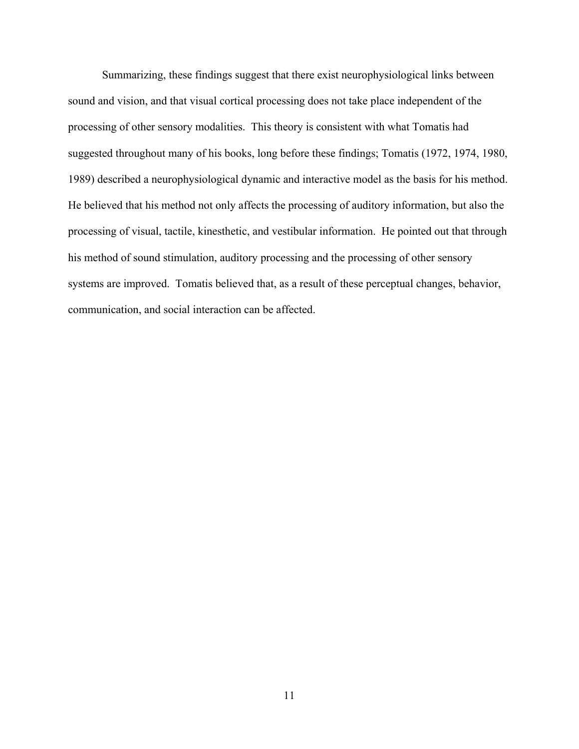Summarizing, these findings suggest that there exist neurophysiological links between sound and vision, and that visual cortical processing does not take place independent of the processing of other sensory modalities. This theory is consistent with what Tomatis had suggested throughout many of his books, long before these findings; Tomatis (1972, 1974, 1980, 1989) described a neurophysiological dynamic and interactive model as the basis for his method. He believed that his method not only affects the processing of auditory information, but also the processing of visual, tactile, kinesthetic, and vestibular information. He pointed out that through his method of sound stimulation, auditory processing and the processing of other sensory systems are improved. Tomatis believed that, as a result of these perceptual changes, behavior, communication, and social interaction can be affected.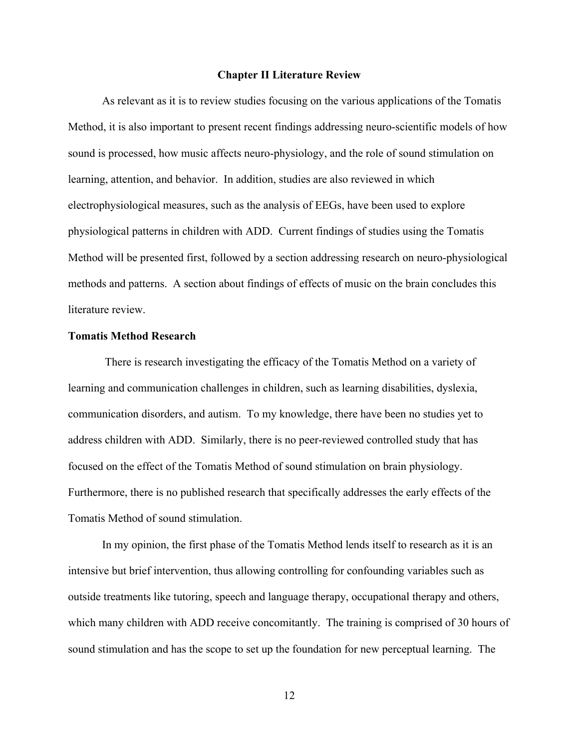#### **Chapter II Literature Review**

As relevant as it is to review studies focusing on the various applications of the Tomatis Method, it is also important to present recent findings addressing neuro-scientific models of how sound is processed, how music affects neuro-physiology, and the role of sound stimulation on learning, attention, and behavior. In addition, studies are also reviewed in which electrophysiological measures, such as the analysis of EEGs, have been used to explore physiological patterns in children with ADD. Current findings of studies using the Tomatis Method will be presented first, followed by a section addressing research on neuro-physiological methods and patterns. A section about findings of effects of music on the brain concludes this literature review.

### **Tomatis Method Research**

 There is research investigating the efficacy of the Tomatis Method on a variety of learning and communication challenges in children, such as learning disabilities, dyslexia, communication disorders, and autism. To my knowledge, there have been no studies yet to address children with ADD. Similarly, there is no peer-reviewed controlled study that has focused on the effect of the Tomatis Method of sound stimulation on brain physiology. Furthermore, there is no published research that specifically addresses the early effects of the Tomatis Method of sound stimulation.

In my opinion, the first phase of the Tomatis Method lends itself to research as it is an intensive but brief intervention, thus allowing controlling for confounding variables such as outside treatments like tutoring, speech and language therapy, occupational therapy and others, which many children with ADD receive concomitantly. The training is comprised of 30 hours of sound stimulation and has the scope to set up the foundation for new perceptual learning. The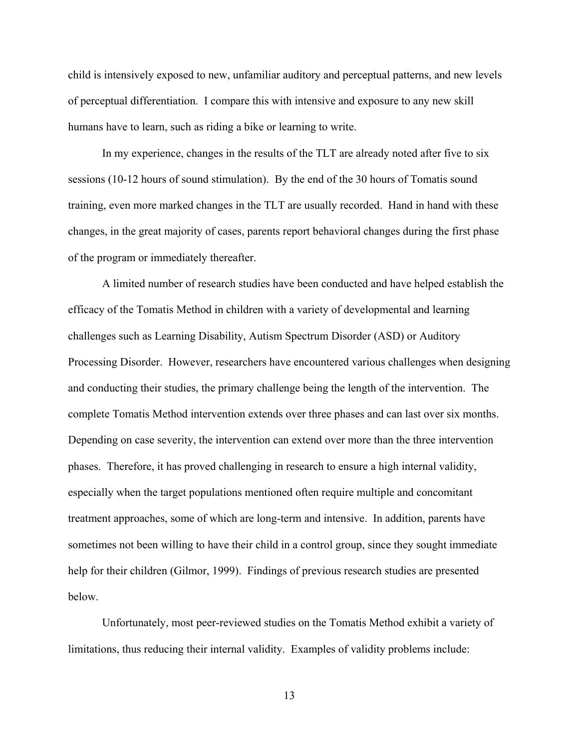child is intensively exposed to new, unfamiliar auditory and perceptual patterns, and new levels of perceptual differentiation. I compare this with intensive and exposure to any new skill humans have to learn, such as riding a bike or learning to write.

In my experience, changes in the results of the TLT are already noted after five to six sessions (10-12 hours of sound stimulation). By the end of the 30 hours of Tomatis sound training, even more marked changes in the TLT are usually recorded. Hand in hand with these changes, in the great majority of cases, parents report behavioral changes during the first phase of the program or immediately thereafter.

A limited number of research studies have been conducted and have helped establish the efficacy of the Tomatis Method in children with a variety of developmental and learning challenges such as Learning Disability, Autism Spectrum Disorder (ASD) or Auditory Processing Disorder. However, researchers have encountered various challenges when designing and conducting their studies, the primary challenge being the length of the intervention. The complete Tomatis Method intervention extends over three phases and can last over six months. Depending on case severity, the intervention can extend over more than the three intervention phases. Therefore, it has proved challenging in research to ensure a high internal validity, especially when the target populations mentioned often require multiple and concomitant treatment approaches, some of which are long-term and intensive. In addition, parents have sometimes not been willing to have their child in a control group, since they sought immediate help for their children (Gilmor, 1999). Findings of previous research studies are presented below.

Unfortunately, most peer-reviewed studies on the Tomatis Method exhibit a variety of limitations, thus reducing their internal validity. Examples of validity problems include: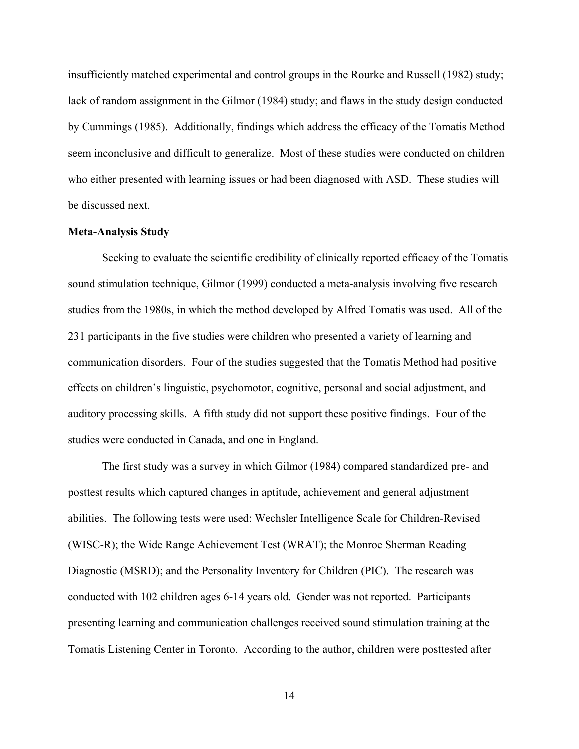insufficiently matched experimental and control groups in the Rourke and Russell (1982) study; lack of random assignment in the Gilmor (1984) study; and flaws in the study design conducted by Cummings (1985). Additionally, findings which address the efficacy of the Tomatis Method seem inconclusive and difficult to generalize. Most of these studies were conducted on children who either presented with learning issues or had been diagnosed with ASD. These studies will be discussed next.

#### **Meta-Analysis Study**

Seeking to evaluate the scientific credibility of clinically reported efficacy of the Tomatis sound stimulation technique, Gilmor (1999) conducted a meta-analysis involving five research studies from the 1980s, in which the method developed by Alfred Tomatis was used. All of the 231 participants in the five studies were children who presented a variety of learning and communication disorders. Four of the studies suggested that the Tomatis Method had positive effects on children's linguistic, psychomotor, cognitive, personal and social adjustment, and auditory processing skills. A fifth study did not support these positive findings. Four of the studies were conducted in Canada, and one in England.

The first study was a survey in which Gilmor (1984) compared standardized pre- and posttest results which captured changes in aptitude, achievement and general adjustment abilities. The following tests were used: Wechsler Intelligence Scale for Children-Revised (WISC-R); the Wide Range Achievement Test (WRAT); the Monroe Sherman Reading Diagnostic (MSRD); and the Personality Inventory for Children (PIC). The research was conducted with 102 children ages 6-14 years old. Gender was not reported. Participants presenting learning and communication challenges received sound stimulation training at the Tomatis Listening Center in Toronto. According to the author, children were posttested after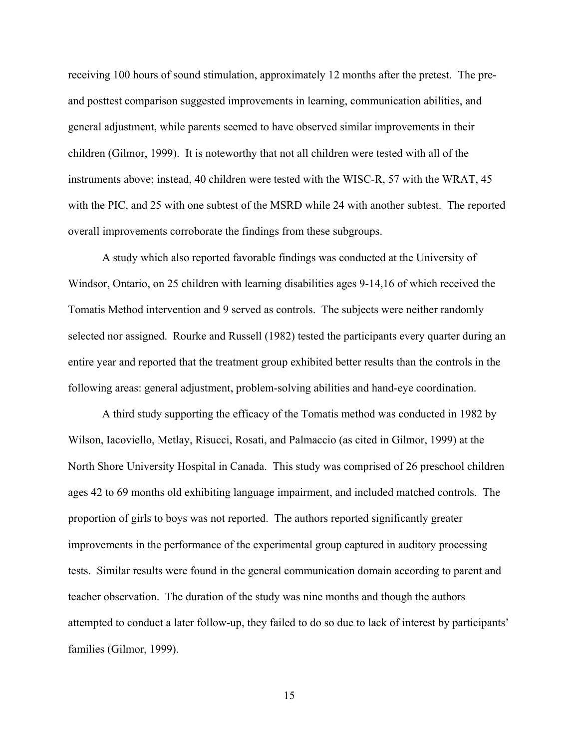receiving 100 hours of sound stimulation, approximately 12 months after the pretest. The preand posttest comparison suggested improvements in learning, communication abilities, and general adjustment, while parents seemed to have observed similar improvements in their children (Gilmor, 1999). It is noteworthy that not all children were tested with all of the instruments above; instead, 40 children were tested with the WISC-R, 57 with the WRAT, 45 with the PIC, and 25 with one subtest of the MSRD while 24 with another subtest. The reported overall improvements corroborate the findings from these subgroups.

A study which also reported favorable findings was conducted at the University of Windsor, Ontario, on 25 children with learning disabilities ages 9-14,16 of which received the Tomatis Method intervention and 9 served as controls. The subjects were neither randomly selected nor assigned. Rourke and Russell (1982) tested the participants every quarter during an entire year and reported that the treatment group exhibited better results than the controls in the following areas: general adjustment, problem-solving abilities and hand-eye coordination.

A third study supporting the efficacy of the Tomatis method was conducted in 1982 by Wilson, Iacoviello, Metlay, Risucci, Rosati, and Palmaccio (as cited in Gilmor, 1999) at the North Shore University Hospital in Canada. This study was comprised of 26 preschool children ages 42 to 69 months old exhibiting language impairment, and included matched controls. The proportion of girls to boys was not reported. The authors reported significantly greater improvements in the performance of the experimental group captured in auditory processing tests. Similar results were found in the general communication domain according to parent and teacher observation. The duration of the study was nine months and though the authors attempted to conduct a later follow-up, they failed to do so due to lack of interest by participants' families (Gilmor, 1999).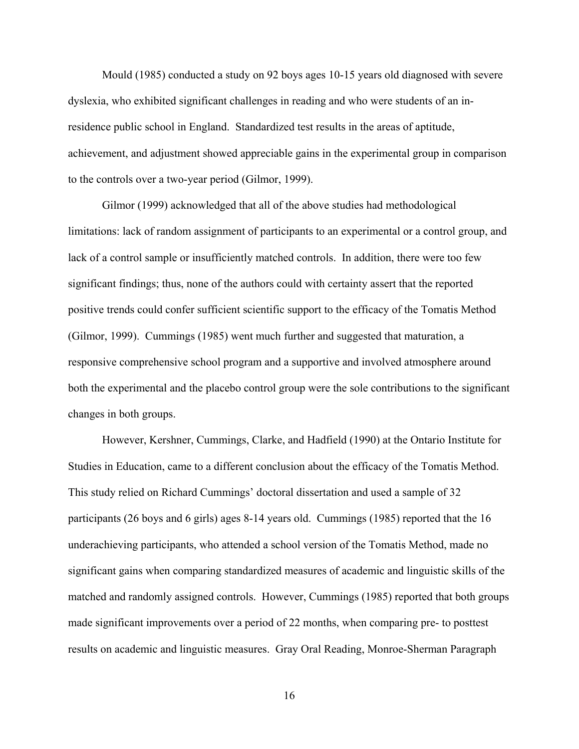Mould (1985) conducted a study on 92 boys ages 10-15 years old diagnosed with severe dyslexia, who exhibited significant challenges in reading and who were students of an inresidence public school in England. Standardized test results in the areas of aptitude, achievement, and adjustment showed appreciable gains in the experimental group in comparison to the controls over a two-year period (Gilmor, 1999).

Gilmor (1999) acknowledged that all of the above studies had methodological limitations: lack of random assignment of participants to an experimental or a control group, and lack of a control sample or insufficiently matched controls. In addition, there were too few significant findings; thus, none of the authors could with certainty assert that the reported positive trends could confer sufficient scientific support to the efficacy of the Tomatis Method (Gilmor, 1999). Cummings (1985) went much further and suggested that maturation, a responsive comprehensive school program and a supportive and involved atmosphere around both the experimental and the placebo control group were the sole contributions to the significant changes in both groups.

However, Kershner, Cummings, Clarke, and Hadfield (1990) at the Ontario Institute for Studies in Education, came to a different conclusion about the efficacy of the Tomatis Method. This study relied on Richard Cummings' doctoral dissertation and used a sample of 32 participants (26 boys and 6 girls) ages 8-14 years old. Cummings (1985) reported that the 16 underachieving participants, who attended a school version of the Tomatis Method, made no significant gains when comparing standardized measures of academic and linguistic skills of the matched and randomly assigned controls. However, Cummings (1985) reported that both groups made significant improvements over a period of 22 months, when comparing pre- to posttest results on academic and linguistic measures. Gray Oral Reading, Monroe-Sherman Paragraph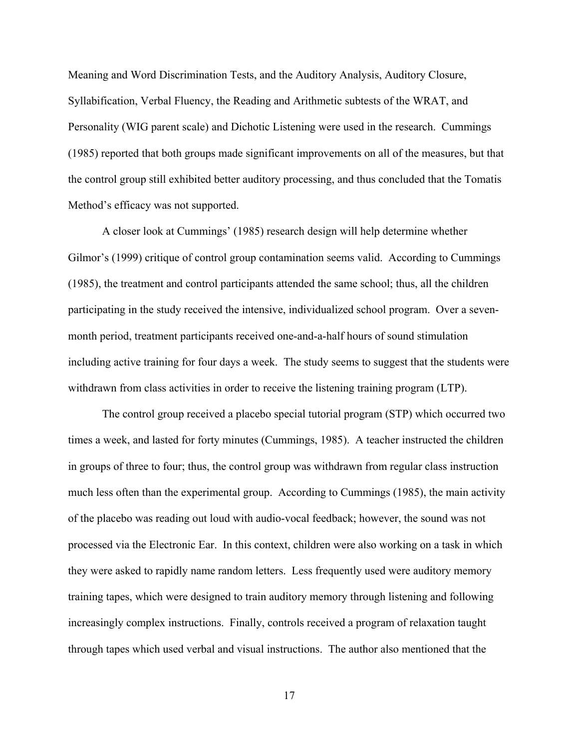Meaning and Word Discrimination Tests, and the Auditory Analysis, Auditory Closure, Syllabification, Verbal Fluency, the Reading and Arithmetic subtests of the WRAT, and Personality (WIG parent scale) and Dichotic Listening were used in the research. Cummings (1985) reported that both groups made significant improvements on all of the measures, but that the control group still exhibited better auditory processing, and thus concluded that the Tomatis Method's efficacy was not supported.

A closer look at Cummings' (1985) research design will help determine whether Gilmor's (1999) critique of control group contamination seems valid. According to Cummings (1985), the treatment and control participants attended the same school; thus, all the children participating in the study received the intensive, individualized school program. Over a sevenmonth period, treatment participants received one-and-a-half hours of sound stimulation including active training for four days a week. The study seems to suggest that the students were withdrawn from class activities in order to receive the listening training program (LTP).

The control group received a placebo special tutorial program (STP) which occurred two times a week, and lasted for forty minutes (Cummings, 1985). A teacher instructed the children in groups of three to four; thus, the control group was withdrawn from regular class instruction much less often than the experimental group. According to Cummings (1985), the main activity of the placebo was reading out loud with audio-vocal feedback; however, the sound was not processed via the Electronic Ear. In this context, children were also working on a task in which they were asked to rapidly name random letters. Less frequently used were auditory memory training tapes, which were designed to train auditory memory through listening and following increasingly complex instructions. Finally, controls received a program of relaxation taught through tapes which used verbal and visual instructions. The author also mentioned that the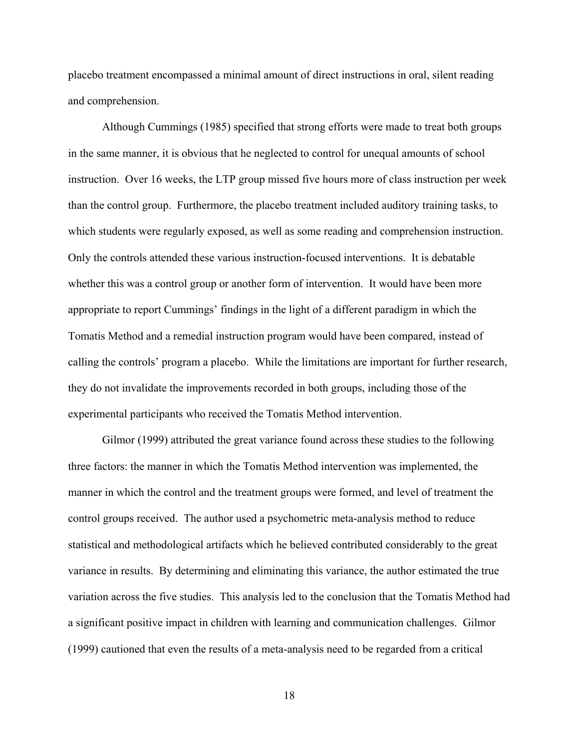placebo treatment encompassed a minimal amount of direct instructions in oral, silent reading and comprehension.

Although Cummings (1985) specified that strong efforts were made to treat both groups in the same manner, it is obvious that he neglected to control for unequal amounts of school instruction. Over 16 weeks, the LTP group missed five hours more of class instruction per week than the control group. Furthermore, the placebo treatment included auditory training tasks, to which students were regularly exposed, as well as some reading and comprehension instruction. Only the controls attended these various instruction-focused interventions. It is debatable whether this was a control group or another form of intervention. It would have been more appropriate to report Cummings' findings in the light of a different paradigm in which the Tomatis Method and a remedial instruction program would have been compared, instead of calling the controls' program a placebo. While the limitations are important for further research, they do not invalidate the improvements recorded in both groups, including those of the experimental participants who received the Tomatis Method intervention.

 Gilmor (1999) attributed the great variance found across these studies to the following three factors: the manner in which the Tomatis Method intervention was implemented, the manner in which the control and the treatment groups were formed, and level of treatment the control groups received. The author used a psychometric meta-analysis method to reduce statistical and methodological artifacts which he believed contributed considerably to the great variance in results. By determining and eliminating this variance, the author estimated the true variation across the five studies. This analysis led to the conclusion that the Tomatis Method had a significant positive impact in children with learning and communication challenges. Gilmor (1999) cautioned that even the results of a meta-analysis need to be regarded from a critical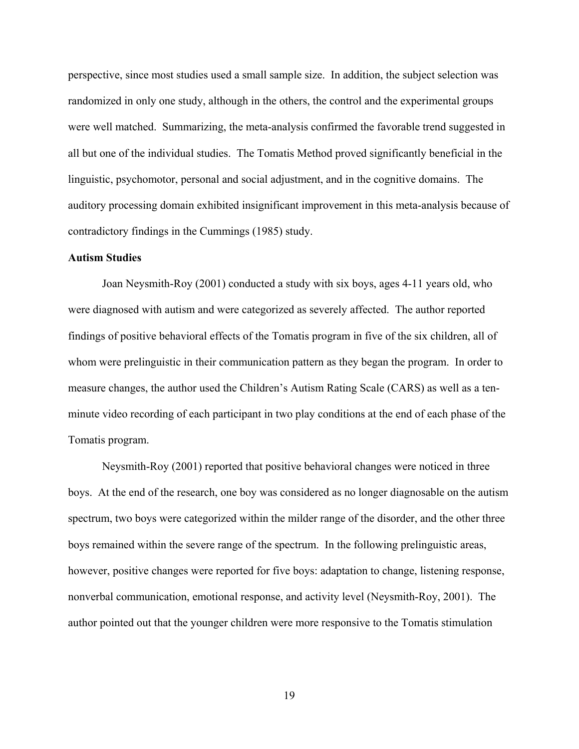perspective, since most studies used a small sample size. In addition, the subject selection was randomized in only one study, although in the others, the control and the experimental groups were well matched. Summarizing, the meta-analysis confirmed the favorable trend suggested in all but one of the individual studies. The Tomatis Method proved significantly beneficial in the linguistic, psychomotor, personal and social adjustment, and in the cognitive domains. The auditory processing domain exhibited insignificant improvement in this meta-analysis because of contradictory findings in the Cummings (1985) study.

### **Autism Studies**

Joan Neysmith-Roy (2001) conducted a study with six boys, ages 4-11 years old, who were diagnosed with autism and were categorized as severely affected. The author reported findings of positive behavioral effects of the Tomatis program in five of the six children, all of whom were prelinguistic in their communication pattern as they began the program. In order to measure changes, the author used the Children's Autism Rating Scale (CARS) as well as a tenminute video recording of each participant in two play conditions at the end of each phase of the Tomatis program.

Neysmith-Roy (2001) reported that positive behavioral changes were noticed in three boys. At the end of the research, one boy was considered as no longer diagnosable on the autism spectrum, two boys were categorized within the milder range of the disorder, and the other three boys remained within the severe range of the spectrum. In the following prelinguistic areas, however, positive changes were reported for five boys: adaptation to change, listening response, nonverbal communication, emotional response, and activity level (Neysmith-Roy, 2001). The author pointed out that the younger children were more responsive to the Tomatis stimulation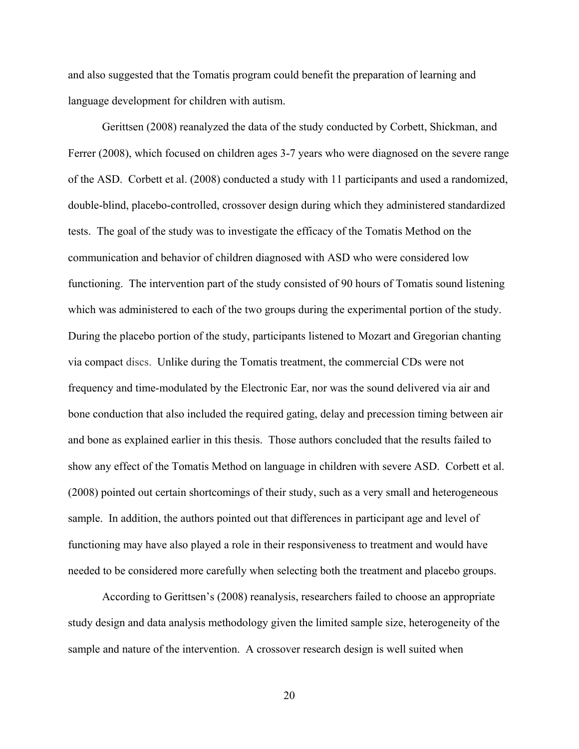and also suggested that the Tomatis program could benefit the preparation of learning and language development for children with autism.

Gerittsen (2008) reanalyzed the data of the study conducted by Corbett, Shickman, and Ferrer (2008), which focused on children ages 3-7 years who were diagnosed on the severe range of the ASD. Corbett et al. (2008) conducted a study with 11 participants and used a randomized, double-blind, placebo-controlled, crossover design during which they administered standardized tests. The goal of the study was to investigate the efficacy of the Tomatis Method on the communication and behavior of children diagnosed with ASD who were considered low functioning. The intervention part of the study consisted of 90 hours of Tomatis sound listening which was administered to each of the two groups during the experimental portion of the study. During the placebo portion of the study, participants listened to Mozart and Gregorian chanting via compact discs. Unlike during the Tomatis treatment, the commercial CDs were not frequency and time-modulated by the Electronic Ear, nor was the sound delivered via air and bone conduction that also included the required gating, delay and precession timing between air and bone as explained earlier in this thesis. Those authors concluded that the results failed to show any effect of the Tomatis Method on language in children with severe ASD. Corbett et al. (2008) pointed out certain shortcomings of their study, such as a very small and heterogeneous sample. In addition, the authors pointed out that differences in participant age and level of functioning may have also played a role in their responsiveness to treatment and would have needed to be considered more carefully when selecting both the treatment and placebo groups.

According to Gerittsen's (2008) reanalysis, researchers failed to choose an appropriate study design and data analysis methodology given the limited sample size, heterogeneity of the sample and nature of the intervention. A crossover research design is well suited when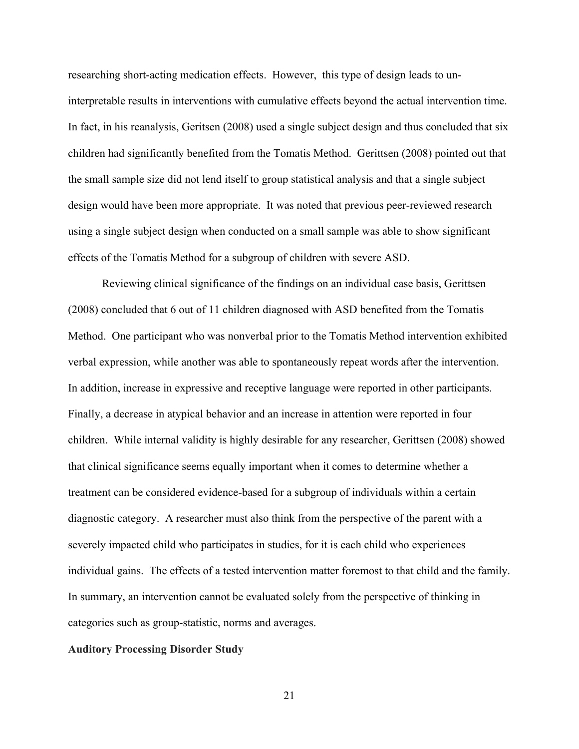researching short-acting medication effects. However, this type of design leads to uninterpretable results in interventions with cumulative effects beyond the actual intervention time. In fact, in his reanalysis, Geritsen (2008) used a single subject design and thus concluded that six children had significantly benefited from the Tomatis Method. Gerittsen (2008) pointed out that the small sample size did not lend itself to group statistical analysis and that a single subject design would have been more appropriate. It was noted that previous peer-reviewed research using a single subject design when conducted on a small sample was able to show significant effects of the Tomatis Method for a subgroup of children with severe ASD.

Reviewing clinical significance of the findings on an individual case basis, Gerittsen (2008) concluded that 6 out of 11 children diagnosed with ASD benefited from the Tomatis Method. One participant who was nonverbal prior to the Tomatis Method intervention exhibited verbal expression, while another was able to spontaneously repeat words after the intervention. In addition, increase in expressive and receptive language were reported in other participants. Finally, a decrease in atypical behavior and an increase in attention were reported in four children. While internal validity is highly desirable for any researcher, Gerittsen (2008) showed that clinical significance seems equally important when it comes to determine whether a treatment can be considered evidence-based for a subgroup of individuals within a certain diagnostic category. A researcher must also think from the perspective of the parent with a severely impacted child who participates in studies, for it is each child who experiences individual gains. The effects of a tested intervention matter foremost to that child and the family. In summary, an intervention cannot be evaluated solely from the perspective of thinking in categories such as group-statistic, norms and averages.

#### **Auditory Processing Disorder Study**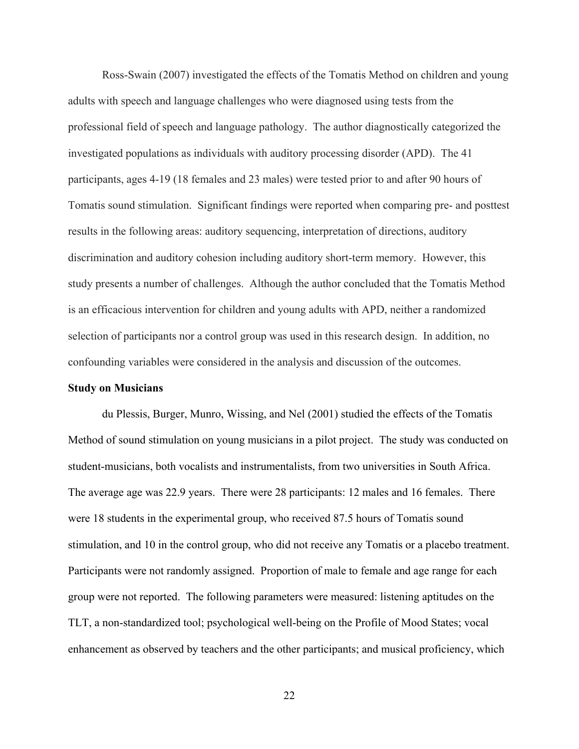Ross-Swain (2007) investigated the effects of the Tomatis Method on children and young adults with speech and language challenges who were diagnosed using tests from the professional field of speech and language pathology. The author diagnostically categorized the investigated populations as individuals with auditory processing disorder (APD). The 41 participants, ages 4-19 (18 females and 23 males) were tested prior to and after 90 hours of Tomatis sound stimulation. Significant findings were reported when comparing pre- and posttest results in the following areas: auditory sequencing, interpretation of directions, auditory discrimination and auditory cohesion including auditory short-term memory. However, this study presents a number of challenges. Although the author concluded that the Tomatis Method is an efficacious intervention for children and young adults with APD, neither a randomized selection of participants nor a control group was used in this research design. In addition, no confounding variables were considered in the analysis and discussion of the outcomes.

### **Study on Musicians**

 du Plessis, Burger, Munro, Wissing, and Nel (2001) studied the effects of the Tomatis Method of sound stimulation on young musicians in a pilot project. The study was conducted on student-musicians, both vocalists and instrumentalists, from two universities in South Africa. The average age was 22.9 years. There were 28 participants: 12 males and 16 females. There were 18 students in the experimental group, who received 87.5 hours of Tomatis sound stimulation, and 10 in the control group, who did not receive any Tomatis or a placebo treatment. Participants were not randomly assigned. Proportion of male to female and age range for each group were not reported. The following parameters were measured: listening aptitudes on the TLT, a non-standardized tool; psychological well-being on the Profile of Mood States; vocal enhancement as observed by teachers and the other participants; and musical proficiency, which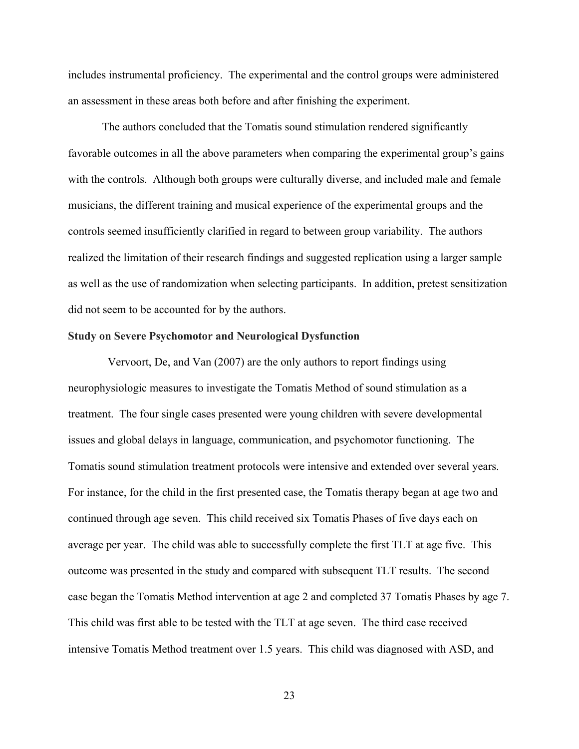includes instrumental proficiency. The experimental and the control groups were administered an assessment in these areas both before and after finishing the experiment.

The authors concluded that the Tomatis sound stimulation rendered significantly favorable outcomes in all the above parameters when comparing the experimental group's gains with the controls. Although both groups were culturally diverse, and included male and female musicians, the different training and musical experience of the experimental groups and the controls seemed insufficiently clarified in regard to between group variability. The authors realized the limitation of their research findings and suggested replication using a larger sample as well as the use of randomization when selecting participants. In addition, pretest sensitization did not seem to be accounted for by the authors.

#### **Study on Severe Psychomotor and Neurological Dysfunction**

 Vervoort, De, and Van (2007) are the only authors to report findings using neurophysiologic measures to investigate the Tomatis Method of sound stimulation as a treatment. The four single cases presented were young children with severe developmental issues and global delays in language, communication, and psychomotor functioning. The Tomatis sound stimulation treatment protocols were intensive and extended over several years. For instance, for the child in the first presented case, the Tomatis therapy began at age two and continued through age seven. This child received six Tomatis Phases of five days each on average per year. The child was able to successfully complete the first TLT at age five. This outcome was presented in the study and compared with subsequent TLT results. The second case began the Tomatis Method intervention at age 2 and completed 37 Tomatis Phases by age 7. This child was first able to be tested with the TLT at age seven. The third case received intensive Tomatis Method treatment over 1.5 years. This child was diagnosed with ASD, and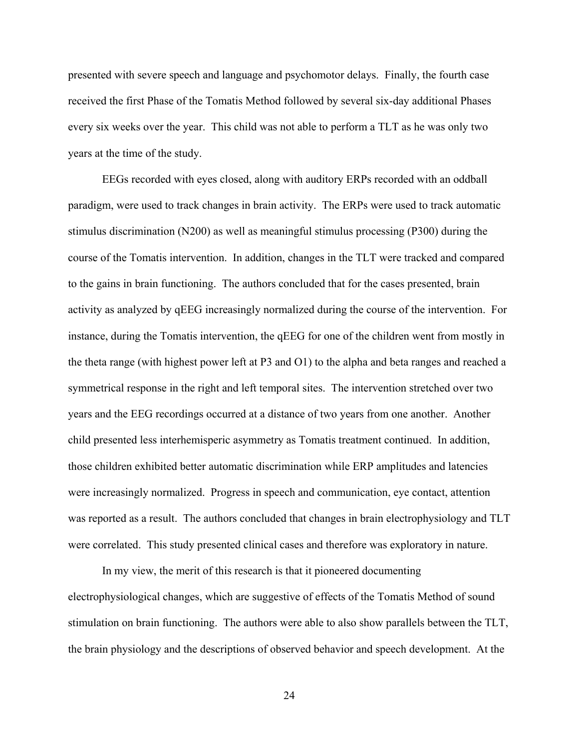presented with severe speech and language and psychomotor delays. Finally, the fourth case received the first Phase of the Tomatis Method followed by several six-day additional Phases every six weeks over the year. This child was not able to perform a TLT as he was only two years at the time of the study.

EEGs recorded with eyes closed, along with auditory ERPs recorded with an oddball paradigm, were used to track changes in brain activity. The ERPs were used to track automatic stimulus discrimination (N200) as well as meaningful stimulus processing (P300) during the course of the Tomatis intervention. In addition, changes in the TLT were tracked and compared to the gains in brain functioning. The authors concluded that for the cases presented, brain activity as analyzed by qEEG increasingly normalized during the course of the intervention. For instance, during the Tomatis intervention, the qEEG for one of the children went from mostly in the theta range (with highest power left at P3 and O1) to the alpha and beta ranges and reached a symmetrical response in the right and left temporal sites. The intervention stretched over two years and the EEG recordings occurred at a distance of two years from one another. Another child presented less interhemisperic asymmetry as Tomatis treatment continued. In addition, those children exhibited better automatic discrimination while ERP amplitudes and latencies were increasingly normalized. Progress in speech and communication, eye contact, attention was reported as a result. The authors concluded that changes in brain electrophysiology and TLT were correlated. This study presented clinical cases and therefore was exploratory in nature.

In my view, the merit of this research is that it pioneered documenting electrophysiological changes, which are suggestive of effects of the Tomatis Method of sound stimulation on brain functioning. The authors were able to also show parallels between the TLT, the brain physiology and the descriptions of observed behavior and speech development. At the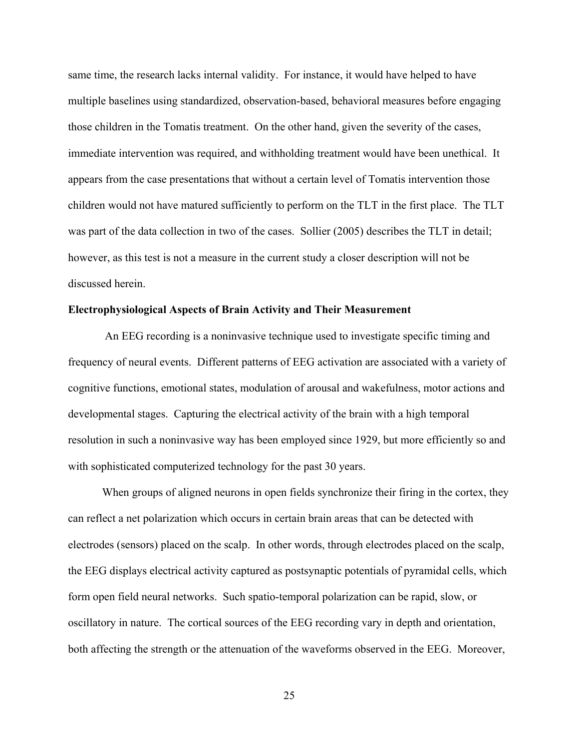same time, the research lacks internal validity. For instance, it would have helped to have multiple baselines using standardized, observation-based, behavioral measures before engaging those children in the Tomatis treatment. On the other hand, given the severity of the cases, immediate intervention was required, and withholding treatment would have been unethical. It appears from the case presentations that without a certain level of Tomatis intervention those children would not have matured sufficiently to perform on the TLT in the first place. The TLT was part of the data collection in two of the cases. Sollier (2005) describes the TLT in detail; however, as this test is not a measure in the current study a closer description will not be discussed herein.

#### **Electrophysiological Aspects of Brain Activity and Their Measurement**

 An EEG recording is a noninvasive technique used to investigate specific timing and frequency of neural events. Different patterns of EEG activation are associated with a variety of cognitive functions, emotional states, modulation of arousal and wakefulness, motor actions and developmental stages. Capturing the electrical activity of the brain with a high temporal resolution in such a noninvasive way has been employed since 1929, but more efficiently so and with sophisticated computerized technology for the past 30 years.

When groups of aligned neurons in open fields synchronize their firing in the cortex, they can reflect a net polarization which occurs in certain brain areas that can be detected with electrodes (sensors) placed on the scalp. In other words, through electrodes placed on the scalp, the EEG displays electrical activity captured as postsynaptic potentials of pyramidal cells, which form open field neural networks. Such spatio-temporal polarization can be rapid, slow, or oscillatory in nature. The cortical sources of the EEG recording vary in depth and orientation, both affecting the strength or the attenuation of the waveforms observed in the EEG. Moreover,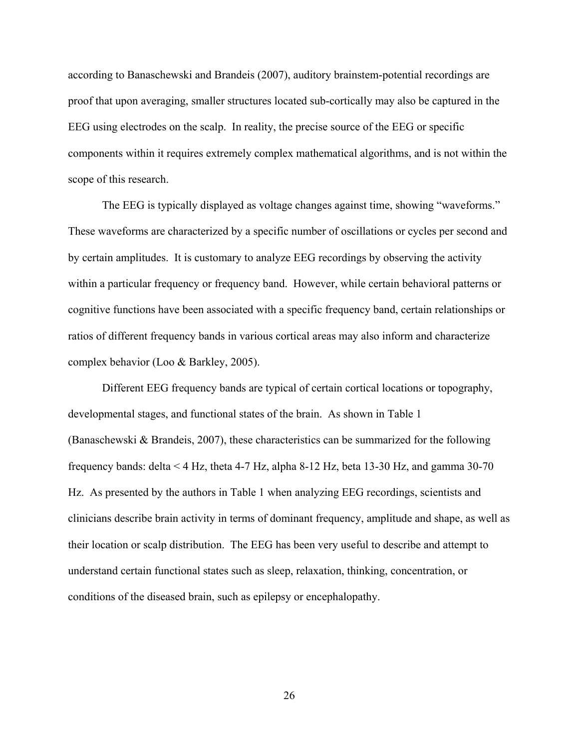according to Banaschewski and Brandeis (2007), auditory brainstem-potential recordings are proof that upon averaging, smaller structures located sub-cortically may also be captured in the EEG using electrodes on the scalp. In reality, the precise source of the EEG or specific components within it requires extremely complex mathematical algorithms, and is not within the scope of this research.

The EEG is typically displayed as voltage changes against time, showing "waveforms." These waveforms are characterized by a specific number of oscillations or cycles per second and by certain amplitudes. It is customary to analyze EEG recordings by observing the activity within a particular frequency or frequency band. However, while certain behavioral patterns or cognitive functions have been associated with a specific frequency band, certain relationships or ratios of different frequency bands in various cortical areas may also inform and characterize complex behavior (Loo & Barkley, 2005).

Different EEG frequency bands are typical of certain cortical locations or topography, developmental stages, and functional states of the brain. As shown in Table 1 (Banaschewski & Brandeis, 2007), these characteristics can be summarized for the following frequency bands: delta < 4 Hz, theta 4-7 Hz, alpha 8-12 Hz, beta 13-30 Hz, and gamma 30-70 Hz. As presented by the authors in Table 1 when analyzing EEG recordings, scientists and clinicians describe brain activity in terms of dominant frequency, amplitude and shape, as well as their location or scalp distribution. The EEG has been very useful to describe and attempt to understand certain functional states such as sleep, relaxation, thinking, concentration, or conditions of the diseased brain, such as epilepsy or encephalopathy.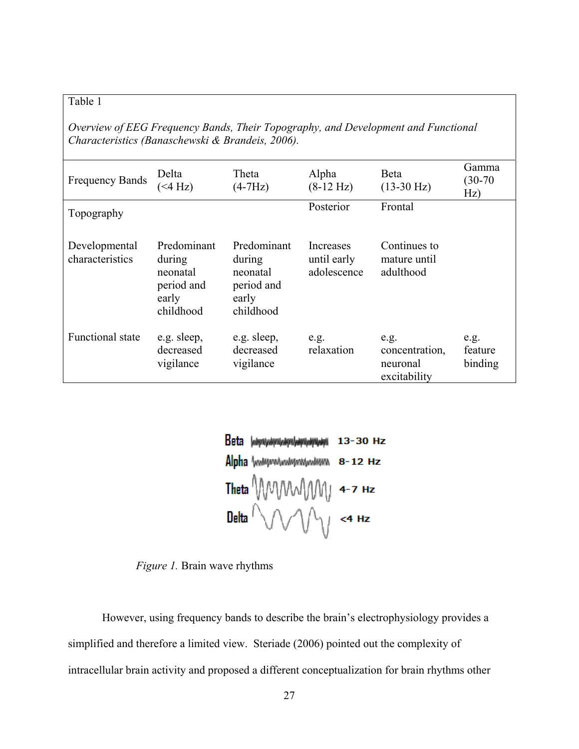# Table 1

*Overview of EEG Frequency Bands, Their Topography, and Development and Functional Characteristics (Banaschewski & Brandeis, 2006).*

| <b>Frequency Bands</b>           | Delta<br>(<4 Hz)                                                      | Theta<br>$(4-7Hz)$                                                    | Alpha<br>$(8-12 \text{ Hz})$            | Beta<br>$(13-30 \text{ Hz})$                       | Gamma<br>$(30-70)$<br>Hz)  |
|----------------------------------|-----------------------------------------------------------------------|-----------------------------------------------------------------------|-----------------------------------------|----------------------------------------------------|----------------------------|
| Topography                       |                                                                       |                                                                       | Posterior                               | Frontal                                            |                            |
| Developmental<br>characteristics | Predominant<br>during<br>neonatal<br>period and<br>early<br>childhood | Predominant<br>during<br>neonatal<br>period and<br>early<br>childhood | Increases<br>until early<br>adolescence | Continues to<br>mature until<br>adulthood          |                            |
| <b>Functional</b> state          | e.g. sleep,<br>decreased<br>vigilance                                 | e.g. sleep,<br>decreased<br>vigilance                                 | e.g.<br>relaxation                      | e.g.<br>concentration,<br>neuronal<br>excitability | e.g.<br>feature<br>binding |

| Alpha \www.www.www. 8-12 Hz           |  |
|---------------------------------------|--|
| Theta $\text{MMMM}$                   |  |
| Delta $\bigvee \bigvee \bigvee$ <4 Hz |  |

*Figure 1.* Brain wave rhythms

However, using frequency bands to describe the brain's electrophysiology provides a simplified and therefore a limited view. Steriade (2006) pointed out the complexity of intracellular brain activity and proposed a different conceptualization for brain rhythms other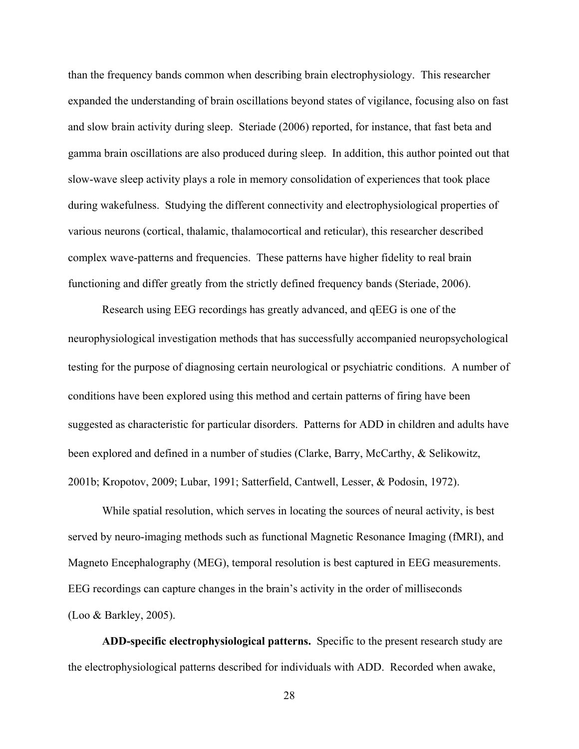than the frequency bands common when describing brain electrophysiology. This researcher expanded the understanding of brain oscillations beyond states of vigilance, focusing also on fast and slow brain activity during sleep. Steriade (2006) reported, for instance, that fast beta and gamma brain oscillations are also produced during sleep. In addition, this author pointed out that slow-wave sleep activity plays a role in memory consolidation of experiences that took place during wakefulness. Studying the different connectivity and electrophysiological properties of various neurons (cortical, thalamic, thalamocortical and reticular), this researcher described complex wave-patterns and frequencies. These patterns have higher fidelity to real brain functioning and differ greatly from the strictly defined frequency bands (Steriade, 2006).

Research using EEG recordings has greatly advanced, and qEEG is one of the neurophysiological investigation methods that has successfully accompanied neuropsychological testing for the purpose of diagnosing certain neurological or psychiatric conditions. A number of conditions have been explored using this method and certain patterns of firing have been suggested as characteristic for particular disorders. Patterns for ADD in children and adults have been explored and defined in a number of studies (Clarke, Barry, McCarthy, & Selikowitz, 2001b; Kropotov, 2009; Lubar, 1991; Satterfield, Cantwell, Lesser, & Podosin, 1972).

While spatial resolution, which serves in locating the sources of neural activity, is best served by neuro-imaging methods such as functional Magnetic Resonance Imaging (fMRI), and Magneto Encephalography (MEG), temporal resolution is best captured in EEG measurements. EEG recordings can capture changes in the brain's activity in the order of milliseconds (Loo & Barkley, 2005).

**ADD-specific electrophysiological patterns.** Specific to the present research study are the electrophysiological patterns described for individuals with ADD. Recorded when awake,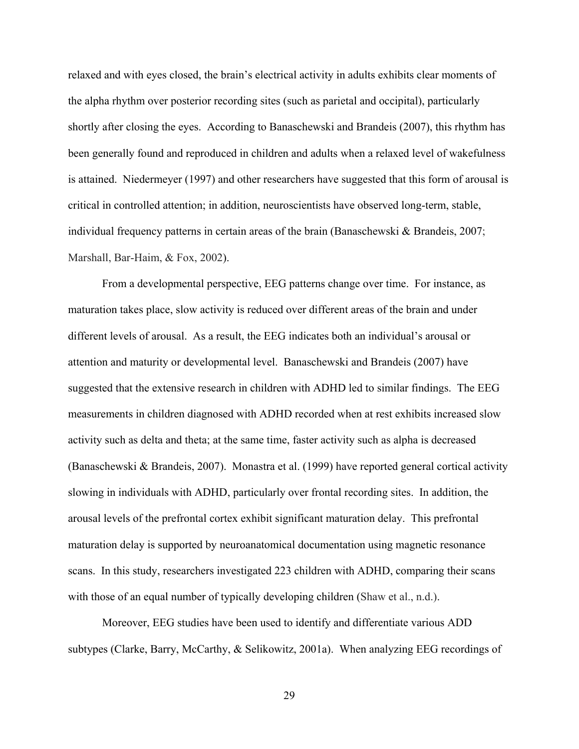relaxed and with eyes closed, the brain's electrical activity in adults exhibits clear moments of the alpha rhythm over posterior recording sites (such as parietal and occipital), particularly shortly after closing the eyes. According to Banaschewski and Brandeis (2007), this rhythm has been generally found and reproduced in children and adults when a relaxed level of wakefulness is attained. Niedermeyer (1997) and other researchers have suggested that this form of arousal is critical in controlled attention; in addition, neuroscientists have observed long-term, stable, individual frequency patterns in certain areas of the brain (Banaschewski  $\&$  Brandeis, 2007; Marshall, Bar-Haim, & Fox, 2002).

 From a developmental perspective, EEG patterns change over time. For instance, as maturation takes place, slow activity is reduced over different areas of the brain and under different levels of arousal. As a result, the EEG indicates both an individual's arousal or attention and maturity or developmental level. Banaschewski and Brandeis (2007) have suggested that the extensive research in children with ADHD led to similar findings. The EEG measurements in children diagnosed with ADHD recorded when at rest exhibits increased slow activity such as delta and theta; at the same time, faster activity such as alpha is decreased (Banaschewski & Brandeis, 2007). Monastra et al. (1999) have reported general cortical activity slowing in individuals with ADHD, particularly over frontal recording sites. In addition, the arousal levels of the prefrontal cortex exhibit significant maturation delay. This prefrontal maturation delay is supported by neuroanatomical documentation using magnetic resonance scans. In this study, researchers investigated 223 children with ADHD, comparing their scans with those of an equal number of typically developing children (Shaw et al., n.d.).

 Moreover, EEG studies have been used to identify and differentiate various ADD subtypes (Clarke, Barry, McCarthy, & Selikowitz, 2001a). When analyzing EEG recordings of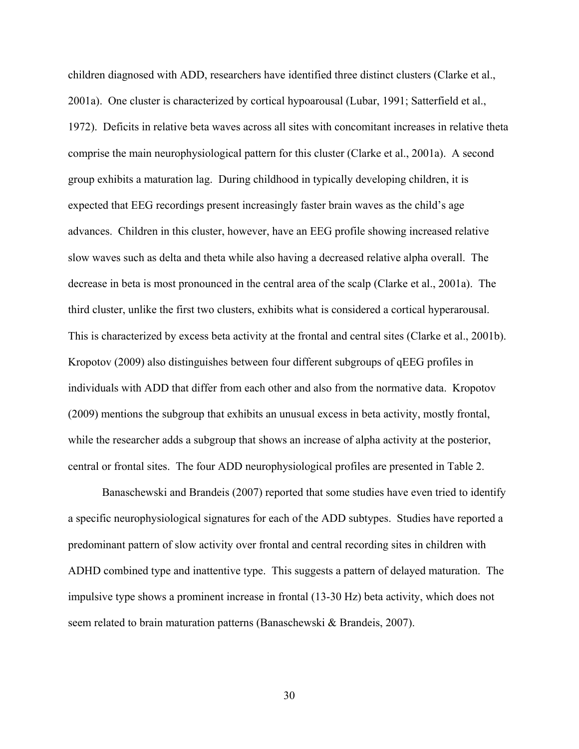children diagnosed with ADD, researchers have identified three distinct clusters (Clarke et al., 2001a). One cluster is characterized by cortical hypoarousal (Lubar, 1991; Satterfield et al., 1972). Deficits in relative beta waves across all sites with concomitant increases in relative theta comprise the main neurophysiological pattern for this cluster (Clarke et al., 2001a). A second group exhibits a maturation lag. During childhood in typically developing children, it is expected that EEG recordings present increasingly faster brain waves as the child's age advances. Children in this cluster, however, have an EEG profile showing increased relative slow waves such as delta and theta while also having a decreased relative alpha overall. The decrease in beta is most pronounced in the central area of the scalp (Clarke et al., 2001a). The third cluster, unlike the first two clusters, exhibits what is considered a cortical hyperarousal. This is characterized by excess beta activity at the frontal and central sites (Clarke et al., 2001b). Kropotov (2009) also distinguishes between four different subgroups of qEEG profiles in individuals with ADD that differ from each other and also from the normative data. Kropotov (2009) mentions the subgroup that exhibits an unusual excess in beta activity, mostly frontal, while the researcher adds a subgroup that shows an increase of alpha activity at the posterior, central or frontal sites. The four ADD neurophysiological profiles are presented in Table 2.

 Banaschewski and Brandeis (2007) reported that some studies have even tried to identify a specific neurophysiological signatures for each of the ADD subtypes. Studies have reported a predominant pattern of slow activity over frontal and central recording sites in children with ADHD combined type and inattentive type. This suggests a pattern of delayed maturation. The impulsive type shows a prominent increase in frontal (13-30 Hz) beta activity, which does not seem related to brain maturation patterns (Banaschewski & Brandeis, 2007).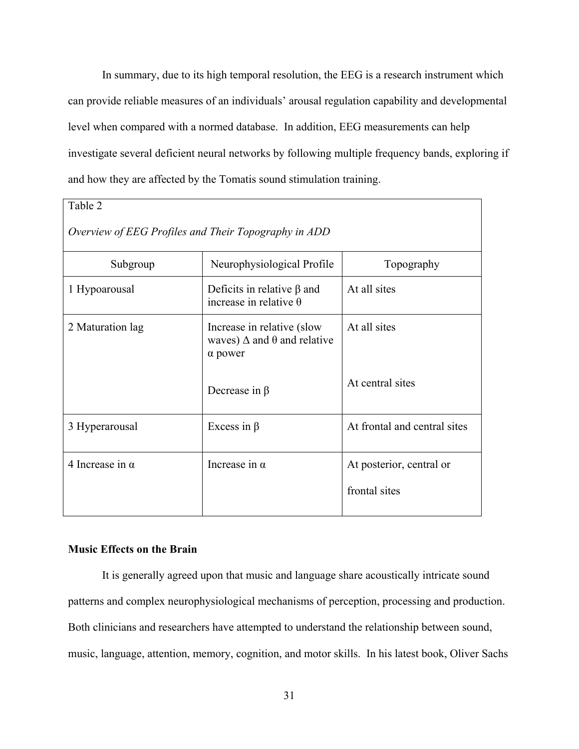In summary, due to its high temporal resolution, the EEG is a research instrument which can provide reliable measures of an individuals' arousal regulation capability and developmental level when compared with a normed database. In addition, EEG measurements can help investigate several deficient neural networks by following multiple frequency bands, exploring if and how they are affected by the Tomatis sound stimulation training.

| Table 2                                              |                                                                                            |                              |  |  |  |
|------------------------------------------------------|--------------------------------------------------------------------------------------------|------------------------------|--|--|--|
| Overview of EEG Profiles and Their Topography in ADD |                                                                                            |                              |  |  |  |
| Subgroup                                             | Neurophysiological Profile                                                                 | Topography                   |  |  |  |
| 1 Hypoarousal                                        | Deficits in relative $\beta$ and<br>increase in relative $\theta$                          | At all sites                 |  |  |  |
| 2 Maturation lag                                     | Increase in relative (slow)<br>waves) $\Delta$ and $\theta$ and relative<br>$\alpha$ power | At all sites                 |  |  |  |
|                                                      | Decrease in $\beta$                                                                        | At central sites             |  |  |  |
| 3 Hyperarousal                                       | Excess in $\beta$                                                                          | At frontal and central sites |  |  |  |
| 4 Increase in $\alpha$                               | Increase in $\alpha$                                                                       | At posterior, central or     |  |  |  |
|                                                      |                                                                                            | frontal sites                |  |  |  |

### **Music Effects on the Brain**

It is generally agreed upon that music and language share acoustically intricate sound patterns and complex neurophysiological mechanisms of perception, processing and production. Both clinicians and researchers have attempted to understand the relationship between sound, music, language, attention, memory, cognition, and motor skills. In his latest book, Oliver Sachs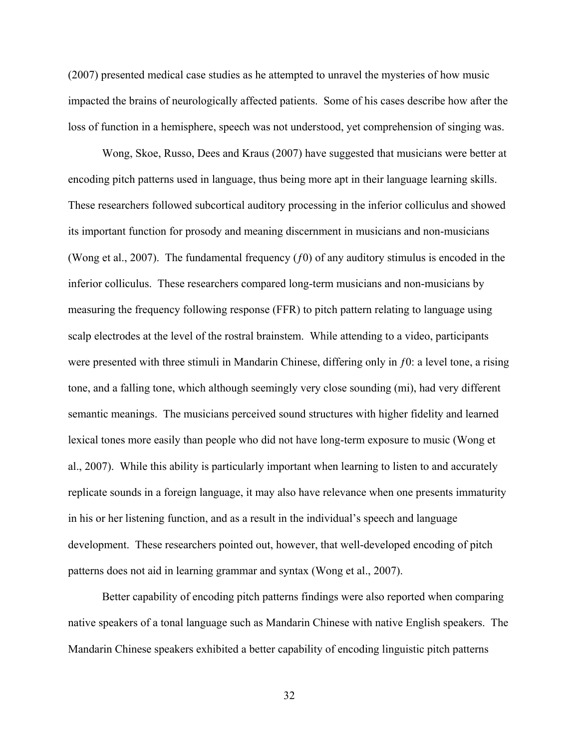(2007) presented medical case studies as he attempted to unravel the mysteries of how music impacted the brains of neurologically affected patients. Some of his cases describe how after the loss of function in a hemisphere, speech was not understood, yet comprehension of singing was.

Wong, Skoe, Russo, Dees and Kraus (2007) have suggested that musicians were better at encoding pitch patterns used in language, thus being more apt in their language learning skills. These researchers followed subcortical auditory processing in the inferior colliculus and showed its important function for prosody and meaning discernment in musicians and non-musicians (Wong et al., 2007). The fundamental frequency  $(f0)$  of any auditory stimulus is encoded in the inferior colliculus. These researchers compared long-term musicians and non-musicians by measuring the frequency following response (FFR) to pitch pattern relating to language using scalp electrodes at the level of the rostral brainstem. While attending to a video, participants were presented with three stimuli in Mandarin Chinese, differing only in  $f_0$ : a level tone, a rising tone, and a falling tone, which although seemingly very close sounding (mi), had very different semantic meanings. The musicians perceived sound structures with higher fidelity and learned lexical tones more easily than people who did not have long-term exposure to music (Wong et al., 2007). While this ability is particularly important when learning to listen to and accurately replicate sounds in a foreign language, it may also have relevance when one presents immaturity in his or her listening function, and as a result in the individual's speech and language development. These researchers pointed out, however, that well-developed encoding of pitch patterns does not aid in learning grammar and syntax (Wong et al., 2007).

Better capability of encoding pitch patterns findings were also reported when comparing native speakers of a tonal language such as Mandarin Chinese with native English speakers. The Mandarin Chinese speakers exhibited a better capability of encoding linguistic pitch patterns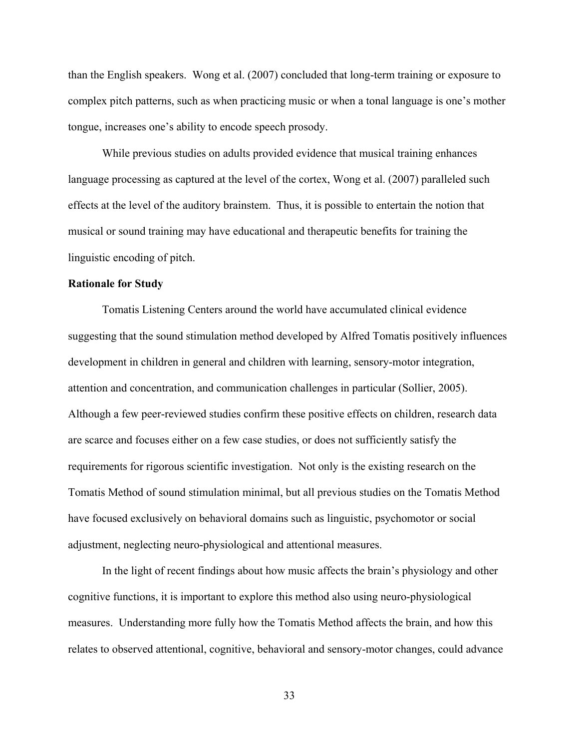than the English speakers. Wong et al. (2007) concluded that long-term training or exposure to complex pitch patterns, such as when practicing music or when a tonal language is one's mother tongue, increases one's ability to encode speech prosody.

While previous studies on adults provided evidence that musical training enhances language processing as captured at the level of the cortex, Wong et al. (2007) paralleled such effects at the level of the auditory brainstem. Thus, it is possible to entertain the notion that musical or sound training may have educational and therapeutic benefits for training the linguistic encoding of pitch.

### **Rationale for Study**

Tomatis Listening Centers around the world have accumulated clinical evidence suggesting that the sound stimulation method developed by Alfred Tomatis positively influences development in children in general and children with learning, sensory-motor integration, attention and concentration, and communication challenges in particular (Sollier, 2005). Although a few peer-reviewed studies confirm these positive effects on children, research data are scarce and focuses either on a few case studies, or does not sufficiently satisfy the requirements for rigorous scientific investigation. Not only is the existing research on the Tomatis Method of sound stimulation minimal, but all previous studies on the Tomatis Method have focused exclusively on behavioral domains such as linguistic, psychomotor or social adjustment, neglecting neuro-physiological and attentional measures.

In the light of recent findings about how music affects the brain's physiology and other cognitive functions, it is important to explore this method also using neuro-physiological measures. Understanding more fully how the Tomatis Method affects the brain, and how this relates to observed attentional, cognitive, behavioral and sensory-motor changes, could advance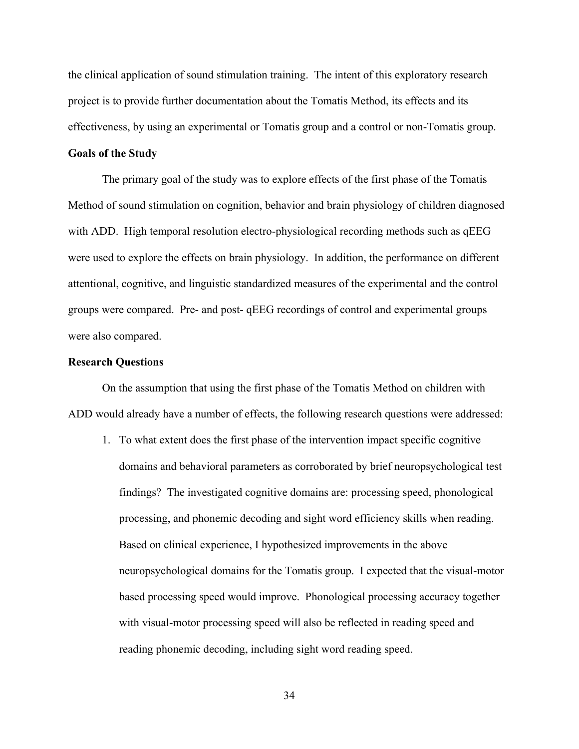the clinical application of sound stimulation training. The intent of this exploratory research project is to provide further documentation about the Tomatis Method, its effects and its effectiveness, by using an experimental or Tomatis group and a control or non-Tomatis group.

## **Goals of the Study**

The primary goal of the study was to explore effects of the first phase of the Tomatis Method of sound stimulation on cognition, behavior and brain physiology of children diagnosed with ADD. High temporal resolution electro-physiological recording methods such as qEEG were used to explore the effects on brain physiology. In addition, the performance on different attentional, cognitive, and linguistic standardized measures of the experimental and the control groups were compared. Pre- and post- qEEG recordings of control and experimental groups were also compared.

## **Research Questions**

On the assumption that using the first phase of the Tomatis Method on children with ADD would already have a number of effects, the following research questions were addressed:

1. To what extent does the first phase of the intervention impact specific cognitive domains and behavioral parameters as corroborated by brief neuropsychological test findings? The investigated cognitive domains are: processing speed, phonological processing, and phonemic decoding and sight word efficiency skills when reading. Based on clinical experience, I hypothesized improvements in the above neuropsychological domains for the Tomatis group. I expected that the visual-motor based processing speed would improve. Phonological processing accuracy together with visual-motor processing speed will also be reflected in reading speed and reading phonemic decoding, including sight word reading speed.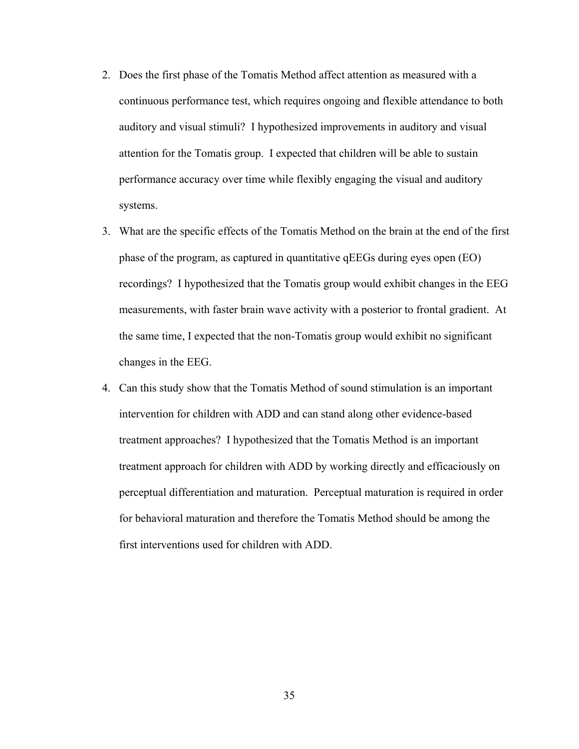- 2. Does the first phase of the Tomatis Method affect attention as measured with a continuous performance test, which requires ongoing and flexible attendance to both auditory and visual stimuli? I hypothesized improvements in auditory and visual attention for the Tomatis group. I expected that children will be able to sustain performance accuracy over time while flexibly engaging the visual and auditory systems.
- 3. What are the specific effects of the Tomatis Method on the brain at the end of the first phase of the program, as captured in quantitative qEEGs during eyes open (EO) recordings? I hypothesized that the Tomatis group would exhibit changes in the EEG measurements, with faster brain wave activity with a posterior to frontal gradient. At the same time, I expected that the non-Tomatis group would exhibit no significant changes in the EEG.
- 4. Can this study show that the Tomatis Method of sound stimulation is an important intervention for children with ADD and can stand along other evidence-based treatment approaches? I hypothesized that the Tomatis Method is an important treatment approach for children with ADD by working directly and efficaciously on perceptual differentiation and maturation. Perceptual maturation is required in order for behavioral maturation and therefore the Tomatis Method should be among the first interventions used for children with ADD.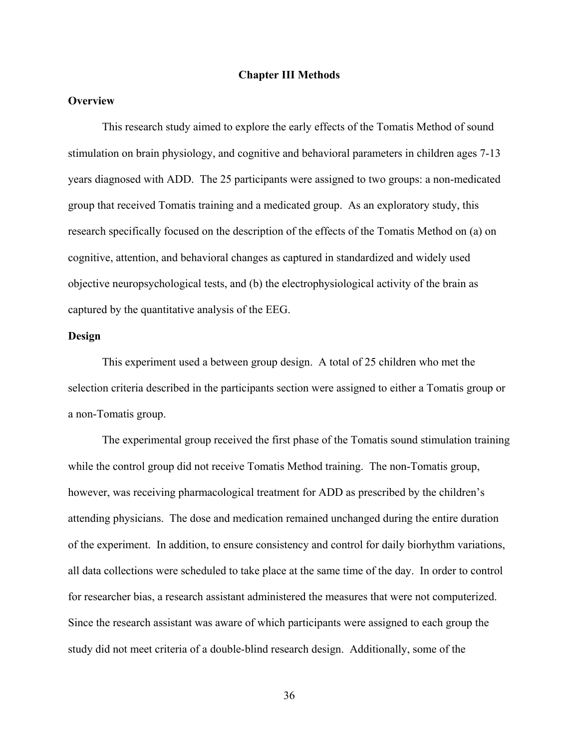### **Chapter III Methods**

# **Overview**

 This research study aimed to explore the early effects of the Tomatis Method of sound stimulation on brain physiology, and cognitive and behavioral parameters in children ages 7-13 years diagnosed with ADD. The 25 participants were assigned to two groups: a non-medicated group that received Tomatis training and a medicated group. As an exploratory study, this research specifically focused on the description of the effects of the Tomatis Method on (a) on cognitive, attention, and behavioral changes as captured in standardized and widely used objective neuropsychological tests, and (b) the electrophysiological activity of the brain as captured by the quantitative analysis of the EEG.

## **Design**

This experiment used a between group design. A total of 25 children who met the selection criteria described in the participants section were assigned to either a Tomatis group or a non-Tomatis group.

The experimental group received the first phase of the Tomatis sound stimulation training while the control group did not receive Tomatis Method training. The non-Tomatis group, however, was receiving pharmacological treatment for ADD as prescribed by the children's attending physicians. The dose and medication remained unchanged during the entire duration of the experiment. In addition, to ensure consistency and control for daily biorhythm variations, all data collections were scheduled to take place at the same time of the day. In order to control for researcher bias, a research assistant administered the measures that were not computerized. Since the research assistant was aware of which participants were assigned to each group the study did not meet criteria of a double-blind research design. Additionally, some of the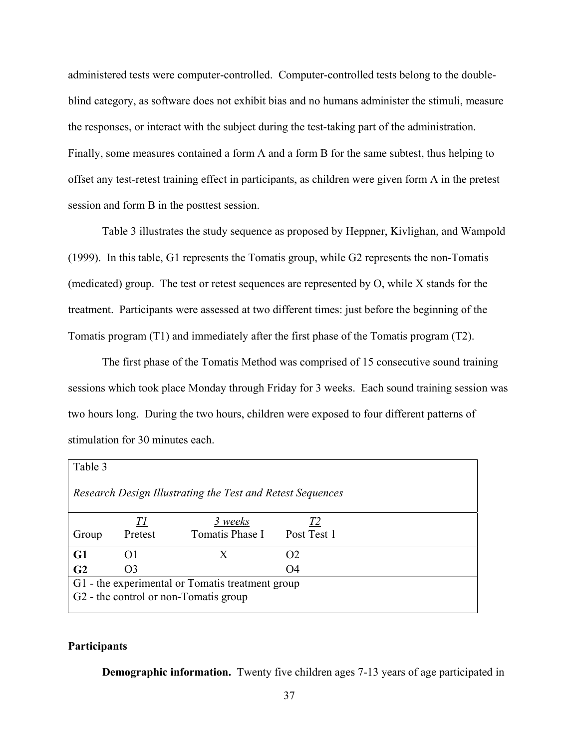administered tests were computer-controlled. Computer-controlled tests belong to the doubleblind category, as software does not exhibit bias and no humans administer the stimuli, measure the responses, or interact with the subject during the test-taking part of the administration. Finally, some measures contained a form A and a form B for the same subtest, thus helping to offset any test-retest training effect in participants, as children were given form A in the pretest session and form B in the posttest session.

Table 3 illustrates the study sequence as proposed by Heppner, Kivlighan, and Wampold (1999). In this table, G1 represents the Tomatis group, while G2 represents the non-Tomatis (medicated) group. The test or retest sequences are represented by O, while X stands for the treatment. Participants were assessed at two different times: just before the beginning of the Tomatis program (T1) and immediately after the first phase of the Tomatis program (T2).

The first phase of the Tomatis Method was comprised of 15 consecutive sound training sessions which took place Monday through Friday for 3 weeks. Each sound training session was two hours long. During the two hours, children were exposed to four different patterns of stimulation for 30 minutes each.

| Table 3                                                    |                |                                                   |                |  |
|------------------------------------------------------------|----------------|---------------------------------------------------|----------------|--|
| Research Design Illustrating the Test and Retest Sequences |                |                                                   |                |  |
|                                                            | Тl             | 3 weeks                                           |                |  |
| Group                                                      | Pretest        | Tomatis Phase I                                   | Post Test 1    |  |
| G1                                                         | $\Omega$       | Χ                                                 | O <sub>2</sub> |  |
| G <sub>2</sub>                                             | O <sub>3</sub> |                                                   | O4             |  |
| G1 - the experimental or Tomatis treatment group           |                |                                                   |                |  |
|                                                            |                | G <sub>2</sub> - the control or non-Tomatis group |                |  |
|                                                            |                |                                                   |                |  |

# **Participants**

**Demographic information.** Twenty five children ages 7-13 years of age participated in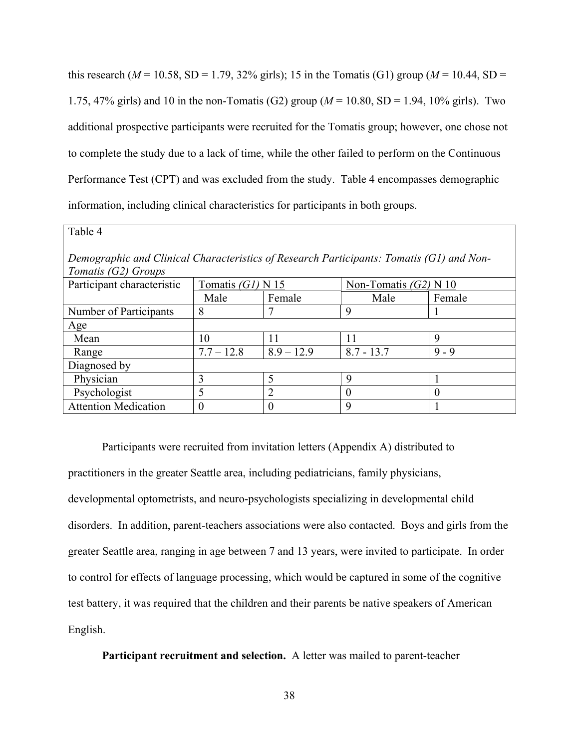this research ( $M = 10.58$ , SD = 1.79, 32% girls); 15 in the Tomatis (G1) group ( $M = 10.44$ , SD = 1.75, 47% girls) and 10 in the non-Tomatis (G2) group (*M* = 10.80, SD = 1.94, 10% girls). Two additional prospective participants were recruited for the Tomatis group; however, one chose not to complete the study due to a lack of time, while the other failed to perform on the Continuous Performance Test (CPT) and was excluded from the study. Table 4 encompasses demographic information, including clinical characteristics for participants in both groups.

| Table 4                                                                                                         |                     |                  |                         |          |
|-----------------------------------------------------------------------------------------------------------------|---------------------|------------------|-------------------------|----------|
| Demographic and Clinical Characteristics of Research Participants: Tomatis (G1) and Non-<br>Tomatis (G2) Groups |                     |                  |                         |          |
| Participant characteristic                                                                                      | Tomatis $(GI)$ N 15 |                  | Non-Tomatis $(G2)$ N 10 |          |
|                                                                                                                 | Male                | Female           | Male                    | Female   |
| Number of Participants                                                                                          | 8                   |                  | 9                       |          |
| Age                                                                                                             |                     |                  |                         |          |
| Mean                                                                                                            | 10                  | 11               | 11                      | 9        |
| Range                                                                                                           | $7.7 - 12.8$        | $8.9 - 12.9$     | $8.7 - 13.7$            | $9 - 9$  |
| Diagnosed by                                                                                                    |                     |                  |                         |          |
| Physician                                                                                                       | 3                   | 5                | 9                       |          |
| Psychologist                                                                                                    | 5                   | $\overline{2}$   | $\theta$                | $\Omega$ |
| <b>Attention Medication</b>                                                                                     |                     | $\boldsymbol{0}$ | 9                       |          |

Participants were recruited from invitation letters (Appendix A) distributed to practitioners in the greater Seattle area, including pediatricians, family physicians, developmental optometrists, and neuro-psychologists specializing in developmental child disorders. In addition, parent-teachers associations were also contacted. Boys and girls from the greater Seattle area, ranging in age between 7 and 13 years, were invited to participate. In order to control for effects of language processing, which would be captured in some of the cognitive test battery, it was required that the children and their parents be native speakers of American English.

 **Participant recruitment and selection.** A letter was mailed to parent-teacher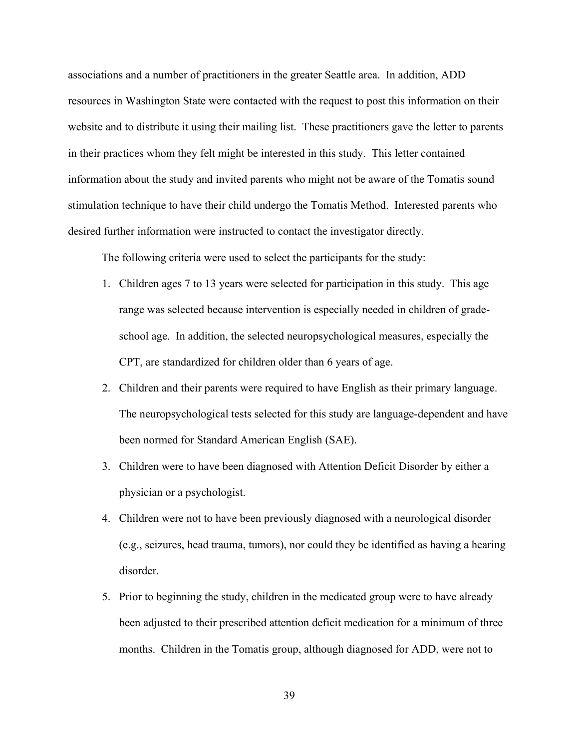associations and a number of practitioners in the greater Seattle area. In addition, ADD resources in Washington State were contacted with the request to post this information on their website and to distribute it using their mailing list. These practitioners gave the letter to parents in their practices whom they felt might be interested in this study. This letter contained information about the study and invited parents who might not be aware of the Tomatis sound stimulation technique to have their child undergo the Tomatis Method. Interested parents who desired further information were instructed to contact the investigator directly.

The following criteria were used to select the participants for the study:

- 1. Children ages 7 to 13 years were selected for participation in this study. This age range was selected because intervention is especially needed in children of gradeschool age. In addition, the selected neuropsychological measures, especially the CPT, are standardized for children older than 6 years of age.
- 2. Children and their parents were required to have English as their primary language. The neuropsychological tests selected for this study are language-dependent and have been normed for Standard American English (SAE).
- 3. Children were to have been diagnosed with Attention Deficit Disorder by either a physician or a psychologist.
- 4. Children were not to have been previously diagnosed with a neurological disorder (e.g., seizures, head trauma, tumors), nor could they be identified as having a hearing disorder.
- 5. Prior to beginning the study, children in the medicated group were to have already been adjusted to their prescribed attention deficit medication for a minimum of three months. Children in the Tomatis group, although diagnosed for ADD, were not to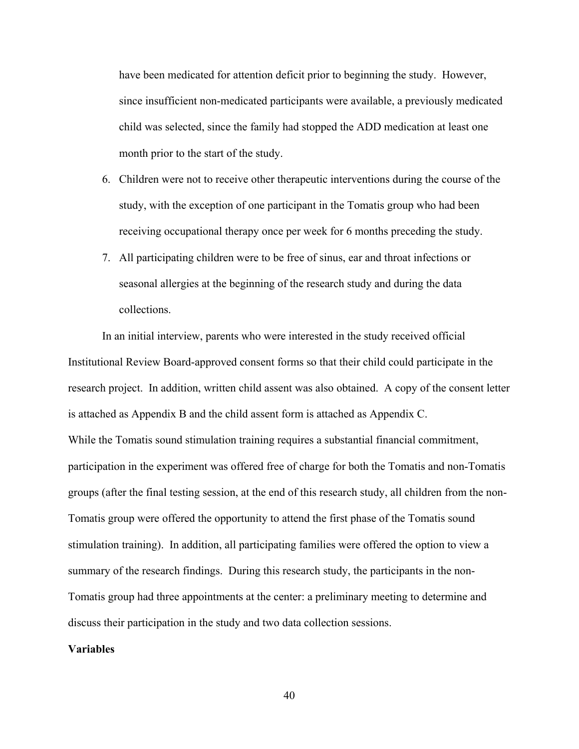have been medicated for attention deficit prior to beginning the study. However, since insufficient non-medicated participants were available, a previously medicated child was selected, since the family had stopped the ADD medication at least one month prior to the start of the study.

- 6. Children were not to receive other therapeutic interventions during the course of the study, with the exception of one participant in the Tomatis group who had been receiving occupational therapy once per week for 6 months preceding the study.
- 7. All participating children were to be free of sinus, ear and throat infections or seasonal allergies at the beginning of the research study and during the data collections.

 In an initial interview, parents who were interested in the study received official Institutional Review Board-approved consent forms so that their child could participate in the research project. In addition, written child assent was also obtained. A copy of the consent letter is attached as Appendix B and the child assent form is attached as Appendix C. While the Tomatis sound stimulation training requires a substantial financial commitment, participation in the experiment was offered free of charge for both the Tomatis and non-Tomatis groups (after the final testing session, at the end of this research study, all children from the non-Tomatis group were offered the opportunity to attend the first phase of the Tomatis sound stimulation training). In addition, all participating families were offered the option to view a summary of the research findings. During this research study, the participants in the non-Tomatis group had three appointments at the center: a preliminary meeting to determine and discuss their participation in the study and two data collection sessions.

#### **Variables**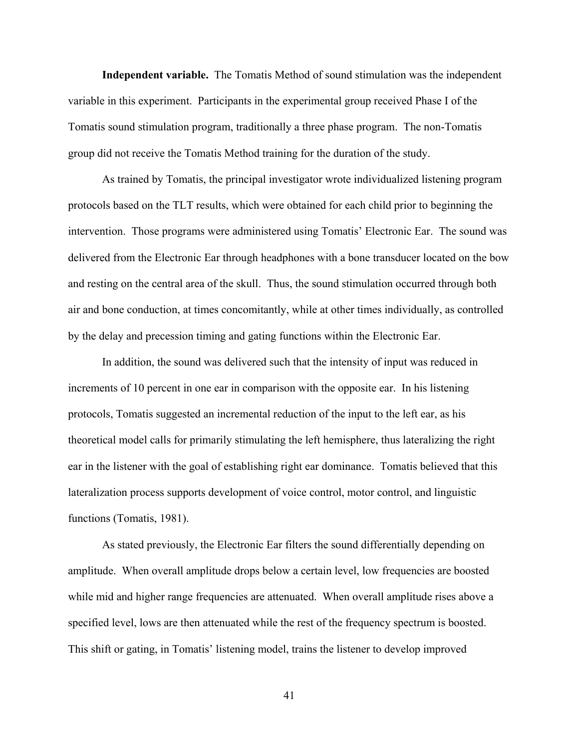**Independent variable.** The Tomatis Method of sound stimulation was the independent variable in this experiment. Participants in the experimental group received Phase I of the Tomatis sound stimulation program, traditionally a three phase program. The non-Tomatis group did not receive the Tomatis Method training for the duration of the study.

As trained by Tomatis, the principal investigator wrote individualized listening program protocols based on the TLT results, which were obtained for each child prior to beginning the intervention. Those programs were administered using Tomatis' Electronic Ear. The sound was delivered from the Electronic Ear through headphones with a bone transducer located on the bow and resting on the central area of the skull. Thus, the sound stimulation occurred through both air and bone conduction, at times concomitantly, while at other times individually, as controlled by the delay and precession timing and gating functions within the Electronic Ear.

In addition, the sound was delivered such that the intensity of input was reduced in increments of 10 percent in one ear in comparison with the opposite ear. In his listening protocols, Tomatis suggested an incremental reduction of the input to the left ear, as his theoretical model calls for primarily stimulating the left hemisphere, thus lateralizing the right ear in the listener with the goal of establishing right ear dominance. Tomatis believed that this lateralization process supports development of voice control, motor control, and linguistic functions (Tomatis, 1981).

As stated previously, the Electronic Ear filters the sound differentially depending on amplitude. When overall amplitude drops below a certain level, low frequencies are boosted while mid and higher range frequencies are attenuated. When overall amplitude rises above a specified level, lows are then attenuated while the rest of the frequency spectrum is boosted. This shift or gating, in Tomatis' listening model, trains the listener to develop improved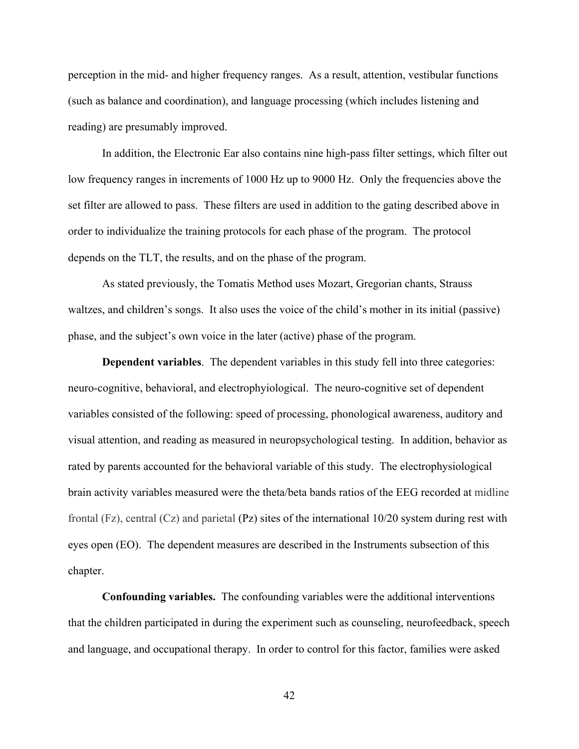perception in the mid- and higher frequency ranges. As a result, attention, vestibular functions (such as balance and coordination), and language processing (which includes listening and reading) are presumably improved.

In addition, the Electronic Ear also contains nine high-pass filter settings, which filter out low frequency ranges in increments of 1000 Hz up to 9000 Hz. Only the frequencies above the set filter are allowed to pass. These filters are used in addition to the gating described above in order to individualize the training protocols for each phase of the program. The protocol depends on the TLT, the results, and on the phase of the program.

As stated previously, the Tomatis Method uses Mozart, Gregorian chants, Strauss waltzes, and children's songs. It also uses the voice of the child's mother in its initial (passive) phase, and the subject's own voice in the later (active) phase of the program.

**Dependent variables**. The dependent variables in this study fell into three categories: neuro-cognitive, behavioral, and electrophyiological. The neuro-cognitive set of dependent variables consisted of the following: speed of processing, phonological awareness, auditory and visual attention, and reading as measured in neuropsychological testing. In addition, behavior as rated by parents accounted for the behavioral variable of this study. The electrophysiological brain activity variables measured were the theta/beta bands ratios of the EEG recorded at midline frontal (Fz), central (Cz) and parietal (Pz) sites of the international 10/20 system during rest with eyes open (EO). The dependent measures are described in the Instruments subsection of this chapter.

**Confounding variables.** The confounding variables were the additional interventions that the children participated in during the experiment such as counseling, neurofeedback, speech and language, and occupational therapy. In order to control for this factor, families were asked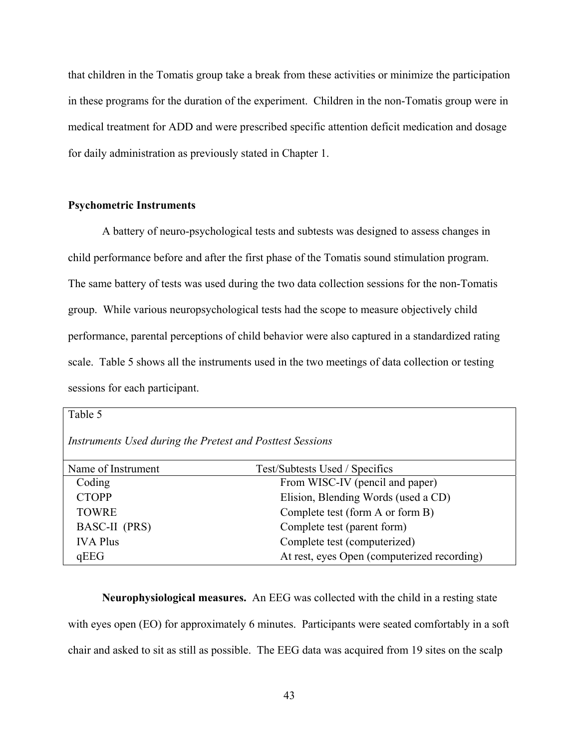that children in the Tomatis group take a break from these activities or minimize the participation in these programs for the duration of the experiment. Children in the non-Tomatis group were in medical treatment for ADD and were prescribed specific attention deficit medication and dosage for daily administration as previously stated in Chapter 1.

### **Psychometric Instruments**

A battery of neuro-psychological tests and subtests was designed to assess changes in child performance before and after the first phase of the Tomatis sound stimulation program. The same battery of tests was used during the two data collection sessions for the non-Tomatis group. While various neuropsychological tests had the scope to measure objectively child performance, parental perceptions of child behavior were also captured in a standardized rating scale. Table 5 shows all the instruments used in the two meetings of data collection or testing sessions for each participant.

| Table 5                                                   |                                             |  |  |  |
|-----------------------------------------------------------|---------------------------------------------|--|--|--|
| Instruments Used during the Pretest and Posttest Sessions |                                             |  |  |  |
| Name of Instrument                                        | Test/Subtests Used / Specifics              |  |  |  |
| Coding                                                    | From WISC-IV (pencil and paper)             |  |  |  |
| <b>CTOPP</b>                                              | Elision, Blending Words (used a CD)         |  |  |  |
| <b>TOWRE</b>                                              | Complete test (form A or form B)            |  |  |  |
| BASC-II (PRS)                                             | Complete test (parent form)                 |  |  |  |
| <b>IVA Plus</b>                                           | Complete test (computerized)                |  |  |  |
| qEEG                                                      | At rest, eyes Open (computerized recording) |  |  |  |

 **Neurophysiological measures.** An EEG was collected with the child in a resting state with eyes open (EO) for approximately 6 minutes. Participants were seated comfortably in a soft chair and asked to sit as still as possible. The EEG data was acquired from 19 sites on the scalp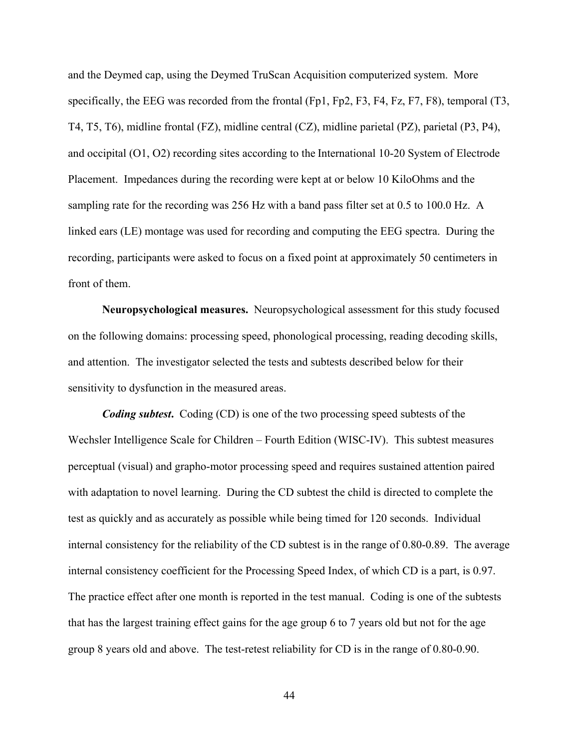and the Deymed cap, using the Deymed TruScan Acquisition computerized system. More specifically, the EEG was recorded from the frontal (Fp1, Fp2, F3, F4, Fz, F7, F8), temporal (T3, T4, T5, T6), midline frontal (FZ), midline central (CZ), midline parietal (PZ), parietal (P3, P4), and occipital (O1, O2) recording sites according to the International 10-20 System of Electrode Placement. Impedances during the recording were kept at or below 10 KiloOhms and the sampling rate for the recording was 256 Hz with a band pass filter set at 0.5 to 100.0 Hz. A linked ears (LE) montage was used for recording and computing the EEG spectra. During the recording, participants were asked to focus on a fixed point at approximately 50 centimeters in front of them.

 **Neuropsychological measures.** Neuropsychological assessment for this study focused on the following domains: processing speed, phonological processing, reading decoding skills, and attention. The investigator selected the tests and subtests described below for their sensitivity to dysfunction in the measured areas.

*Coding subtest***.** Coding (CD) is one of the two processing speed subtests of the Wechsler Intelligence Scale for Children – Fourth Edition (WISC-IV). This subtest measures perceptual (visual) and grapho-motor processing speed and requires sustained attention paired with adaptation to novel learning. During the CD subtest the child is directed to complete the test as quickly and as accurately as possible while being timed for 120 seconds. Individual internal consistency for the reliability of the CD subtest is in the range of 0.80-0.89. The average internal consistency coefficient for the Processing Speed Index, of which CD is a part, is 0.97. The practice effect after one month is reported in the test manual. Coding is one of the subtests that has the largest training effect gains for the age group 6 to 7 years old but not for the age group 8 years old and above. The test-retest reliability for CD is in the range of 0.80-0.90.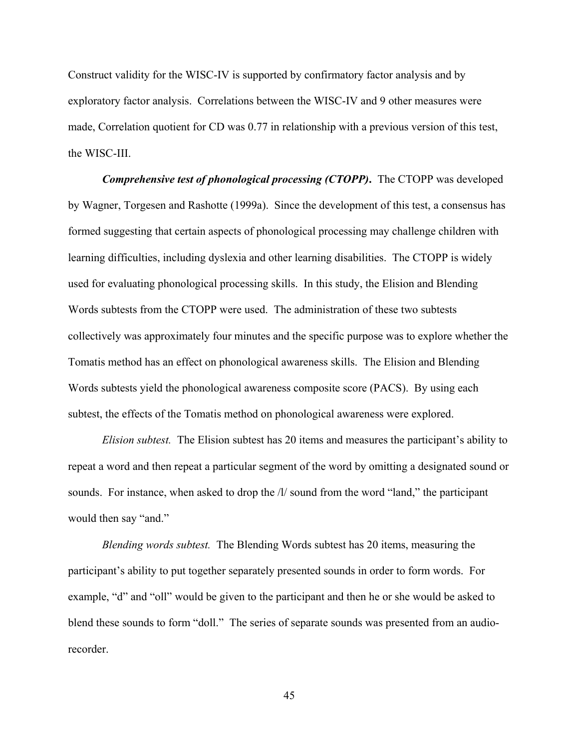Construct validity for the WISC-IV is supported by confirmatory factor analysis and by exploratory factor analysis. Correlations between the WISC-IV and 9 other measures were made, Correlation quotient for CD was 0.77 in relationship with a previous version of this test, the WISC-III.

*Comprehensive test of phonological processing (CTOPP)***.** The CTOPP was developed by Wagner, Torgesen and Rashotte (1999a). Since the development of this test, a consensus has formed suggesting that certain aspects of phonological processing may challenge children with learning difficulties, including dyslexia and other learning disabilities. The CTOPP is widely used for evaluating phonological processing skills. In this study, the Elision and Blending Words subtests from the CTOPP were used. The administration of these two subtests collectively was approximately four minutes and the specific purpose was to explore whether the Tomatis method has an effect on phonological awareness skills. The Elision and Blending Words subtests yield the phonological awareness composite score (PACS). By using each subtest, the effects of the Tomatis method on phonological awareness were explored.

*Elision subtest.* The Elision subtest has 20 items and measures the participant's ability to repeat a word and then repeat a particular segment of the word by omitting a designated sound or sounds. For instance, when asked to drop the  $\Lambda$  sound from the word "land," the participant would then say "and."

*Blending words subtest.* The Blending Words subtest has 20 items, measuring the participant's ability to put together separately presented sounds in order to form words. For example, "d" and "oll" would be given to the participant and then he or she would be asked to blend these sounds to form "doll." The series of separate sounds was presented from an audiorecorder.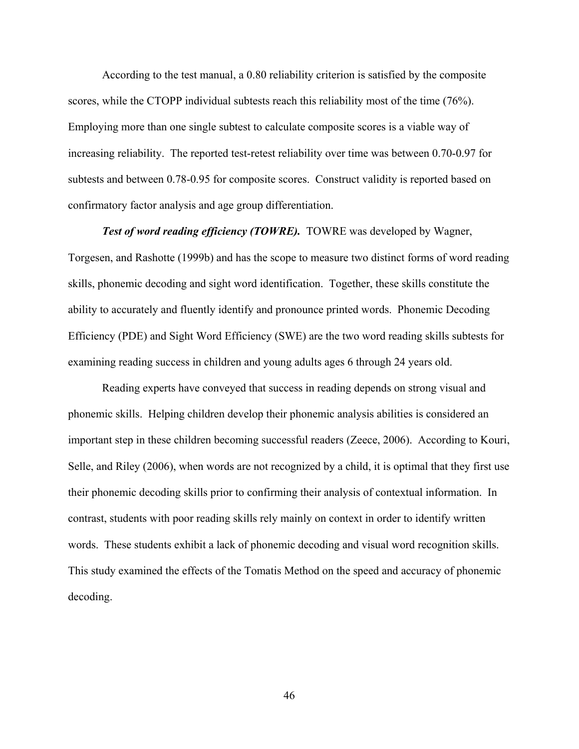According to the test manual, a 0.80 reliability criterion is satisfied by the composite scores, while the CTOPP individual subtests reach this reliability most of the time (76%). Employing more than one single subtest to calculate composite scores is a viable way of increasing reliability. The reported test-retest reliability over time was between 0.70-0.97 for subtests and between 0.78-0.95 for composite scores. Construct validity is reported based on confirmatory factor analysis and age group differentiation.

*Test of word reading efficiency (TOWRE).* TOWRE was developed by Wagner, Torgesen, and Rashotte (1999b) and has the scope to measure two distinct forms of word reading skills, phonemic decoding and sight word identification. Together, these skills constitute the ability to accurately and fluently identify and pronounce printed words. Phonemic Decoding Efficiency (PDE) and Sight Word Efficiency (SWE) are the two word reading skills subtests for examining reading success in children and young adults ages 6 through 24 years old.

Reading experts have conveyed that success in reading depends on strong visual and phonemic skills. Helping children develop their phonemic analysis abilities is considered an important step in these children becoming successful readers (Zeece, 2006). According to Kouri, Selle, and Riley (2006), when words are not recognized by a child, it is optimal that they first use their phonemic decoding skills prior to confirming their analysis of contextual information. In contrast, students with poor reading skills rely mainly on context in order to identify written words. These students exhibit a lack of phonemic decoding and visual word recognition skills. This study examined the effects of the Tomatis Method on the speed and accuracy of phonemic decoding.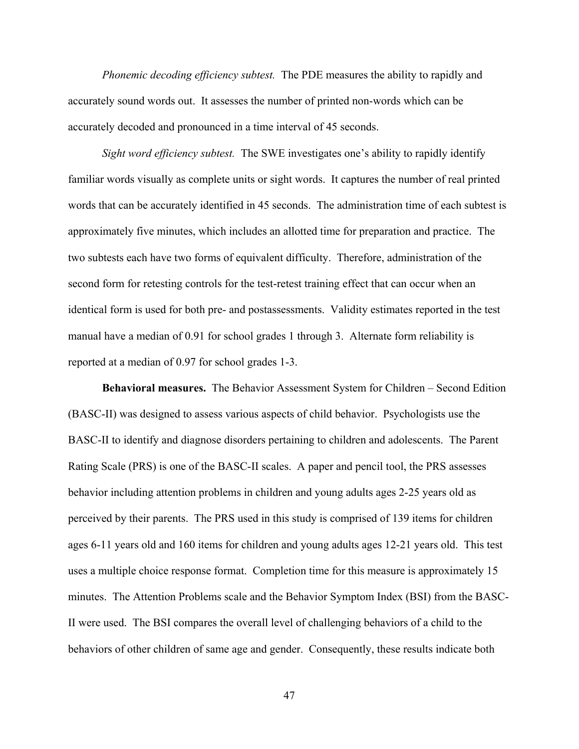*Phonemic decoding efficiency subtest.* The PDE measures the ability to rapidly and accurately sound words out. It assesses the number of printed non-words which can be accurately decoded and pronounced in a time interval of 45 seconds.

*Sight word efficiency subtest.* The SWE investigates one's ability to rapidly identify familiar words visually as complete units or sight words. It captures the number of real printed words that can be accurately identified in 45 seconds. The administration time of each subtest is approximately five minutes, which includes an allotted time for preparation and practice. The two subtests each have two forms of equivalent difficulty. Therefore, administration of the second form for retesting controls for the test-retest training effect that can occur when an identical form is used for both pre- and postassessments. Validity estimates reported in the test manual have a median of 0.91 for school grades 1 through 3. Alternate form reliability is reported at a median of 0.97 for school grades 1-3.

**Behavioral measures.** The Behavior Assessment System for Children – Second Edition (BASC-II) was designed to assess various aspects of child behavior. Psychologists use the BASC-II to identify and diagnose disorders pertaining to children and adolescents. The Parent Rating Scale (PRS) is one of the BASC-II scales. A paper and pencil tool, the PRS assesses behavior including attention problems in children and young adults ages 2-25 years old as perceived by their parents. The PRS used in this study is comprised of 139 items for children ages 6-11 years old and 160 items for children and young adults ages 12-21 years old. This test uses a multiple choice response format. Completion time for this measure is approximately 15 minutes. The Attention Problems scale and the Behavior Symptom Index (BSI) from the BASC-II were used. The BSI compares the overall level of challenging behaviors of a child to the behaviors of other children of same age and gender. Consequently, these results indicate both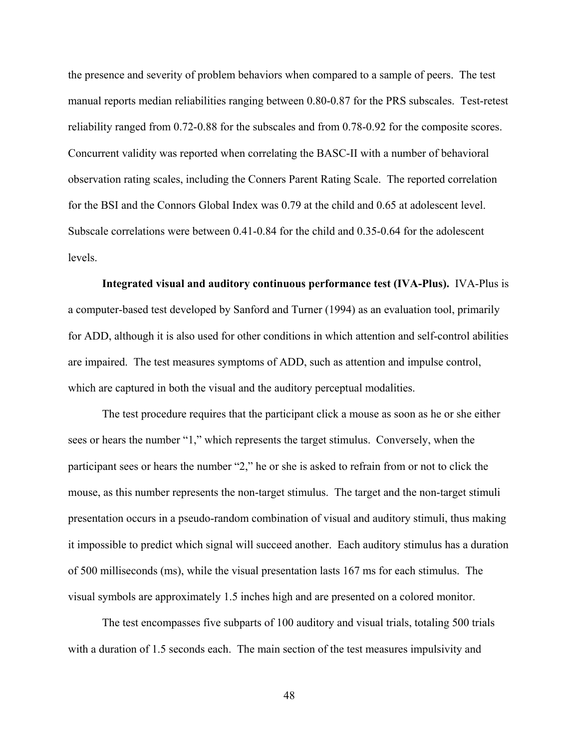the presence and severity of problem behaviors when compared to a sample of peers. The test manual reports median reliabilities ranging between 0.80-0.87 for the PRS subscales. Test-retest reliability ranged from 0.72-0.88 for the subscales and from 0.78-0.92 for the composite scores. Concurrent validity was reported when correlating the BASC-II with a number of behavioral observation rating scales, including the Conners Parent Rating Scale. The reported correlation for the BSI and the Connors Global Index was 0.79 at the child and 0.65 at adolescent level. Subscale correlations were between 0.41-0.84 for the child and 0.35-0.64 for the adolescent levels.

 **Integrated visual and auditory continuous performance test (IVA-Plus).** IVA-Plus is a computer-based test developed by Sanford and Turner (1994) as an evaluation tool, primarily for ADD, although it is also used for other conditions in which attention and self-control abilities are impaired. The test measures symptoms of ADD, such as attention and impulse control, which are captured in both the visual and the auditory perceptual modalities.

The test procedure requires that the participant click a mouse as soon as he or she either sees or hears the number "1," which represents the target stimulus. Conversely, when the participant sees or hears the number "2," he or she is asked to refrain from or not to click the mouse, as this number represents the non-target stimulus. The target and the non-target stimuli presentation occurs in a pseudo-random combination of visual and auditory stimuli, thus making it impossible to predict which signal will succeed another. Each auditory stimulus has a duration of 500 milliseconds (ms), while the visual presentation lasts 167 ms for each stimulus. The visual symbols are approximately 1.5 inches high and are presented on a colored monitor.

The test encompasses five subparts of 100 auditory and visual trials, totaling 500 trials with a duration of 1.5 seconds each. The main section of the test measures impulsivity and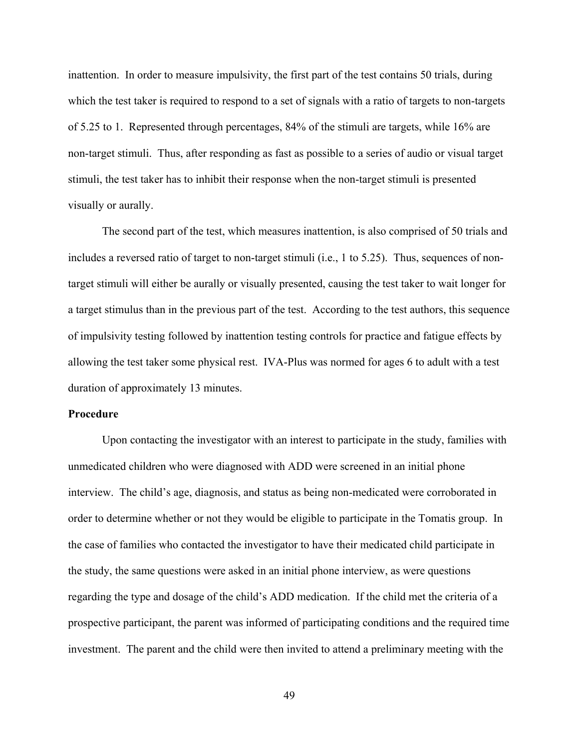inattention. In order to measure impulsivity, the first part of the test contains 50 trials, during which the test taker is required to respond to a set of signals with a ratio of targets to non-targets of 5.25 to 1. Represented through percentages, 84% of the stimuli are targets, while 16% are non-target stimuli. Thus, after responding as fast as possible to a series of audio or visual target stimuli, the test taker has to inhibit their response when the non-target stimuli is presented visually or aurally.

The second part of the test, which measures inattention, is also comprised of 50 trials and includes a reversed ratio of target to non-target stimuli (i.e., 1 to 5.25). Thus, sequences of nontarget stimuli will either be aurally or visually presented, causing the test taker to wait longer for a target stimulus than in the previous part of the test. According to the test authors, this sequence of impulsivity testing followed by inattention testing controls for practice and fatigue effects by allowing the test taker some physical rest. IVA-Plus was normed for ages 6 to adult with a test duration of approximately 13 minutes.

### **Procedure**

Upon contacting the investigator with an interest to participate in the study, families with unmedicated children who were diagnosed with ADD were screened in an initial phone interview. The child's age, diagnosis, and status as being non-medicated were corroborated in order to determine whether or not they would be eligible to participate in the Tomatis group. In the case of families who contacted the investigator to have their medicated child participate in the study, the same questions were asked in an initial phone interview, as were questions regarding the type and dosage of the child's ADD medication. If the child met the criteria of a prospective participant, the parent was informed of participating conditions and the required time investment. The parent and the child were then invited to attend a preliminary meeting with the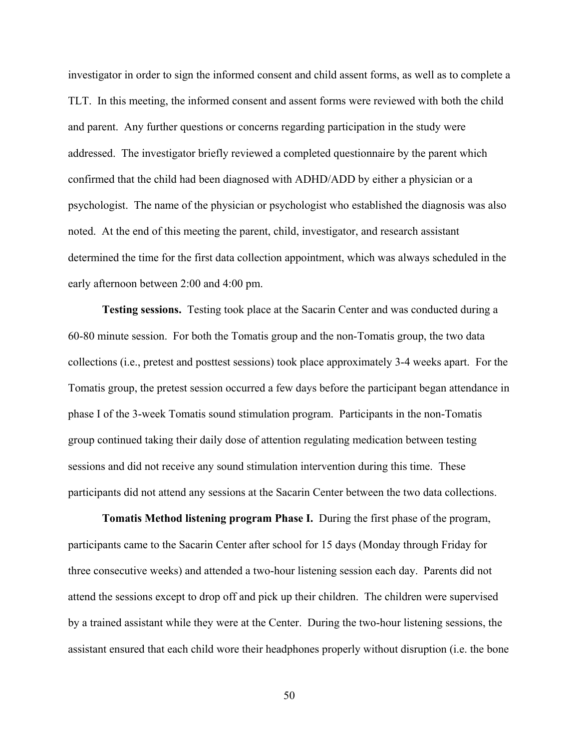investigator in order to sign the informed consent and child assent forms, as well as to complete a TLT. In this meeting, the informed consent and assent forms were reviewed with both the child and parent. Any further questions or concerns regarding participation in the study were addressed. The investigator briefly reviewed a completed questionnaire by the parent which confirmed that the child had been diagnosed with ADHD/ADD by either a physician or a psychologist. The name of the physician or psychologist who established the diagnosis was also noted. At the end of this meeting the parent, child, investigator, and research assistant determined the time for the first data collection appointment, which was always scheduled in the early afternoon between 2:00 and 4:00 pm.

**Testing sessions.** Testing took place at the Sacarin Center and was conducted during a 60-80 minute session. For both the Tomatis group and the non-Tomatis group, the two data collections (i.e., pretest and posttest sessions) took place approximately 3-4 weeks apart. For the Tomatis group, the pretest session occurred a few days before the participant began attendance in phase I of the 3-week Tomatis sound stimulation program. Participants in the non-Tomatis group continued taking their daily dose of attention regulating medication between testing sessions and did not receive any sound stimulation intervention during this time. These participants did not attend any sessions at the Sacarin Center between the two data collections.

**Tomatis Method listening program Phase I.** During the first phase of the program, participants came to the Sacarin Center after school for 15 days (Monday through Friday for three consecutive weeks) and attended a two-hour listening session each day. Parents did not attend the sessions except to drop off and pick up their children. The children were supervised by a trained assistant while they were at the Center. During the two-hour listening sessions, the assistant ensured that each child wore their headphones properly without disruption (i.e. the bone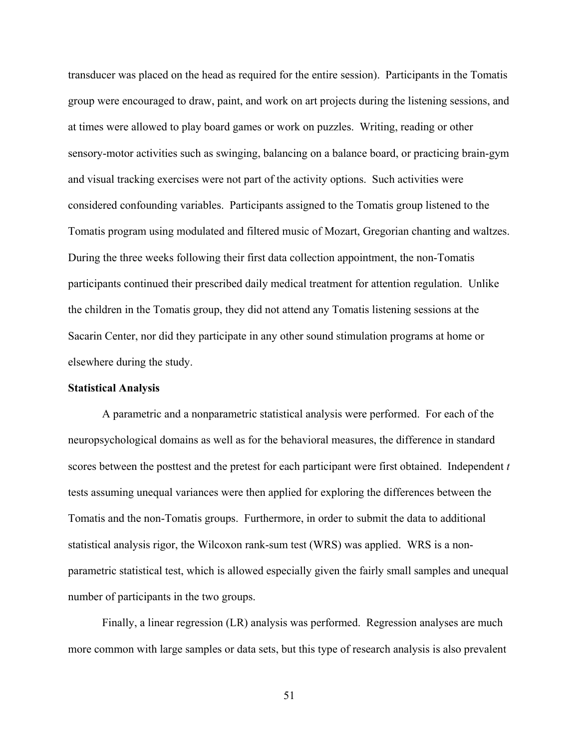transducer was placed on the head as required for the entire session). Participants in the Tomatis group were encouraged to draw, paint, and work on art projects during the listening sessions, and at times were allowed to play board games or work on puzzles. Writing, reading or other sensory-motor activities such as swinging, balancing on a balance board, or practicing brain-gym and visual tracking exercises were not part of the activity options. Such activities were considered confounding variables. Participants assigned to the Tomatis group listened to the Tomatis program using modulated and filtered music of Mozart, Gregorian chanting and waltzes. During the three weeks following their first data collection appointment, the non-Tomatis participants continued their prescribed daily medical treatment for attention regulation. Unlike the children in the Tomatis group, they did not attend any Tomatis listening sessions at the Sacarin Center, nor did they participate in any other sound stimulation programs at home or elsewhere during the study.

### **Statistical Analysis**

A parametric and a nonparametric statistical analysis were performed. For each of the neuropsychological domains as well as for the behavioral measures, the difference in standard scores between the posttest and the pretest for each participant were first obtained. Independent *t* tests assuming unequal variances were then applied for exploring the differences between the Tomatis and the non-Tomatis groups. Furthermore, in order to submit the data to additional statistical analysis rigor, the Wilcoxon rank-sum test (WRS) was applied. WRS is a nonparametric statistical test, which is allowed especially given the fairly small samples and unequal number of participants in the two groups.

Finally, a linear regression (LR) analysis was performed. Regression analyses are much more common with large samples or data sets, but this type of research analysis is also prevalent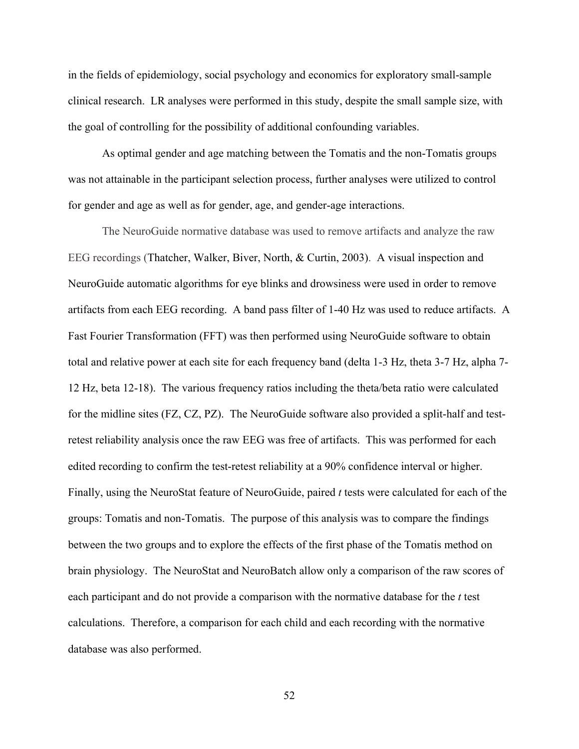in the fields of epidemiology, social psychology and economics for exploratory small-sample clinical research. LR analyses were performed in this study, despite the small sample size, with the goal of controlling for the possibility of additional confounding variables.

As optimal gender and age matching between the Tomatis and the non-Tomatis groups was not attainable in the participant selection process, further analyses were utilized to control for gender and age as well as for gender, age, and gender-age interactions.

The NeuroGuide normative database was used to remove artifacts and analyze the raw EEG recordings (Thatcher, Walker, Biver, North, & Curtin, 2003). A visual inspection and NeuroGuide automatic algorithms for eye blinks and drowsiness were used in order to remove artifacts from each EEG recording. A band pass filter of 1-40 Hz was used to reduce artifacts. A Fast Fourier Transformation (FFT) was then performed using NeuroGuide software to obtain total and relative power at each site for each frequency band (delta 1-3 Hz, theta 3-7 Hz, alpha 7- 12 Hz, beta 12-18). The various frequency ratios including the theta/beta ratio were calculated for the midline sites (FZ, CZ, PZ). The NeuroGuide software also provided a split-half and testretest reliability analysis once the raw EEG was free of artifacts. This was performed for each edited recording to confirm the test-retest reliability at a 90% confidence interval or higher. Finally, using the NeuroStat feature of NeuroGuide, paired *t* tests were calculated for each of the groups: Tomatis and non-Tomatis. The purpose of this analysis was to compare the findings between the two groups and to explore the effects of the first phase of the Tomatis method on brain physiology. The NeuroStat and NeuroBatch allow only a comparison of the raw scores of each participant and do not provide a comparison with the normative database for the *t* test calculations. Therefore, a comparison for each child and each recording with the normative database was also performed.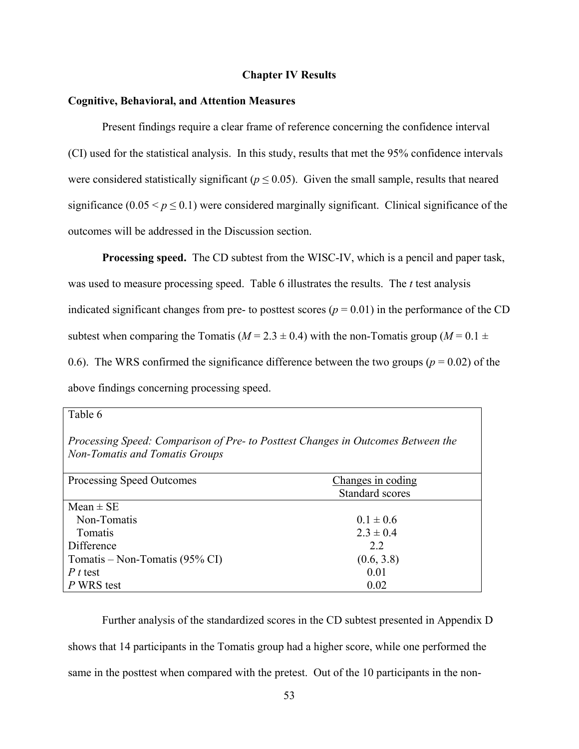#### **Chapter IV Results**

### **Cognitive, Behavioral, and Attention Measures**

Present findings require a clear frame of reference concerning the confidence interval (CI) used for the statistical analysis. In this study, results that met the 95% confidence intervals were considered statistically significant ( $p \le 0.05$ ). Given the small sample, results that neared significance  $(0.05 < p \le 0.1)$  were considered marginally significant. Clinical significance of the outcomes will be addressed in the Discussion section.

**Processing speed.** The CD subtest from the WISC-IV, which is a pencil and paper task, was used to measure processing speed. Table 6 illustrates the results. The *t* test analysis indicated significant changes from pre- to posttest scores ( $p = 0.01$ ) in the performance of the CD subtest when comparing the Tomatis ( $M = 2.3 \pm 0.4$ ) with the non-Tomatis group ( $M = 0.1 \pm 0.1$ ) 0.6). The WRS confirmed the significance difference between the two groups  $(p = 0.02)$  of the above findings concerning processing speed.

| anie |  |
|------|--|
|      |  |

| Processing Speed Outcomes      | Changes in coding |  |
|--------------------------------|-------------------|--|
|                                | Standard scores   |  |
| $Mean \pm SE$                  |                   |  |
| Non-Tomatis                    | $0.1 \pm 0.6$     |  |
| Tomatis                        | $2.3 \pm 0.4$     |  |
| Difference                     | 2.2               |  |
| Tomatis – Non-Tomatis (95% CI) | (0.6, 3.8)        |  |
| $P t$ test                     | 0.01              |  |
| P WRS test                     | 0.02              |  |

*Processing Speed: Comparison of Pre- to Posttest Changes in Outcomes Between the Non-Tomatis and Tomatis Groups* 

Further analysis of the standardized scores in the CD subtest presented in Appendix D shows that 14 participants in the Tomatis group had a higher score, while one performed the same in the posttest when compared with the pretest. Out of the 10 participants in the non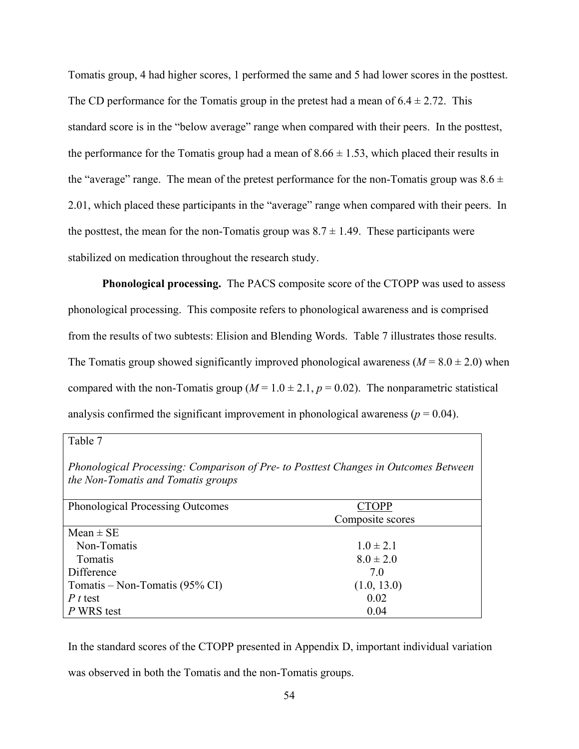Tomatis group, 4 had higher scores, 1 performed the same and 5 had lower scores in the posttest. The CD performance for the Tomatis group in the pretest had a mean of  $6.4 \pm 2.72$ . This standard score is in the "below average" range when compared with their peers. In the posttest, the performance for the Tomatis group had a mean of  $8.66 \pm 1.53$ , which placed their results in the "average" range. The mean of the pretest performance for the non-Tomatis group was  $8.6 \pm$ 2.01, which placed these participants in the "average" range when compared with their peers. In the posttest, the mean for the non-Tomatis group was  $8.7 \pm 1.49$ . These participants were stabilized on medication throughout the research study.

**Phonological processing.** The PACS composite score of the CTOPP was used to assess phonological processing. This composite refers to phonological awareness and is comprised from the results of two subtests: Elision and Blending Words. Table 7 illustrates those results. The Tomatis group showed significantly improved phonological awareness  $(M = 8.0 \pm 2.0)$  when compared with the non-Tomatis group ( $M = 1.0 \pm 2.1$ ,  $p = 0.02$ ). The nonparametric statistical analysis confirmed the significant improvement in phonological awareness ( $p = 0.04$ ).

Table 7

| Phonological Processing: Comparison of Pre- to Posttest Changes in Outcomes Between<br>the Non-Tomatis and Tomatis groups |                  |  |  |
|---------------------------------------------------------------------------------------------------------------------------|------------------|--|--|
| <b>Phonological Processing Outcomes</b>                                                                                   | <b>CTOPP</b>     |  |  |
|                                                                                                                           | Composite scores |  |  |
| $Mean \pm SE$                                                                                                             |                  |  |  |
| Non-Tomatis                                                                                                               | $1.0 \pm 2.1$    |  |  |

Tomatis  $8.0 \pm 2.0$ Difference 7.0 Tomatis – Non-Tomatis (95% CI) (1.0, 13.0) *P t* test 0.02 *P* WRS test 0.04

In the standard scores of the CTOPP presented in Appendix D, important individual variation was observed in both the Tomatis and the non-Tomatis groups.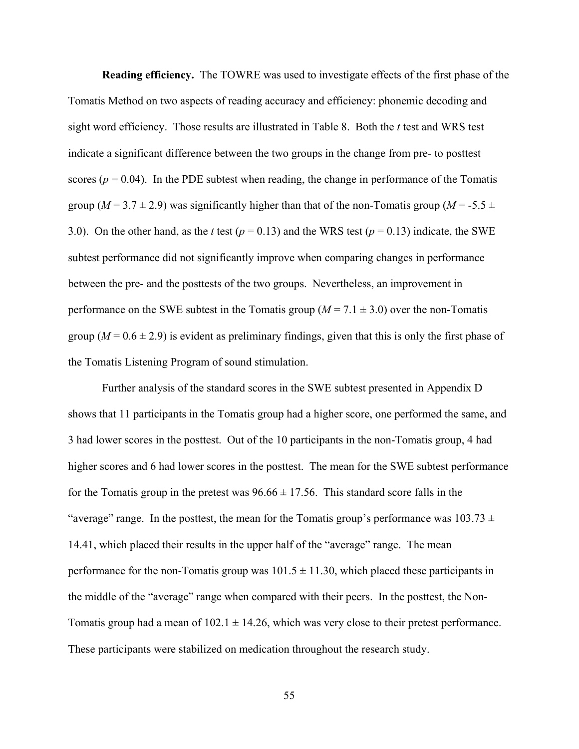**Reading efficiency.** The TOWRE was used to investigate effects of the first phase of the Tomatis Method on two aspects of reading accuracy and efficiency: phonemic decoding and sight word efficiency. Those results are illustrated in Table 8. Both the *t* test and WRS test indicate a significant difference between the two groups in the change from pre- to posttest scores ( $p = 0.04$ ). In the PDE subtest when reading, the change in performance of the Tomatis group ( $M = 3.7 \pm 2.9$ ) was significantly higher than that of the non-Tomatis group ( $M = -5.5 \pm 1.5$ 3.0). On the other hand, as the *t* test ( $p = 0.13$ ) and the WRS test ( $p = 0.13$ ) indicate, the SWE subtest performance did not significantly improve when comparing changes in performance between the pre- and the posttests of the two groups. Nevertheless, an improvement in performance on the SWE subtest in the Tomatis group ( $M = 7.1 \pm 3.0$ ) over the non-Tomatis group ( $M = 0.6 \pm 2.9$ ) is evident as preliminary findings, given that this is only the first phase of the Tomatis Listening Program of sound stimulation.

Further analysis of the standard scores in the SWE subtest presented in Appendix D shows that 11 participants in the Tomatis group had a higher score, one performed the same, and 3 had lower scores in the posttest. Out of the 10 participants in the non-Tomatis group, 4 had higher scores and 6 had lower scores in the posttest. The mean for the SWE subtest performance for the Tomatis group in the pretest was  $96.66 \pm 17.56$ . This standard score falls in the "average" range. In the posttest, the mean for the Tomatis group's performance was  $103.73 \pm 100$ 14.41, which placed their results in the upper half of the "average" range. The mean performance for the non-Tomatis group was  $101.5 \pm 11.30$ , which placed these participants in the middle of the "average" range when compared with their peers. In the posttest, the Non-Tomatis group had a mean of  $102.1 \pm 14.26$ , which was very close to their pretest performance. These participants were stabilized on medication throughout the research study.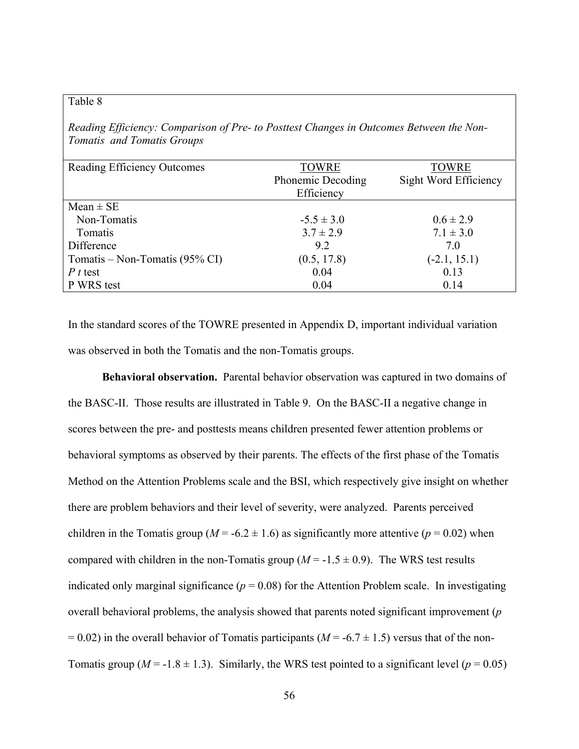# Table 8

*Reading Efficiency: Comparison of Pre- to Posttest Changes in Outcomes Between the Non-Tomatis and Tomatis Groups* 

| <b>Reading Efficiency Outcomes</b> | <b>TOWRE</b>      | <b>TOWRE</b>          |
|------------------------------------|-------------------|-----------------------|
|                                    | Phonemic Decoding | Sight Word Efficiency |
|                                    | Efficiency        |                       |
| $Mean \pm SE$                      |                   |                       |
| Non-Tomatis                        | $-5.5 \pm 3.0$    | $0.6 \pm 2.9$         |
| Tomatis                            | $3.7 \pm 2.9$     | $7.1 \pm 3.0$         |
| Difference                         | 92                | 7.0                   |
| Tomatis – Non-Tomatis (95% CI)     | (0.5, 17.8)       | $(-2.1, 15.1)$        |
| $P t$ test                         | 0.04              | 0.13                  |
| P WRS test                         | 0.04              | 0.14                  |

In the standard scores of the TOWRE presented in Appendix D, important individual variation was observed in both the Tomatis and the non-Tomatis groups.

**Behavioral observation.** Parental behavior observation was captured in two domains of the BASC-II. Those results are illustrated in Table 9. On the BASC-II a negative change in scores between the pre- and posttests means children presented fewer attention problems or behavioral symptoms as observed by their parents. The effects of the first phase of the Tomatis Method on the Attention Problems scale and the BSI, which respectively give insight on whether there are problem behaviors and their level of severity, were analyzed. Parents perceived children in the Tomatis group ( $M = -6.2 \pm 1.6$ ) as significantly more attentive ( $p = 0.02$ ) when compared with children in the non-Tomatis group  $(M = -1.5 \pm 0.9)$ . The WRS test results indicated only marginal significance  $(p = 0.08)$  for the Attention Problem scale. In investigating overall behavioral problems, the analysis showed that parents noted significant improvement (*p*   $= 0.02$ ) in the overall behavior of Tomatis participants ( $M = -6.7 \pm 1.5$ ) versus that of the non-Tomatis group ( $M = -1.8 \pm 1.3$ ). Similarly, the WRS test pointed to a significant level ( $p = 0.05$ )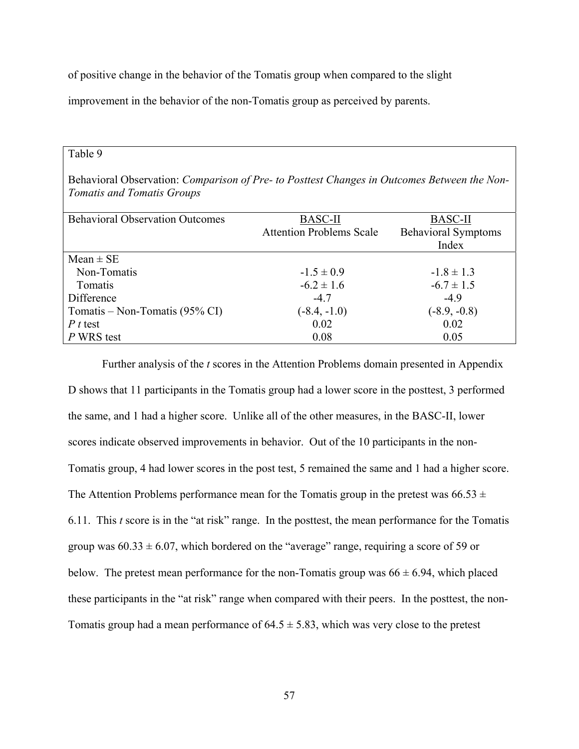of positive change in the behavior of the Tomatis group when compared to the slight

improvement in the behavior of the non-Tomatis group as perceived by parents.

# Table 9

Behavioral Observation: *Comparison of Pre- to Posttest Changes in Outcomes Between the Non-Tomatis and Tomatis Groups* 

| <b>Behavioral Observation Outcomes</b> | <b>BASC-II</b>                  | <b>BASC-II</b>             |
|----------------------------------------|---------------------------------|----------------------------|
|                                        | <b>Attention Problems Scale</b> | <b>Behavioral Symptoms</b> |
|                                        |                                 | Index                      |
| $Mean \pm SE$                          |                                 |                            |
| Non-Tomatis                            | $-1.5 \pm 0.9$                  | $-1.8 \pm 1.3$             |
| Tomatis                                | $-6.2 \pm 1.6$                  | $-6.7 \pm 1.5$             |
| Difference                             | $-4.7$                          | $-4.9$                     |
| Tomatis – Non-Tomatis (95% CI)         | $(-8.4, -1.0)$                  | $(-8.9, -0.8)$             |
| $P t$ test                             | 0.02                            | 0.02                       |
| P WRS test                             | 0.08                            | 0.05                       |

Further analysis of the *t* scores in the Attention Problems domain presented in Appendix D shows that 11 participants in the Tomatis group had a lower score in the posttest, 3 performed the same, and 1 had a higher score. Unlike all of the other measures, in the BASC-II, lower scores indicate observed improvements in behavior. Out of the 10 participants in the non-Tomatis group, 4 had lower scores in the post test, 5 remained the same and 1 had a higher score. The Attention Problems performance mean for the Tomatis group in the pretest was  $66.53 \pm$ 6.11. This *t* score is in the "at risk" range. In the posttest, the mean performance for the Tomatis group was  $60.33 \pm 6.07$ , which bordered on the "average" range, requiring a score of 59 or below. The pretest mean performance for the non-Tomatis group was  $66 \pm 6.94$ , which placed these participants in the "at risk" range when compared with their peers. In the posttest, the non-Tomatis group had a mean performance of  $64.5 \pm 5.83$ , which was very close to the pretest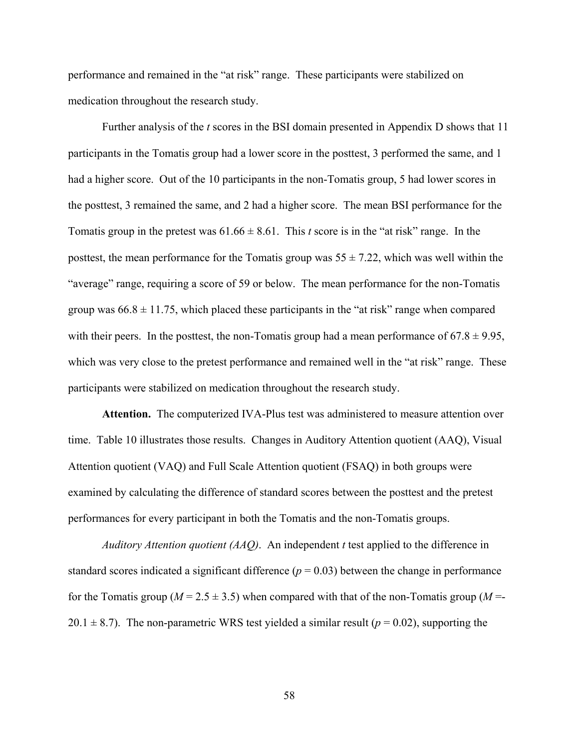performance and remained in the "at risk" range. These participants were stabilized on medication throughout the research study.

Further analysis of the *t* scores in the BSI domain presented in Appendix D shows that 11 participants in the Tomatis group had a lower score in the posttest, 3 performed the same, and 1 had a higher score. Out of the 10 participants in the non-Tomatis group, 5 had lower scores in the posttest, 3 remained the same, and 2 had a higher score. The mean BSI performance for the Tomatis group in the pretest was  $61.66 \pm 8.61$ . This *t* score is in the "at risk" range. In the posttest, the mean performance for the Tomatis group was  $55 \pm 7.22$ , which was well within the "average" range, requiring a score of 59 or below. The mean performance for the non-Tomatis group was  $66.8 \pm 11.75$ , which placed these participants in the "at risk" range when compared with their peers. In the posttest, the non-Tomatis group had a mean performance of  $67.8 \pm 9.95$ , which was very close to the pretest performance and remained well in the "at risk" range. These participants were stabilized on medication throughout the research study.

**Attention.** The computerized IVA-Plus test was administered to measure attention over time. Table 10 illustrates those results. Changes in Auditory Attention quotient (AAQ), Visual Attention quotient (VAQ) and Full Scale Attention quotient (FSAQ) in both groups were examined by calculating the difference of standard scores between the posttest and the pretest performances for every participant in both the Tomatis and the non-Tomatis groups.

*Auditory Attention quotient (AAQ)*. An independent *t* test applied to the difference in standard scores indicated a significant difference  $(p = 0.03)$  between the change in performance for the Tomatis group ( $M = 2.5 \pm 3.5$ ) when compared with that of the non-Tomatis group ( $M = -1$ 20.1  $\pm$  8.7). The non-parametric WRS test yielded a similar result ( $p = 0.02$ ), supporting the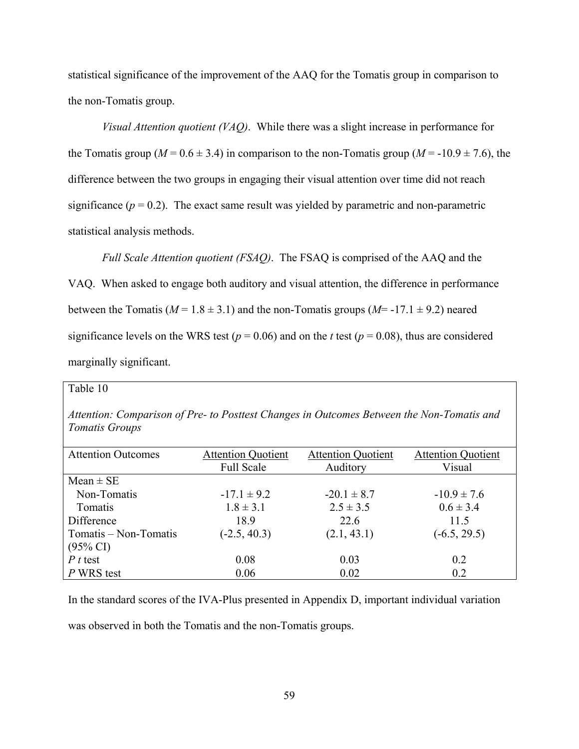statistical significance of the improvement of the AAQ for the Tomatis group in comparison to the non-Tomatis group.

*Visual Attention quotient (VAQ)*. While there was a slight increase in performance for the Tomatis group ( $M = 0.6 \pm 3.4$ ) in comparison to the non-Tomatis group ( $M = -10.9 \pm 7.6$ ), the difference between the two groups in engaging their visual attention over time did not reach significance  $(p = 0.2)$ . The exact same result was yielded by parametric and non-parametric statistical analysis methods.

*Full Scale Attention quotient (FSAQ)*. The FSAQ is comprised of the AAQ and the

VAQ. When asked to engage both auditory and visual attention, the difference in performance between the Tomatis ( $M = 1.8 \pm 3.1$ ) and the non-Tomatis groups ( $M = -17.1 \pm 9.2$ ) neared significance levels on the WRS test ( $p = 0.06$ ) and on the *t* test ( $p = 0.08$ ), thus are considered marginally significant.

| Table 10                                                                                                    |                           |                           |                           |  |  |
|-------------------------------------------------------------------------------------------------------------|---------------------------|---------------------------|---------------------------|--|--|
| Attention: Comparison of Pre- to Posttest Changes in Outcomes Between the Non-Tomatis and<br>Tomatis Groups |                           |                           |                           |  |  |
| <b>Attention Outcomes</b>                                                                                   | <b>Attention Quotient</b> | <b>Attention Quotient</b> | <b>Attention Quotient</b> |  |  |
|                                                                                                             | <b>Full Scale</b>         | Auditory                  | Visual                    |  |  |
| $Mean \pm SE$                                                                                               |                           |                           |                           |  |  |
| Non-Tomatis                                                                                                 | $-17.1 \pm 9.2$           | $-20.1 \pm 8.7$           | $-10.9 \pm 7.6$           |  |  |
| Tomatis                                                                                                     | $1.8 \pm 3.1$             | $2.5 \pm 3.5$             | $0.6 \pm 3.4$             |  |  |
| Difference                                                                                                  | 18.9                      | 22.6                      | 11.5                      |  |  |
| Tomatis – Non-Tomatis                                                                                       | $(-2.5, 40.3)$            | (2.1, 43.1)               | $(-6.5, 29.5)$            |  |  |
| $(95\% \text{ CI})$                                                                                         |                           |                           |                           |  |  |
| $P t$ test                                                                                                  | 0.08                      | 0.03                      | 0.2                       |  |  |
| P WRS test                                                                                                  | 0.06                      | 0.02                      | 0.2                       |  |  |

In the standard scores of the IVA-Plus presented in Appendix D, important individual variation

was observed in both the Tomatis and the non-Tomatis groups.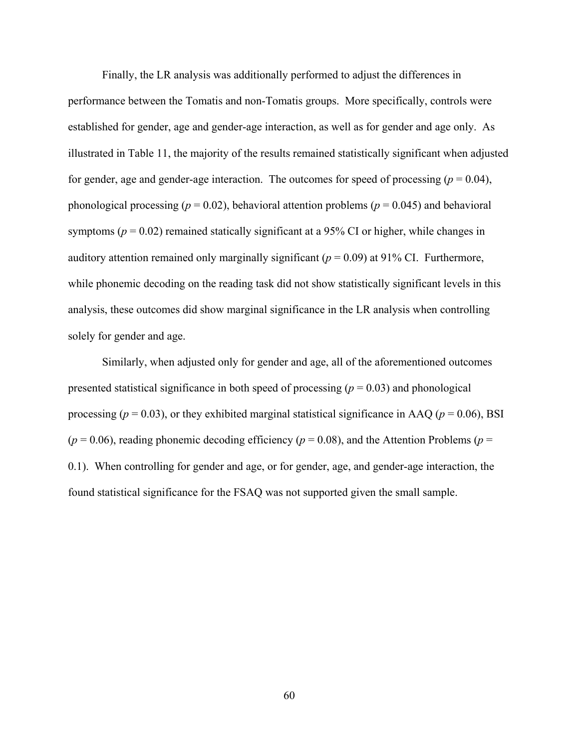Finally, the LR analysis was additionally performed to adjust the differences in performance between the Tomatis and non-Tomatis groups. More specifically, controls were established for gender, age and gender-age interaction, as well as for gender and age only. As illustrated in Table 11, the majority of the results remained statistically significant when adjusted for gender, age and gender-age interaction. The outcomes for speed of processing  $(p = 0.04)$ , phonological processing ( $p = 0.02$ ), behavioral attention problems ( $p = 0.045$ ) and behavioral symptoms ( $p = 0.02$ ) remained statically significant at a 95% CI or higher, while changes in auditory attention remained only marginally significant ( $p = 0.09$ ) at 91% CI. Furthermore, while phonemic decoding on the reading task did not show statistically significant levels in this analysis, these outcomes did show marginal significance in the LR analysis when controlling solely for gender and age.

Similarly, when adjusted only for gender and age, all of the aforementioned outcomes presented statistical significance in both speed of processing  $(p = 0.03)$  and phonological processing ( $p = 0.03$ ), or they exhibited marginal statistical significance in AAQ ( $p = 0.06$ ), BSI  $(p = 0.06)$ , reading phonemic decoding efficiency  $(p = 0.08)$ , and the Attention Problems  $(p = 0.06)$ 0.1). When controlling for gender and age, or for gender, age, and gender-age interaction, the found statistical significance for the FSAQ was not supported given the small sample.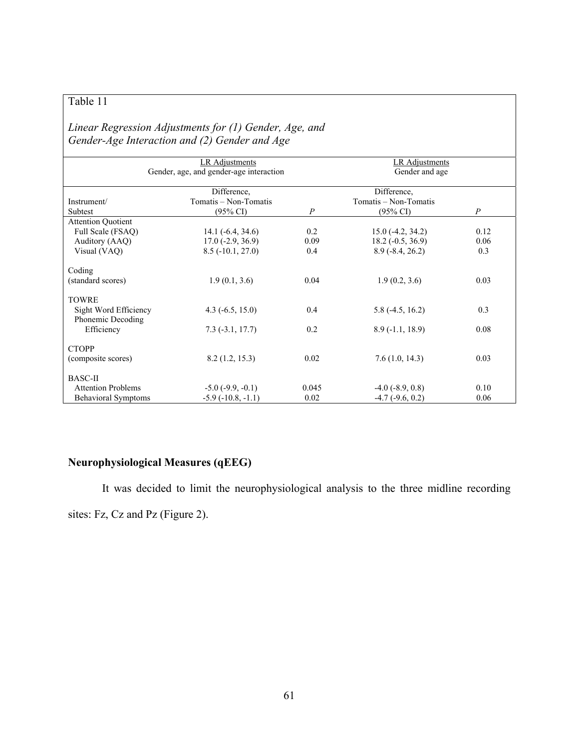## Table 11

## *Linear Regression Adjustments for (1) Gender, Age, and Gender-Age Interaction and (2) Gender and Age*

|                            | <b>LR Adjustments</b>                   | <b>LR</b> Adjustments |                        |                  |  |  |  |
|----------------------------|-----------------------------------------|-----------------------|------------------------|------------------|--|--|--|
|                            | Gender, age, and gender-age interaction |                       | Gender and age         |                  |  |  |  |
|                            |                                         |                       |                        |                  |  |  |  |
|                            | Difference,                             |                       | Difference,            |                  |  |  |  |
| Instrument/                | Tomatis – Non-Tomatis                   |                       | Tomatis – Non-Tomatis  |                  |  |  |  |
| Subtest                    | $(95\% \text{ CI})$                     | $\boldsymbol{P}$      | $(95\% \text{ CI})$    | $\boldsymbol{P}$ |  |  |  |
| <b>Attention Quotient</b>  |                                         |                       |                        |                  |  |  |  |
| Full Scale (FSAQ)          | $14.1(-6.4, 34.6)$                      | 0.2                   | $15.0(-4.2, 34.2)$     | 0.12             |  |  |  |
| Auditory (AAQ)             | $17.0(-2.9, 36.9)$                      | 0.09                  | $18.2(-0.5, 36.9)$     | 0.06             |  |  |  |
| Visual (VAQ)               | $8.5$ ( $-10.1$ , 27.0)                 | 0.4                   | $8.9(-8.4, 26.2)$      | 0.3              |  |  |  |
|                            |                                         |                       |                        |                  |  |  |  |
| Coding                     |                                         |                       |                        |                  |  |  |  |
| (standard scores)          | 1.9(0.1, 3.6)                           | 0.04                  | 1.9(0.2, 3.6)          | 0.03             |  |  |  |
|                            |                                         |                       |                        |                  |  |  |  |
| <b>TOWRE</b>               |                                         |                       |                        |                  |  |  |  |
| Sight Word Efficiency      | $4.3$ ( $-6.5$ , 15.0)                  | 0.4                   | $5.8(-4.5, 16.2)$      | 0.3              |  |  |  |
| Phonemic Decoding          |                                         |                       |                        |                  |  |  |  |
| Efficiency                 | $7.3(-3.1, 17.7)$                       | 0.2                   | $8.9(-1.1, 18.9)$      | 0.08             |  |  |  |
|                            |                                         |                       |                        |                  |  |  |  |
| <b>CTOPP</b>               |                                         |                       |                        |                  |  |  |  |
| (composite scores)         | 8.2(1.2, 15.3)                          | 0.02                  | 7.6(1.0, 14.3)         | 0.03             |  |  |  |
|                            |                                         |                       |                        |                  |  |  |  |
| <b>BASC-II</b>             |                                         |                       |                        |                  |  |  |  |
| <b>Attention Problems</b>  | $-5.0$ ( $-9.9, -0.1$ )                 | 0.045                 | $-4.0$ ( $-8.9, 0.8$ ) | 0.10             |  |  |  |
| <b>Behavioral Symptoms</b> | $-5.9$ ( $-10.8$ , $-1.1$ )             | 0.02                  | $-4.7$ ( $-9.6$ , 0.2) | 0.06             |  |  |  |

## **Neurophysiological Measures (qEEG)**

It was decided to limit the neurophysiological analysis to the three midline recording sites: Fz, Cz and Pz (Figure 2).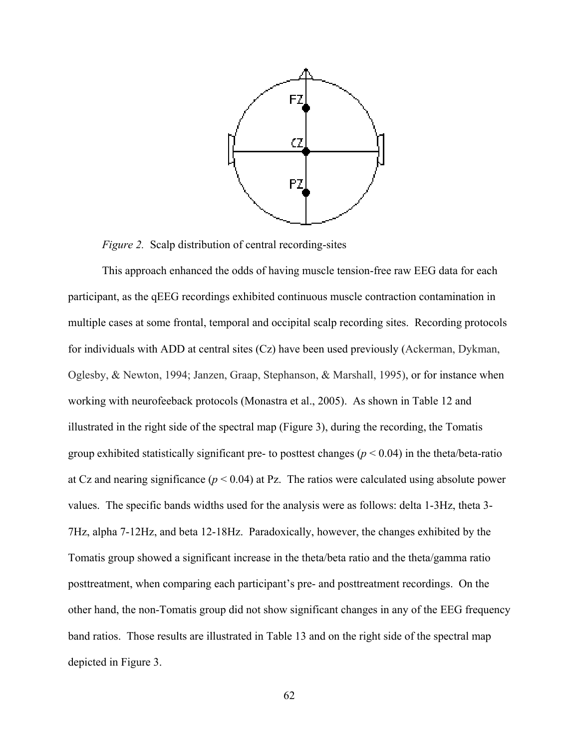

*Figure 2.* Scalp distribution of central recording-sites

This approach enhanced the odds of having muscle tension-free raw EEG data for each participant, as the qEEG recordings exhibited continuous muscle contraction contamination in multiple cases at some frontal, temporal and occipital scalp recording sites. Recording protocols for individuals with ADD at central sites (Cz) have been used previously (Ackerman, Dykman, Oglesby, & Newton, 1994; Janzen, Graap, Stephanson, & Marshall, 1995), or for instance when working with neurofeeback protocols (Monastra et al., 2005). As shown in Table 12 and illustrated in the right side of the spectral map (Figure 3), during the recording, the Tomatis group exhibited statistically significant pre- to posttest changes ( $p < 0.04$ ) in the theta/beta-ratio at Cz and nearing significance (*p* < 0.04) at Pz. The ratios were calculated using absolute power values. The specific bands widths used for the analysis were as follows: delta 1-3Hz, theta 3- 7Hz, alpha 7-12Hz, and beta 12-18Hz. Paradoxically, however, the changes exhibited by the Tomatis group showed a significant increase in the theta/beta ratio and the theta/gamma ratio posttreatment, when comparing each participant's pre- and posttreatment recordings. On the other hand, the non-Tomatis group did not show significant changes in any of the EEG frequency band ratios. Those results are illustrated in Table 13 and on the right side of the spectral map depicted in Figure 3.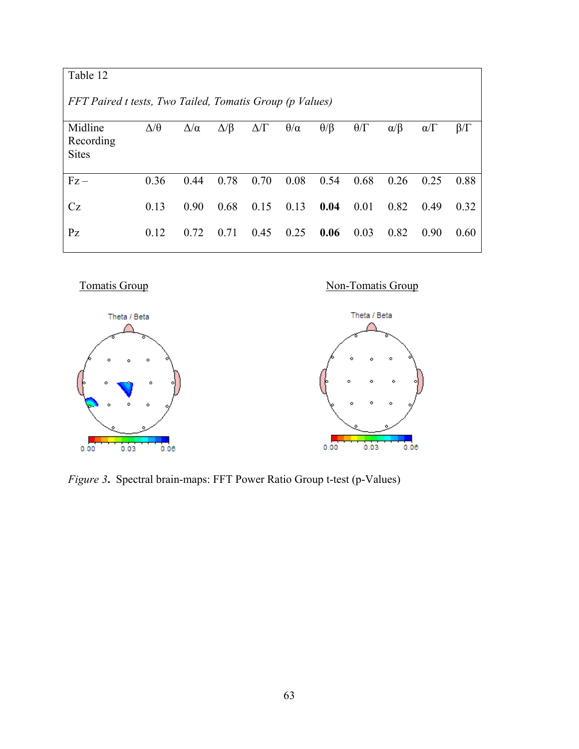| Table 12                                                 |                 |                 |                |                 |                 |                |                 |                |                 |                |
|----------------------------------------------------------|-----------------|-----------------|----------------|-----------------|-----------------|----------------|-----------------|----------------|-----------------|----------------|
| FFT Paired t tests, Two Tailed, Tomatis Group (p Values) |                 |                 |                |                 |                 |                |                 |                |                 |                |
| Midline<br>Recording<br><b>Sites</b>                     | $\Delta/\theta$ | $\Delta/\alpha$ | $\Delta/\beta$ | $\Delta/\Gamma$ | $\theta/\alpha$ | $\theta/\beta$ | $\theta/\Gamma$ | $\alpha/\beta$ | $\alpha/\Gamma$ | $\beta/\Gamma$ |
| $Fz -$                                                   | 0.36            | 0.44            | 0.78           | 0.70            | 0.08            | 0.54           | 0.68            | 0.26           | 0.25            | 0.88           |
| Cz                                                       | 0.13            | 0.90            | 0.68           | 0.15            | 0.13            | 0.04           | 0.01            | 0.82           | 0.49            | 0.32           |
| $P_{Z}$                                                  | 0.12            | 0.72            | 0.71           | 0.45            | 0.25            | 0.06           | 0.03            | 0.82           | 0.90            | 0.60           |

# Tomatis Group Non-Tomatis Group





*Figure 3***.** Spectral brain-maps: FFT Power Ratio Group t-test (p-Values)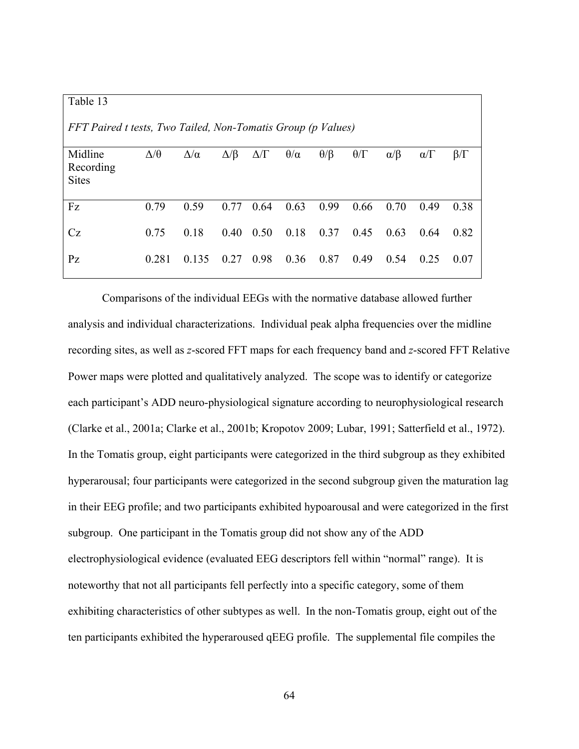| Table 13                                                     |                 |                 |                |                 |                 |                |                 |                |                 |                |
|--------------------------------------------------------------|-----------------|-----------------|----------------|-----------------|-----------------|----------------|-----------------|----------------|-----------------|----------------|
| FFT Paired t tests, Two Tailed, Non-Tomatis Group (p Values) |                 |                 |                |                 |                 |                |                 |                |                 |                |
| Midline<br>Recording<br><b>Sites</b>                         | $\Delta/\theta$ | $\Delta/\alpha$ | $\Delta/\beta$ | $\Delta/\Gamma$ | $\theta/\alpha$ | $\theta/\beta$ | $\theta/\Gamma$ | $\alpha/\beta$ | $\alpha/\Gamma$ | $\beta/\Gamma$ |
| Fz                                                           | 0.79            | 0.59            | 0.77           | 0.64            | 0.63            | 0.99           | 0.66            | 0.70           | 0.49            | 0.38           |
| Cz                                                           | 0.75            | 0.18            | 0.40           | 0.50            | 0.18            | 0.37           | 0.45            | 0.63           | 0.64            | 0.82           |
| $P_{Z}$                                                      | 0.281           | 0.135           | 0.27           | 0.98            | 0.36            | 0.87           | 0.49            | 0.54           | 0.25            | 0.07           |

 Comparisons of the individual EEGs with the normative database allowed further analysis and individual characterizations. Individual peak alpha frequencies over the midline recording sites, as well as *z*-scored FFT maps for each frequency band and *z*-scored FFT Relative Power maps were plotted and qualitatively analyzed. The scope was to identify or categorize each participant's ADD neuro-physiological signature according to neurophysiological research (Clarke et al., 2001a; Clarke et al., 2001b; Kropotov 2009; Lubar, 1991; Satterfield et al., 1972). In the Tomatis group, eight participants were categorized in the third subgroup as they exhibited hyperarousal; four participants were categorized in the second subgroup given the maturation lag in their EEG profile; and two participants exhibited hypoarousal and were categorized in the first subgroup. One participant in the Tomatis group did not show any of the ADD electrophysiological evidence (evaluated EEG descriptors fell within "normal" range). It is noteworthy that not all participants fell perfectly into a specific category, some of them exhibiting characteristics of other subtypes as well. In the non-Tomatis group, eight out of the ten participants exhibited the hyperaroused qEEG profile. The supplemental file compiles the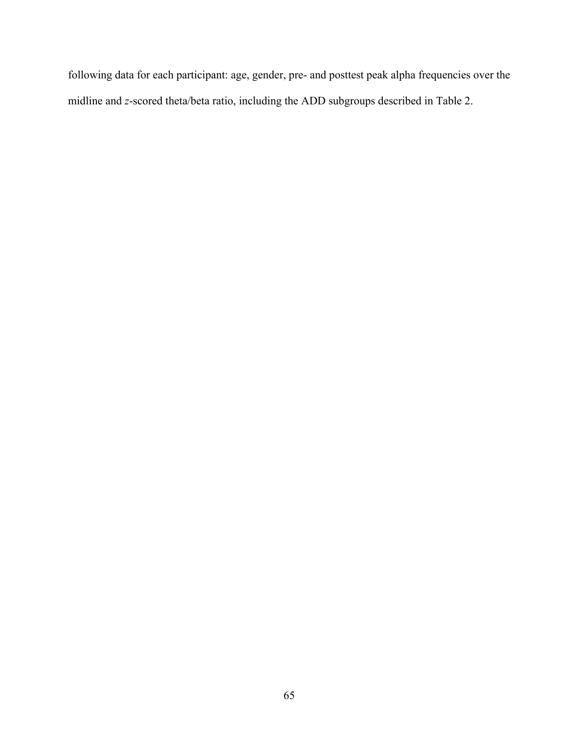following data for each participant: age, gender, pre- and posttest peak alpha frequencies over the midline and *z*-scored theta/beta ratio, including the ADD subgroups described in Table 2.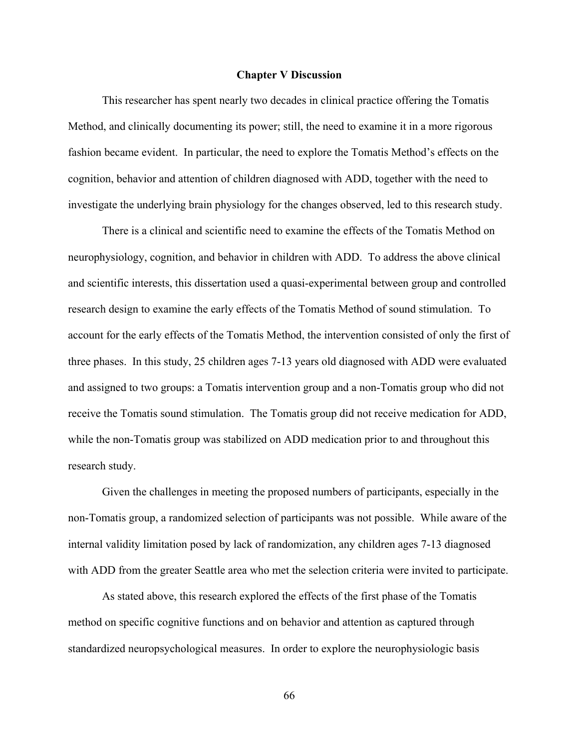### **Chapter V Discussion**

This researcher has spent nearly two decades in clinical practice offering the Tomatis Method, and clinically documenting its power; still, the need to examine it in a more rigorous fashion became evident. In particular, the need to explore the Tomatis Method's effects on the cognition, behavior and attention of children diagnosed with ADD, together with the need to investigate the underlying brain physiology for the changes observed, led to this research study.

There is a clinical and scientific need to examine the effects of the Tomatis Method on neurophysiology, cognition, and behavior in children with ADD. To address the above clinical and scientific interests, this dissertation used a quasi-experimental between group and controlled research design to examine the early effects of the Tomatis Method of sound stimulation. To account for the early effects of the Tomatis Method, the intervention consisted of only the first of three phases. In this study, 25 children ages 7-13 years old diagnosed with ADD were evaluated and assigned to two groups: a Tomatis intervention group and a non-Tomatis group who did not receive the Tomatis sound stimulation. The Tomatis group did not receive medication for ADD, while the non-Tomatis group was stabilized on ADD medication prior to and throughout this research study.

Given the challenges in meeting the proposed numbers of participants, especially in the non-Tomatis group, a randomized selection of participants was not possible. While aware of the internal validity limitation posed by lack of randomization, any children ages 7-13 diagnosed with ADD from the greater Seattle area who met the selection criteria were invited to participate.

As stated above, this research explored the effects of the first phase of the Tomatis method on specific cognitive functions and on behavior and attention as captured through standardized neuropsychological measures. In order to explore the neurophysiologic basis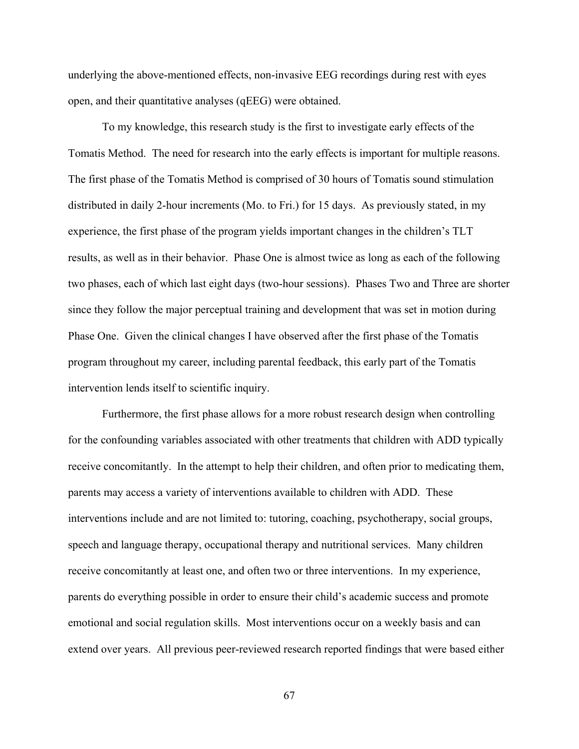underlying the above-mentioned effects, non-invasive EEG recordings during rest with eyes open, and their quantitative analyses (qEEG) were obtained.

To my knowledge, this research study is the first to investigate early effects of the Tomatis Method. The need for research into the early effects is important for multiple reasons. The first phase of the Tomatis Method is comprised of 30 hours of Tomatis sound stimulation distributed in daily 2-hour increments (Mo. to Fri.) for 15 days. As previously stated, in my experience, the first phase of the program yields important changes in the children's TLT results, as well as in their behavior. Phase One is almost twice as long as each of the following two phases, each of which last eight days (two-hour sessions). Phases Two and Three are shorter since they follow the major perceptual training and development that was set in motion during Phase One. Given the clinical changes I have observed after the first phase of the Tomatis program throughout my career, including parental feedback, this early part of the Tomatis intervention lends itself to scientific inquiry.

Furthermore, the first phase allows for a more robust research design when controlling for the confounding variables associated with other treatments that children with ADD typically receive concomitantly. In the attempt to help their children, and often prior to medicating them, parents may access a variety of interventions available to children with ADD. These interventions include and are not limited to: tutoring, coaching, psychotherapy, social groups, speech and language therapy, occupational therapy and nutritional services. Many children receive concomitantly at least one, and often two or three interventions. In my experience, parents do everything possible in order to ensure their child's academic success and promote emotional and social regulation skills. Most interventions occur on a weekly basis and can extend over years. All previous peer-reviewed research reported findings that were based either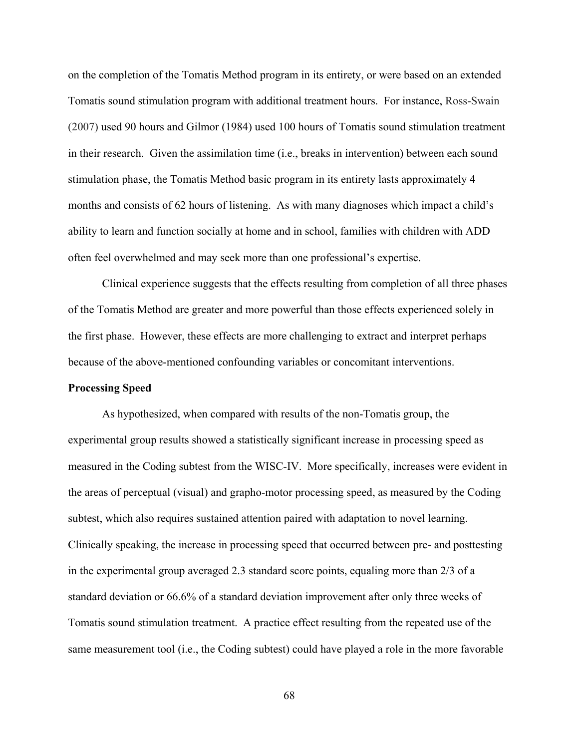on the completion of the Tomatis Method program in its entirety, or were based on an extended Tomatis sound stimulation program with additional treatment hours. For instance, Ross-Swain (2007) used 90 hours and Gilmor (1984) used 100 hours of Tomatis sound stimulation treatment in their research. Given the assimilation time (i.e., breaks in intervention) between each sound stimulation phase, the Tomatis Method basic program in its entirety lasts approximately 4 months and consists of 62 hours of listening. As with many diagnoses which impact a child's ability to learn and function socially at home and in school, families with children with ADD often feel overwhelmed and may seek more than one professional's expertise.

Clinical experience suggests that the effects resulting from completion of all three phases of the Tomatis Method are greater and more powerful than those effects experienced solely in the first phase. However, these effects are more challenging to extract and interpret perhaps because of the above-mentioned confounding variables or concomitant interventions.

## **Processing Speed**

As hypothesized, when compared with results of the non-Tomatis group, the experimental group results showed a statistically significant increase in processing speed as measured in the Coding subtest from the WISC-IV. More specifically, increases were evident in the areas of perceptual (visual) and grapho-motor processing speed, as measured by the Coding subtest, which also requires sustained attention paired with adaptation to novel learning. Clinically speaking, the increase in processing speed that occurred between pre- and posttesting in the experimental group averaged 2.3 standard score points, equaling more than 2/3 of a standard deviation or 66.6% of a standard deviation improvement after only three weeks of Tomatis sound stimulation treatment. A practice effect resulting from the repeated use of the same measurement tool (i.e., the Coding subtest) could have played a role in the more favorable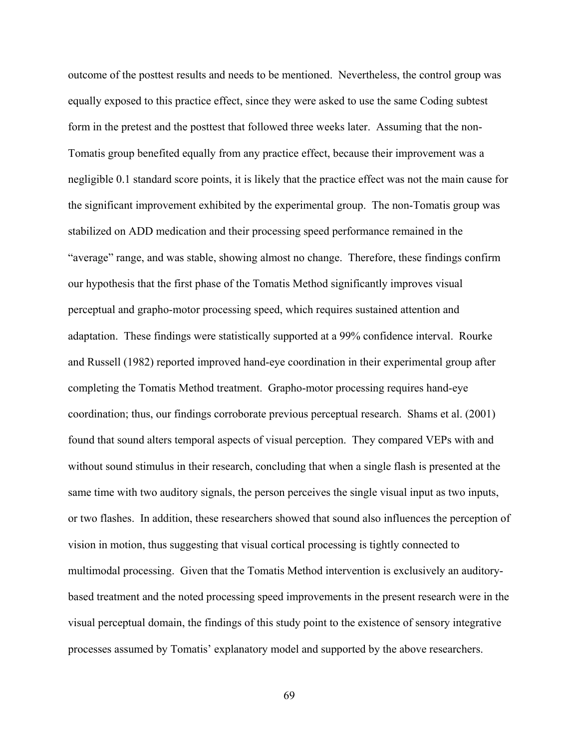outcome of the posttest results and needs to be mentioned. Nevertheless, the control group was equally exposed to this practice effect, since they were asked to use the same Coding subtest form in the pretest and the posttest that followed three weeks later. Assuming that the non-Tomatis group benefited equally from any practice effect, because their improvement was a negligible 0.1 standard score points, it is likely that the practice effect was not the main cause for the significant improvement exhibited by the experimental group. The non-Tomatis group was stabilized on ADD medication and their processing speed performance remained in the "average" range, and was stable, showing almost no change. Therefore, these findings confirm our hypothesis that the first phase of the Tomatis Method significantly improves visual perceptual and grapho-motor processing speed, which requires sustained attention and adaptation. These findings were statistically supported at a 99% confidence interval. Rourke and Russell (1982) reported improved hand-eye coordination in their experimental group after completing the Tomatis Method treatment. Grapho-motor processing requires hand-eye coordination; thus, our findings corroborate previous perceptual research. Shams et al. (2001) found that sound alters temporal aspects of visual perception. They compared VEPs with and without sound stimulus in their research, concluding that when a single flash is presented at the same time with two auditory signals, the person perceives the single visual input as two inputs, or two flashes. In addition, these researchers showed that sound also influences the perception of vision in motion, thus suggesting that visual cortical processing is tightly connected to multimodal processing. Given that the Tomatis Method intervention is exclusively an auditorybased treatment and the noted processing speed improvements in the present research were in the visual perceptual domain, the findings of this study point to the existence of sensory integrative processes assumed by Tomatis' explanatory model and supported by the above researchers.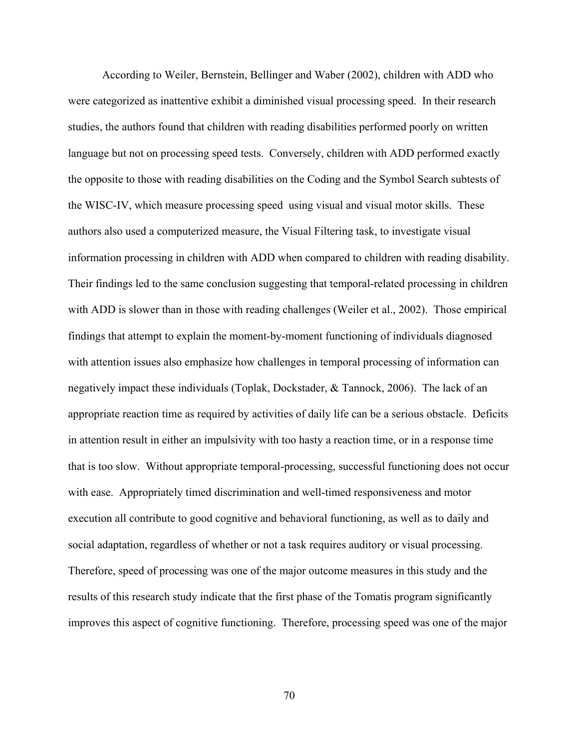According to Weiler, Bernstein, Bellinger and Waber (2002), children with ADD who were categorized as inattentive exhibit a diminished visual processing speed. In their research studies, the authors found that children with reading disabilities performed poorly on written language but not on processing speed tests. Conversely, children with ADD performed exactly the opposite to those with reading disabilities on the Coding and the Symbol Search subtests of the WISC-IV, which measure processing speed using visual and visual motor skills. These authors also used a computerized measure, the Visual Filtering task, to investigate visual information processing in children with ADD when compared to children with reading disability. Their findings led to the same conclusion suggesting that temporal-related processing in children with ADD is slower than in those with reading challenges (Weiler et al., 2002). Those empirical findings that attempt to explain the moment-by-moment functioning of individuals diagnosed with attention issues also emphasize how challenges in temporal processing of information can negatively impact these individuals (Toplak, Dockstader, & Tannock, 2006). The lack of an appropriate reaction time as required by activities of daily life can be a serious obstacle. Deficits in attention result in either an impulsivity with too hasty a reaction time, or in a response time that is too slow. Without appropriate temporal-processing, successful functioning does not occur with ease. Appropriately timed discrimination and well-timed responsiveness and motor execution all contribute to good cognitive and behavioral functioning, as well as to daily and social adaptation, regardless of whether or not a task requires auditory or visual processing. Therefore, speed of processing was one of the major outcome measures in this study and the results of this research study indicate that the first phase of the Tomatis program significantly improves this aspect of cognitive functioning. Therefore, processing speed was one of the major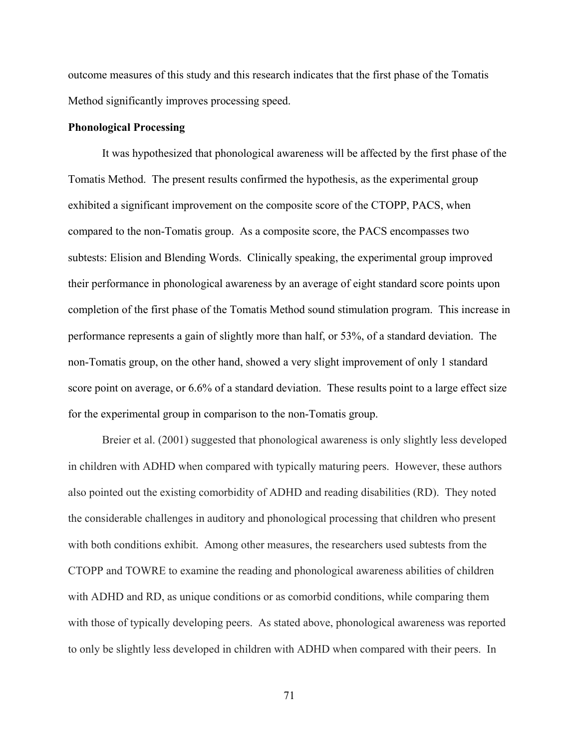outcome measures of this study and this research indicates that the first phase of the Tomatis Method significantly improves processing speed.

## **Phonological Processing**

It was hypothesized that phonological awareness will be affected by the first phase of the Tomatis Method. The present results confirmed the hypothesis, as the experimental group exhibited a significant improvement on the composite score of the CTOPP, PACS, when compared to the non-Tomatis group. As a composite score, the PACS encompasses two subtests: Elision and Blending Words. Clinically speaking, the experimental group improved their performance in phonological awareness by an average of eight standard score points upon completion of the first phase of the Tomatis Method sound stimulation program. This increase in performance represents a gain of slightly more than half, or 53%, of a standard deviation. The non-Tomatis group, on the other hand, showed a very slight improvement of only 1 standard score point on average, or 6.6% of a standard deviation. These results point to a large effect size for the experimental group in comparison to the non-Tomatis group.

Breier et al. (2001) suggested that phonological awareness is only slightly less developed in children with ADHD when compared with typically maturing peers. However, these authors also pointed out the existing comorbidity of ADHD and reading disabilities (RD). They noted the considerable challenges in auditory and phonological processing that children who present with both conditions exhibit. Among other measures, the researchers used subtests from the CTOPP and TOWRE to examine the reading and phonological awareness abilities of children with ADHD and RD, as unique conditions or as comorbid conditions, while comparing them with those of typically developing peers. As stated above, phonological awareness was reported to only be slightly less developed in children with ADHD when compared with their peers. In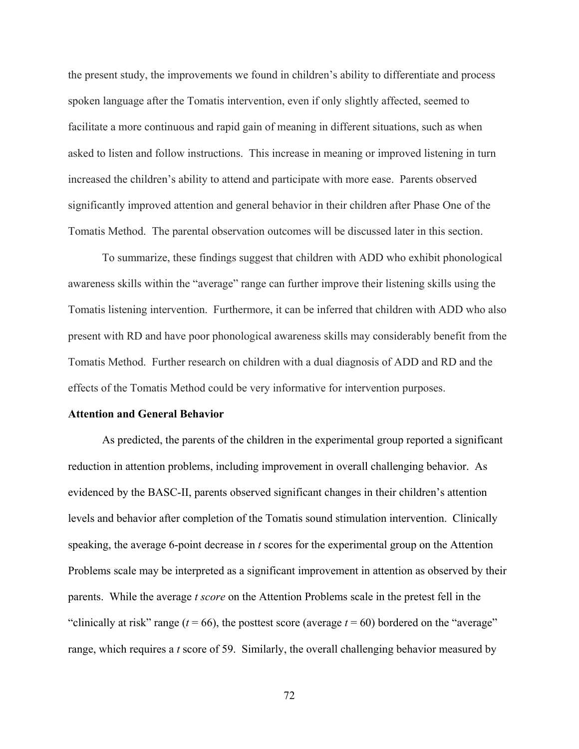the present study, the improvements we found in children's ability to differentiate and process spoken language after the Tomatis intervention, even if only slightly affected, seemed to facilitate a more continuous and rapid gain of meaning in different situations, such as when asked to listen and follow instructions. This increase in meaning or improved listening in turn increased the children's ability to attend and participate with more ease. Parents observed significantly improved attention and general behavior in their children after Phase One of the Tomatis Method. The parental observation outcomes will be discussed later in this section.

To summarize, these findings suggest that children with ADD who exhibit phonological awareness skills within the "average" range can further improve their listening skills using the Tomatis listening intervention. Furthermore, it can be inferred that children with ADD who also present with RD and have poor phonological awareness skills may considerably benefit from the Tomatis Method. Further research on children with a dual diagnosis of ADD and RD and the effects of the Tomatis Method could be very informative for intervention purposes.

#### **Attention and General Behavior**

As predicted, the parents of the children in the experimental group reported a significant reduction in attention problems, including improvement in overall challenging behavior. As evidenced by the BASC-II, parents observed significant changes in their children's attention levels and behavior after completion of the Tomatis sound stimulation intervention. Clinically speaking, the average 6-point decrease in *t* scores for the experimental group on the Attention Problems scale may be interpreted as a significant improvement in attention as observed by their parents. While the average *t score* on the Attention Problems scale in the pretest fell in the "clinically at risk" range ( $t = 66$ ), the posttest score (average  $t = 60$ ) bordered on the "average" range, which requires a *t* score of 59. Similarly, the overall challenging behavior measured by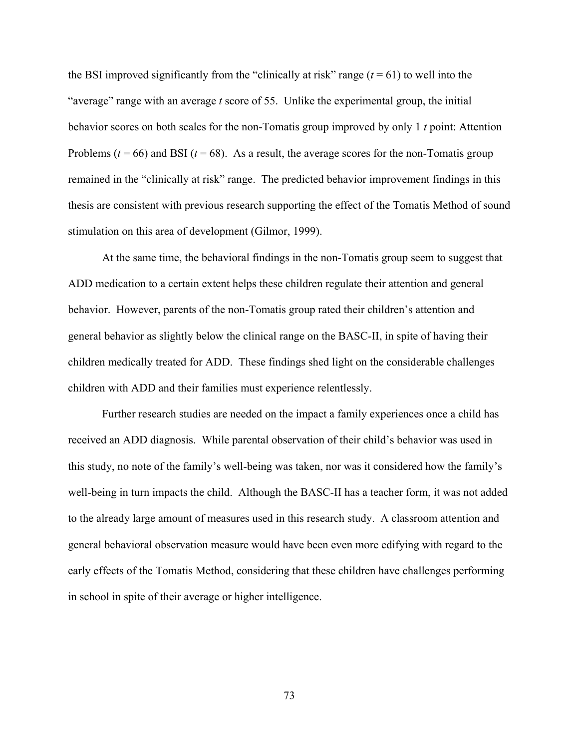the BSI improved significantly from the "clinically at risk" range  $(t = 61)$  to well into the "average" range with an average *t* score of 55. Unlike the experimental group, the initial behavior scores on both scales for the non-Tomatis group improved by only 1 *t* point: Attention Problems ( $t = 66$ ) and BSI ( $t = 68$ ). As a result, the average scores for the non-Tomatis group remained in the "clinically at risk" range. The predicted behavior improvement findings in this thesis are consistent with previous research supporting the effect of the Tomatis Method of sound stimulation on this area of development (Gilmor, 1999).

At the same time, the behavioral findings in the non-Tomatis group seem to suggest that ADD medication to a certain extent helps these children regulate their attention and general behavior. However, parents of the non-Tomatis group rated their children's attention and general behavior as slightly below the clinical range on the BASC-II, in spite of having their children medically treated for ADD. These findings shed light on the considerable challenges children with ADD and their families must experience relentlessly.

Further research studies are needed on the impact a family experiences once a child has received an ADD diagnosis. While parental observation of their child's behavior was used in this study, no note of the family's well-being was taken, nor was it considered how the family's well-being in turn impacts the child. Although the BASC-II has a teacher form, it was not added to the already large amount of measures used in this research study. A classroom attention and general behavioral observation measure would have been even more edifying with regard to the early effects of the Tomatis Method, considering that these children have challenges performing in school in spite of their average or higher intelligence.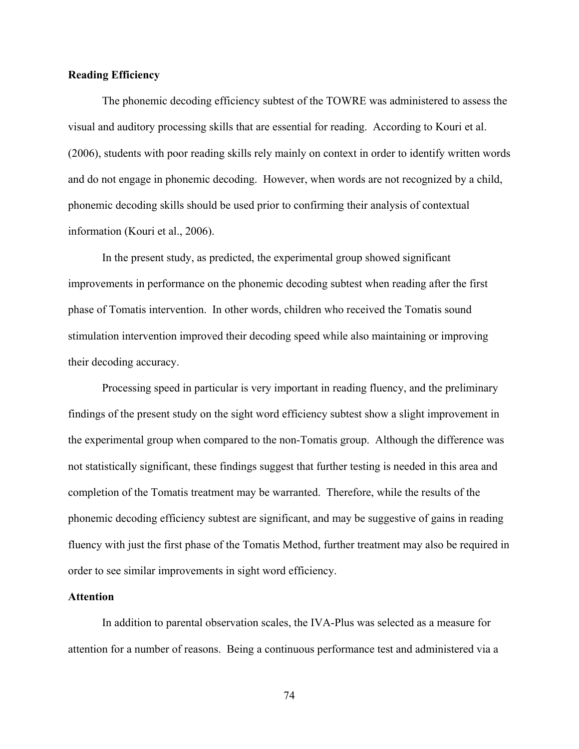## **Reading Efficiency**

The phonemic decoding efficiency subtest of the TOWRE was administered to assess the visual and auditory processing skills that are essential for reading. According to Kouri et al. (2006), students with poor reading skills rely mainly on context in order to identify written words and do not engage in phonemic decoding. However, when words are not recognized by a child, phonemic decoding skills should be used prior to confirming their analysis of contextual information (Kouri et al., 2006).

In the present study, as predicted, the experimental group showed significant improvements in performance on the phonemic decoding subtest when reading after the first phase of Tomatis intervention. In other words, children who received the Tomatis sound stimulation intervention improved their decoding speed while also maintaining or improving their decoding accuracy.

Processing speed in particular is very important in reading fluency, and the preliminary findings of the present study on the sight word efficiency subtest show a slight improvement in the experimental group when compared to the non-Tomatis group. Although the difference was not statistically significant, these findings suggest that further testing is needed in this area and completion of the Tomatis treatment may be warranted. Therefore, while the results of the phonemic decoding efficiency subtest are significant, and may be suggestive of gains in reading fluency with just the first phase of the Tomatis Method, further treatment may also be required in order to see similar improvements in sight word efficiency.

#### **Attention**

In addition to parental observation scales, the IVA-Plus was selected as a measure for attention for a number of reasons. Being a continuous performance test and administered via a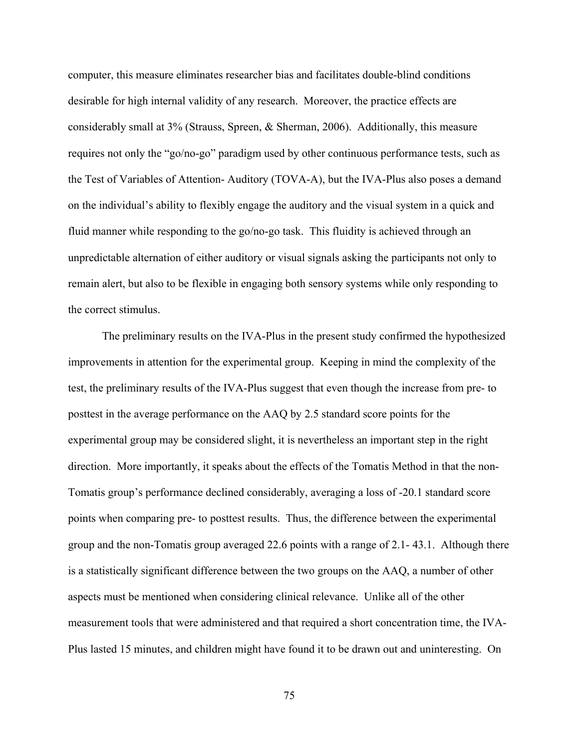computer, this measure eliminates researcher bias and facilitates double-blind conditions desirable for high internal validity of any research. Moreover, the practice effects are considerably small at 3% (Strauss, Spreen, & Sherman, 2006). Additionally, this measure requires not only the "go/no-go" paradigm used by other continuous performance tests, such as the Test of Variables of Attention- Auditory (TOVA-A), but the IVA-Plus also poses a demand on the individual's ability to flexibly engage the auditory and the visual system in a quick and fluid manner while responding to the go/no-go task. This fluidity is achieved through an unpredictable alternation of either auditory or visual signals asking the participants not only to remain alert, but also to be flexible in engaging both sensory systems while only responding to the correct stimulus.

The preliminary results on the IVA-Plus in the present study confirmed the hypothesized improvements in attention for the experimental group. Keeping in mind the complexity of the test, the preliminary results of the IVA-Plus suggest that even though the increase from pre- to posttest in the average performance on the AAQ by 2.5 standard score points for the experimental group may be considered slight, it is nevertheless an important step in the right direction. More importantly, it speaks about the effects of the Tomatis Method in that the non-Tomatis group's performance declined considerably, averaging a loss of -20.1 standard score points when comparing pre- to posttest results. Thus, the difference between the experimental group and the non-Tomatis group averaged 22.6 points with a range of 2.1- 43.1. Although there is a statistically significant difference between the two groups on the AAQ, a number of other aspects must be mentioned when considering clinical relevance. Unlike all of the other measurement tools that were administered and that required a short concentration time, the IVA-Plus lasted 15 minutes, and children might have found it to be drawn out and uninteresting. On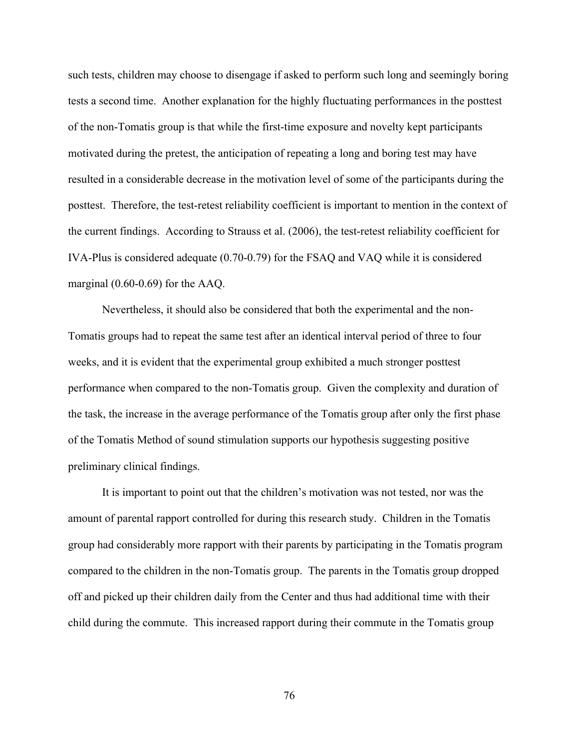such tests, children may choose to disengage if asked to perform such long and seemingly boring tests a second time. Another explanation for the highly fluctuating performances in the posttest of the non-Tomatis group is that while the first-time exposure and novelty kept participants motivated during the pretest, the anticipation of repeating a long and boring test may have resulted in a considerable decrease in the motivation level of some of the participants during the posttest. Therefore, the test-retest reliability coefficient is important to mention in the context of the current findings. According to Strauss et al. (2006), the test-retest reliability coefficient for IVA-Plus is considered adequate (0.70-0.79) for the FSAQ and VAQ while it is considered marginal (0.60-0.69) for the AAQ.

Nevertheless, it should also be considered that both the experimental and the non-Tomatis groups had to repeat the same test after an identical interval period of three to four weeks, and it is evident that the experimental group exhibited a much stronger posttest performance when compared to the non-Tomatis group. Given the complexity and duration of the task, the increase in the average performance of the Tomatis group after only the first phase of the Tomatis Method of sound stimulation supports our hypothesis suggesting positive preliminary clinical findings.

It is important to point out that the children's motivation was not tested, nor was the amount of parental rapport controlled for during this research study. Children in the Tomatis group had considerably more rapport with their parents by participating in the Tomatis program compared to the children in the non-Tomatis group. The parents in the Tomatis group dropped off and picked up their children daily from the Center and thus had additional time with their child during the commute. This increased rapport during their commute in the Tomatis group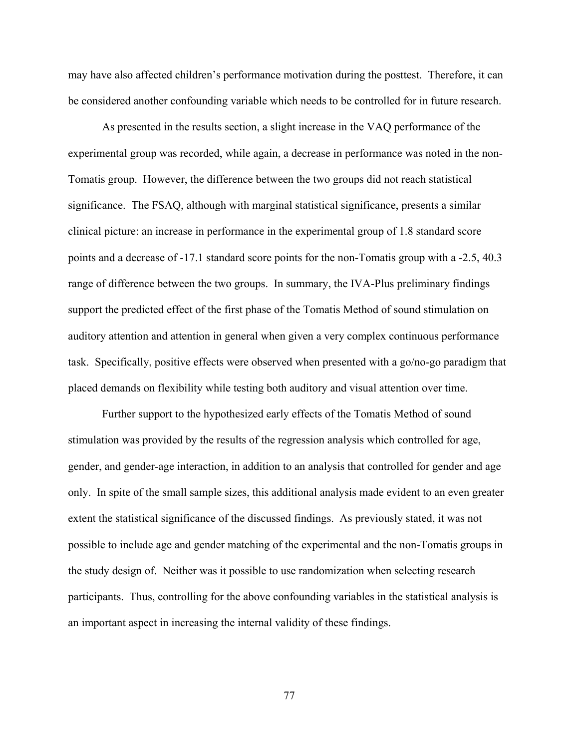may have also affected children's performance motivation during the posttest. Therefore, it can be considered another confounding variable which needs to be controlled for in future research.

As presented in the results section, a slight increase in the VAQ performance of the experimental group was recorded, while again, a decrease in performance was noted in the non-Tomatis group. However, the difference between the two groups did not reach statistical significance. The FSAQ, although with marginal statistical significance, presents a similar clinical picture: an increase in performance in the experimental group of 1.8 standard score points and a decrease of -17.1 standard score points for the non-Tomatis group with a -2.5, 40.3 range of difference between the two groups. In summary, the IVA-Plus preliminary findings support the predicted effect of the first phase of the Tomatis Method of sound stimulation on auditory attention and attention in general when given a very complex continuous performance task. Specifically, positive effects were observed when presented with a go/no-go paradigm that placed demands on flexibility while testing both auditory and visual attention over time.

Further support to the hypothesized early effects of the Tomatis Method of sound stimulation was provided by the results of the regression analysis which controlled for age, gender, and gender-age interaction, in addition to an analysis that controlled for gender and age only. In spite of the small sample sizes, this additional analysis made evident to an even greater extent the statistical significance of the discussed findings. As previously stated, it was not possible to include age and gender matching of the experimental and the non-Tomatis groups in the study design of. Neither was it possible to use randomization when selecting research participants. Thus, controlling for the above confounding variables in the statistical analysis is an important aspect in increasing the internal validity of these findings.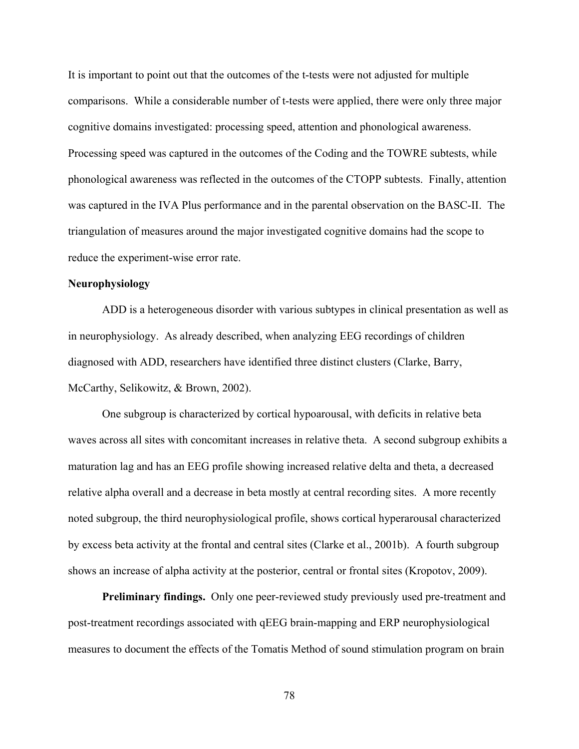It is important to point out that the outcomes of the t-tests were not adjusted for multiple comparisons. While a considerable number of t-tests were applied, there were only three major cognitive domains investigated: processing speed, attention and phonological awareness. Processing speed was captured in the outcomes of the Coding and the TOWRE subtests, while phonological awareness was reflected in the outcomes of the CTOPP subtests. Finally, attention was captured in the IVA Plus performance and in the parental observation on the BASC-II. The triangulation of measures around the major investigated cognitive domains had the scope to reduce the experiment-wise error rate.

## **Neurophysiology**

ADD is a heterogeneous disorder with various subtypes in clinical presentation as well as in neurophysiology. As already described, when analyzing EEG recordings of children diagnosed with ADD, researchers have identified three distinct clusters (Clarke, Barry, McCarthy, Selikowitz, & Brown, 2002).

One subgroup is characterized by cortical hypoarousal, with deficits in relative beta waves across all sites with concomitant increases in relative theta. A second subgroup exhibits a maturation lag and has an EEG profile showing increased relative delta and theta, a decreased relative alpha overall and a decrease in beta mostly at central recording sites. A more recently noted subgroup, the third neurophysiological profile, shows cortical hyperarousal characterized by excess beta activity at the frontal and central sites (Clarke et al., 2001b). A fourth subgroup shows an increase of alpha activity at the posterior, central or frontal sites (Kropotov, 2009).

**Preliminary findings.** Only one peer-reviewed study previously used pre-treatment and post-treatment recordings associated with qEEG brain-mapping and ERP neurophysiological measures to document the effects of the Tomatis Method of sound stimulation program on brain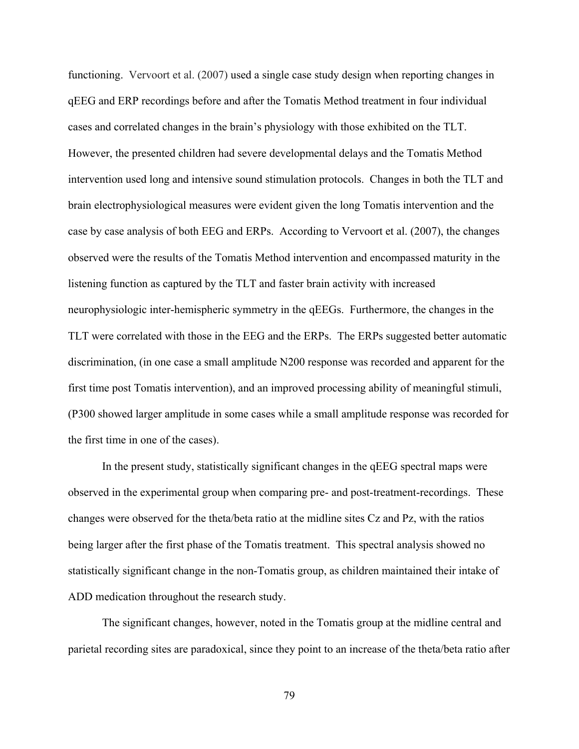functioning. Vervoort et al. (2007) used a single case study design when reporting changes in qEEG and ERP recordings before and after the Tomatis Method treatment in four individual cases and correlated changes in the brain's physiology with those exhibited on the TLT. However, the presented children had severe developmental delays and the Tomatis Method intervention used long and intensive sound stimulation protocols. Changes in both the TLT and brain electrophysiological measures were evident given the long Tomatis intervention and the case by case analysis of both EEG and ERPs. According to Vervoort et al. (2007), the changes observed were the results of the Tomatis Method intervention and encompassed maturity in the listening function as captured by the TLT and faster brain activity with increased neurophysiologic inter-hemispheric symmetry in the qEEGs. Furthermore, the changes in the TLT were correlated with those in the EEG and the ERPs. The ERPs suggested better automatic discrimination, (in one case a small amplitude N200 response was recorded and apparent for the first time post Tomatis intervention), and an improved processing ability of meaningful stimuli, (P300 showed larger amplitude in some cases while a small amplitude response was recorded for the first time in one of the cases).

In the present study, statistically significant changes in the qEEG spectral maps were observed in the experimental group when comparing pre- and post-treatment-recordings. These changes were observed for the theta/beta ratio at the midline sites Cz and Pz, with the ratios being larger after the first phase of the Tomatis treatment. This spectral analysis showed no statistically significant change in the non-Tomatis group, as children maintained their intake of ADD medication throughout the research study.

The significant changes, however, noted in the Tomatis group at the midline central and parietal recording sites are paradoxical, since they point to an increase of the theta/beta ratio after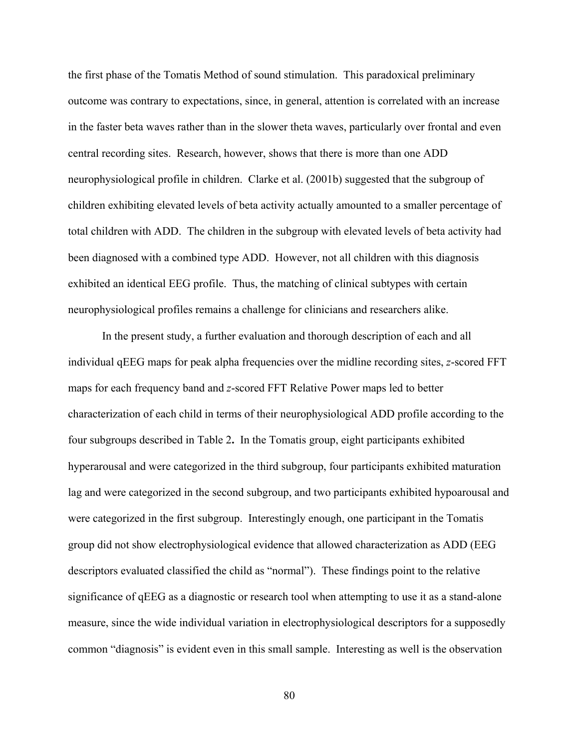the first phase of the Tomatis Method of sound stimulation. This paradoxical preliminary outcome was contrary to expectations, since, in general, attention is correlated with an increase in the faster beta waves rather than in the slower theta waves, particularly over frontal and even central recording sites. Research, however, shows that there is more than one ADD neurophysiological profile in children. Clarke et al. (2001b) suggested that the subgroup of children exhibiting elevated levels of beta activity actually amounted to a smaller percentage of total children with ADD. The children in the subgroup with elevated levels of beta activity had been diagnosed with a combined type ADD. However, not all children with this diagnosis exhibited an identical EEG profile. Thus, the matching of clinical subtypes with certain neurophysiological profiles remains a challenge for clinicians and researchers alike.

In the present study, a further evaluation and thorough description of each and all individual qEEG maps for peak alpha frequencies over the midline recording sites, *z*-scored FFT maps for each frequency band and *z*-scored FFT Relative Power maps led to better characterization of each child in terms of their neurophysiological ADD profile according to the four subgroups described in Table 2**.** In the Tomatis group, eight participants exhibited hyperarousal and were categorized in the third subgroup, four participants exhibited maturation lag and were categorized in the second subgroup, and two participants exhibited hypoarousal and were categorized in the first subgroup. Interestingly enough, one participant in the Tomatis group did not show electrophysiological evidence that allowed characterization as ADD (EEG descriptors evaluated classified the child as "normal"). These findings point to the relative significance of qEEG as a diagnostic or research tool when attempting to use it as a stand-alone measure, since the wide individual variation in electrophysiological descriptors for a supposedly common "diagnosis" is evident even in this small sample. Interesting as well is the observation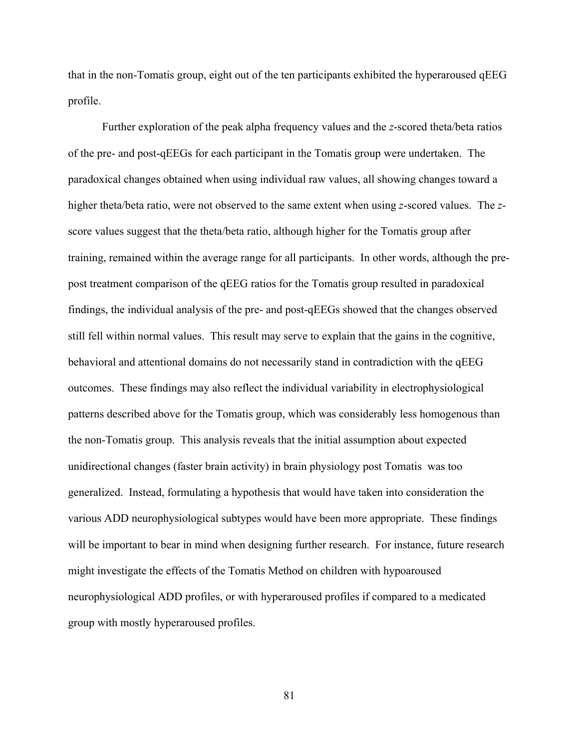that in the non-Tomatis group, eight out of the ten participants exhibited the hyperaroused qEEG profile.

Further exploration of the peak alpha frequency values and the *z*-scored theta/beta ratios of the pre- and post-qEEGs for each participant in the Tomatis group were undertaken. The paradoxical changes obtained when using individual raw values, all showing changes toward a higher theta/beta ratio, were not observed to the same extent when using *z*-scored values. The *z*score values suggest that the theta/beta ratio, although higher for the Tomatis group after training, remained within the average range for all participants. In other words, although the prepost treatment comparison of the qEEG ratios for the Tomatis group resulted in paradoxical findings, the individual analysis of the pre- and post-qEEGs showed that the changes observed still fell within normal values. This result may serve to explain that the gains in the cognitive, behavioral and attentional domains do not necessarily stand in contradiction with the qEEG outcomes. These findings may also reflect the individual variability in electrophysiological patterns described above for the Tomatis group, which was considerably less homogenous than the non-Tomatis group. This analysis reveals that the initial assumption about expected unidirectional changes (faster brain activity) in brain physiology post Tomatis was too generalized. Instead, formulating a hypothesis that would have taken into consideration the various ADD neurophysiological subtypes would have been more appropriate. These findings will be important to bear in mind when designing further research. For instance, future research might investigate the effects of the Tomatis Method on children with hypoaroused neurophysiological ADD profiles, or with hyperaroused profiles if compared to a medicated group with mostly hyperaroused profiles.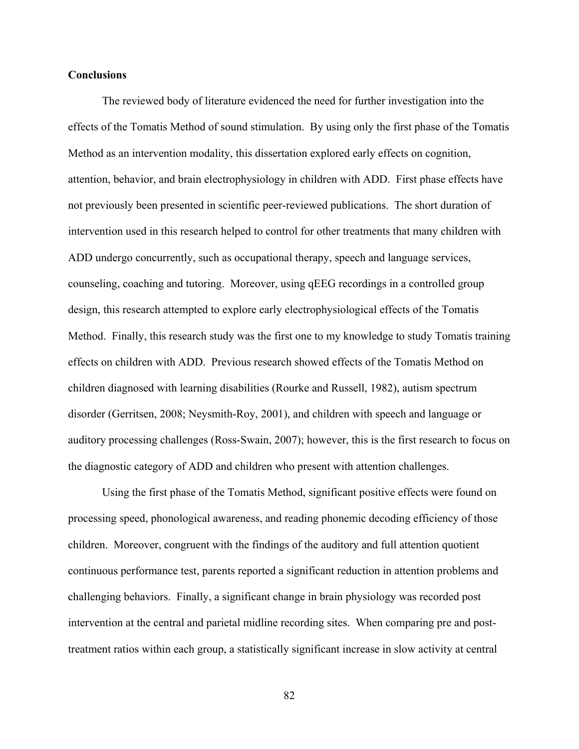## **Conclusions**

The reviewed body of literature evidenced the need for further investigation into the effects of the Tomatis Method of sound stimulation. By using only the first phase of the Tomatis Method as an intervention modality, this dissertation explored early effects on cognition, attention, behavior, and brain electrophysiology in children with ADD. First phase effects have not previously been presented in scientific peer-reviewed publications. The short duration of intervention used in this research helped to control for other treatments that many children with ADD undergo concurrently, such as occupational therapy, speech and language services, counseling, coaching and tutoring. Moreover, using qEEG recordings in a controlled group design, this research attempted to explore early electrophysiological effects of the Tomatis Method. Finally, this research study was the first one to my knowledge to study Tomatis training effects on children with ADD. Previous research showed effects of the Tomatis Method on children diagnosed with learning disabilities (Rourke and Russell, 1982), autism spectrum disorder (Gerritsen, 2008; Neysmith-Roy, 2001), and children with speech and language or auditory processing challenges (Ross-Swain, 2007); however, this is the first research to focus on the diagnostic category of ADD and children who present with attention challenges.

Using the first phase of the Tomatis Method, significant positive effects were found on processing speed, phonological awareness, and reading phonemic decoding efficiency of those children. Moreover, congruent with the findings of the auditory and full attention quotient continuous performance test, parents reported a significant reduction in attention problems and challenging behaviors. Finally, a significant change in brain physiology was recorded post intervention at the central and parietal midline recording sites. When comparing pre and posttreatment ratios within each group, a statistically significant increase in slow activity at central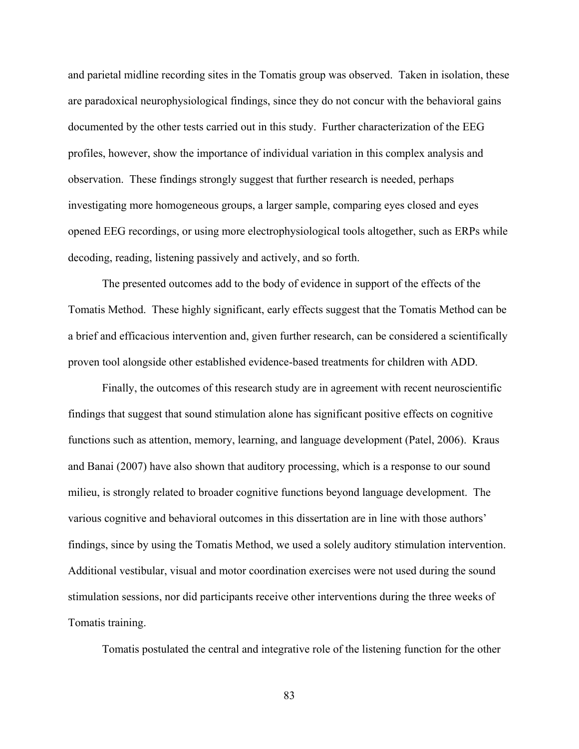and parietal midline recording sites in the Tomatis group was observed. Taken in isolation, these are paradoxical neurophysiological findings, since they do not concur with the behavioral gains documented by the other tests carried out in this study. Further characterization of the EEG profiles, however, show the importance of individual variation in this complex analysis and observation. These findings strongly suggest that further research is needed, perhaps investigating more homogeneous groups, a larger sample, comparing eyes closed and eyes opened EEG recordings, or using more electrophysiological tools altogether, such as ERPs while decoding, reading, listening passively and actively, and so forth.

The presented outcomes add to the body of evidence in support of the effects of the Tomatis Method. These highly significant, early effects suggest that the Tomatis Method can be a brief and efficacious intervention and, given further research, can be considered a scientifically proven tool alongside other established evidence-based treatments for children with ADD.

Finally, the outcomes of this research study are in agreement with recent neuroscientific findings that suggest that sound stimulation alone has significant positive effects on cognitive functions such as attention, memory, learning, and language development (Patel, 2006). Kraus and Banai (2007) have also shown that auditory processing, which is a response to our sound milieu, is strongly related to broader cognitive functions beyond language development. The various cognitive and behavioral outcomes in this dissertation are in line with those authors' findings, since by using the Tomatis Method, we used a solely auditory stimulation intervention. Additional vestibular, visual and motor coordination exercises were not used during the sound stimulation sessions, nor did participants receive other interventions during the three weeks of Tomatis training.

Tomatis postulated the central and integrative role of the listening function for the other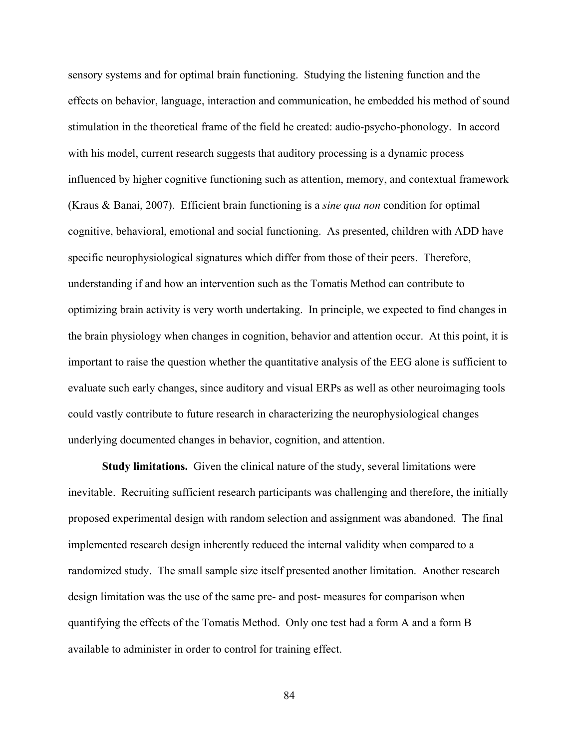sensory systems and for optimal brain functioning. Studying the listening function and the effects on behavior, language, interaction and communication, he embedded his method of sound stimulation in the theoretical frame of the field he created: audio-psycho-phonology. In accord with his model, current research suggests that auditory processing is a dynamic process influenced by higher cognitive functioning such as attention, memory, and contextual framework (Kraus & Banai, 2007). Efficient brain functioning is a *sine qua non* condition for optimal cognitive, behavioral, emotional and social functioning. As presented, children with ADD have specific neurophysiological signatures which differ from those of their peers. Therefore, understanding if and how an intervention such as the Tomatis Method can contribute to optimizing brain activity is very worth undertaking. In principle, we expected to find changes in the brain physiology when changes in cognition, behavior and attention occur. At this point, it is important to raise the question whether the quantitative analysis of the EEG alone is sufficient to evaluate such early changes, since auditory and visual ERPs as well as other neuroimaging tools could vastly contribute to future research in characterizing the neurophysiological changes underlying documented changes in behavior, cognition, and attention.

**Study limitations.**Given the clinical nature of the study, several limitations were inevitable. Recruiting sufficient research participants was challenging and therefore, the initially proposed experimental design with random selection and assignment was abandoned. The final implemented research design inherently reduced the internal validity when compared to a randomized study. The small sample size itself presented another limitation. Another research design limitation was the use of the same pre- and post- measures for comparison when quantifying the effects of the Tomatis Method. Only one test had a form A and a form B available to administer in order to control for training effect.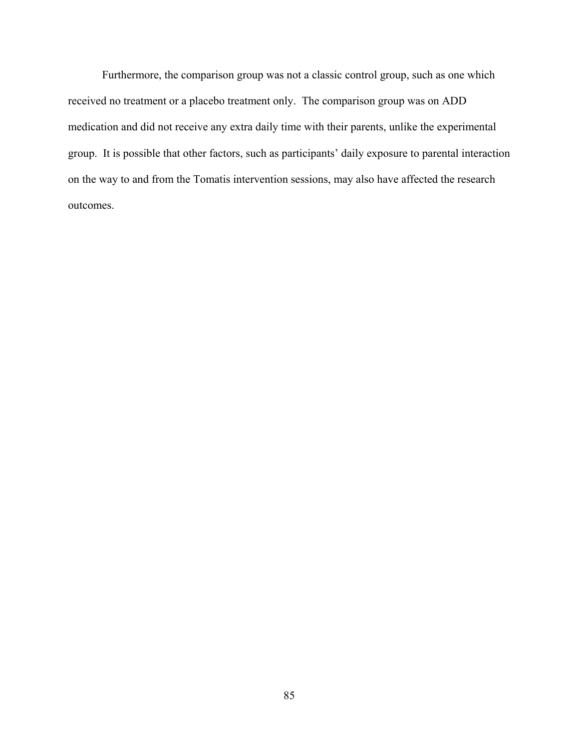Furthermore, the comparison group was not a classic control group, such as one which received no treatment or a placebo treatment only. The comparison group was on ADD medication and did not receive any extra daily time with their parents, unlike the experimental group. It is possible that other factors, such as participants' daily exposure to parental interaction on the way to and from the Tomatis intervention sessions, may also have affected the research outcomes.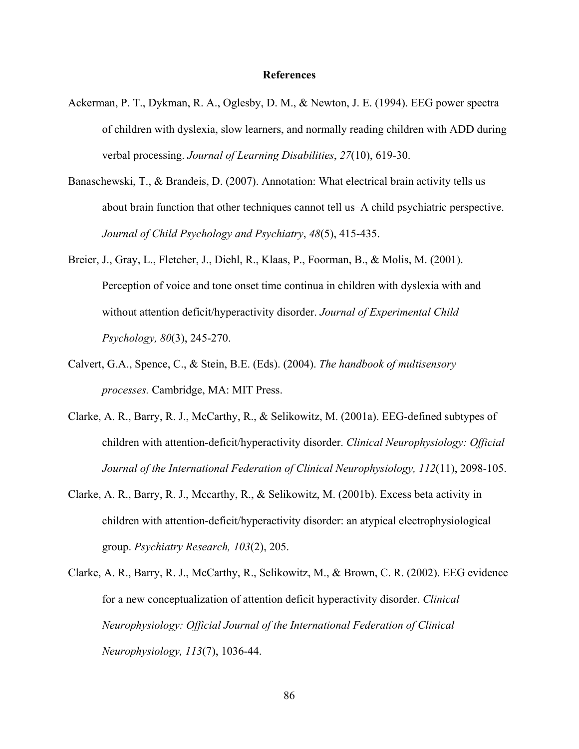#### **References**

- Ackerman, P. T., Dykman, R. A., Oglesby, D. M., & Newton, J. E. (1994). EEG power spectra of children with dyslexia, slow learners, and normally reading children with ADD during verbal processing. *Journal of Learning Disabilities*, *27*(10), 619-30.
- Banaschewski, T., & Brandeis, D. (2007). Annotation: What electrical brain activity tells us about brain function that other techniques cannot tell us–A child psychiatric perspective. *Journal of Child Psychology and Psychiatry*, *48*(5), 415-435.
- Breier, J., Gray, L., Fletcher, J., Diehl, R., Klaas, P., Foorman, B., & Molis, M. (2001). Perception of voice and tone onset time continua in children with dyslexia with and without attention deficit/hyperactivity disorder. *Journal of Experimental Child Psychology, 80*(3), 245-270.
- Calvert, G.A., Spence, C., & Stein, B.E. (Eds). (2004). *The handbook of multisensory processes.* Cambridge, MA: MIT Press.
- Clarke, A. R., Barry, R. J., McCarthy, R., & Selikowitz, M. (2001a). EEG-defined subtypes of children with attention-deficit/hyperactivity disorder. *Clinical Neurophysiology: Official Journal of the International Federation of Clinical Neurophysiology, 112*(11), 2098-105.
- Clarke, A. R., Barry, R. J., Mccarthy, R., & Selikowitz, M. (2001b). Excess beta activity in children with attention-deficit/hyperactivity disorder: an atypical electrophysiological group. *Psychiatry Research, 103*(2), 205.
- Clarke, A. R., Barry, R. J., McCarthy, R., Selikowitz, M., & Brown, C. R. (2002). EEG evidence for a new conceptualization of attention deficit hyperactivity disorder. *Clinical Neurophysiology: Official Journal of the International Federation of Clinical Neurophysiology, 113*(7), 1036-44.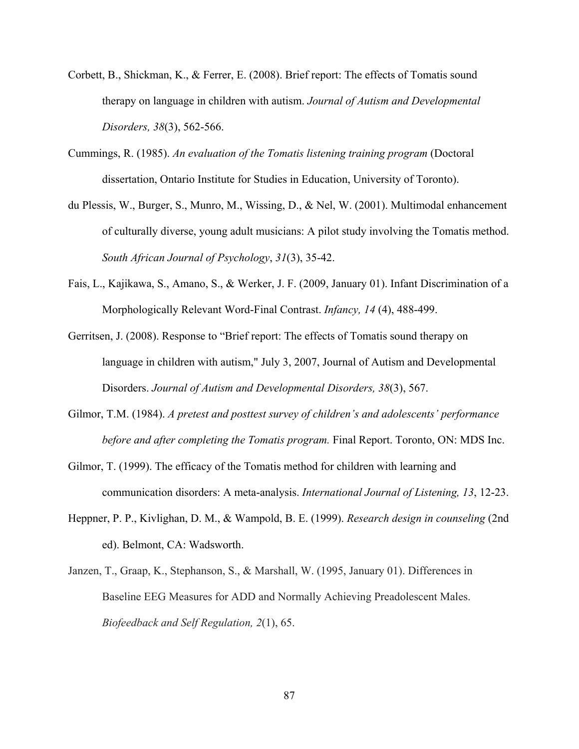- Corbett, B., Shickman, K., & Ferrer, E. (2008). Brief report: The effects of Tomatis sound therapy on language in children with autism. *Journal of Autism and Developmental Disorders, 38*(3), 562-566.
- Cummings, R. (1985). *An evaluation of the Tomatis listening training program* (Doctoral dissertation, Ontario Institute for Studies in Education, University of Toronto).
- du Plessis, W., Burger, S., Munro, M., Wissing, D., & Nel, W. (2001). Multimodal enhancement of culturally diverse, young adult musicians: A pilot study involving the Tomatis method. *South African Journal of Psychology*, *31*(3), 35-42.
- Fais, L., Kajikawa, S., Amano, S., & Werker, J. F. (2009, January 01). Infant Discrimination of a Morphologically Relevant Word-Final Contrast. *Infancy, 14* (4), 488-499.
- Gerritsen, J. (2008). Response to "Brief report: The effects of Tomatis sound therapy on language in children with autism," July 3, 2007, Journal of Autism and Developmental Disorders. *Journal of Autism and Developmental Disorders, 38*(3), 567.
- Gilmor, T.M. (1984). *A pretest and posttest survey of children's and adolescents' performance before and after completing the Tomatis program.* Final Report. Toronto, ON: MDS Inc.
- Gilmor, T. (1999). The efficacy of the Tomatis method for children with learning and communication disorders: A meta-analysis. *International Journal of Listening, 13*, 12-23.
- Heppner, P. P., Kivlighan, D. M., & Wampold, B. E. (1999). *Research design in counseling* (2nd ed). Belmont, CA: Wadsworth.
- Janzen, T., Graap, K., Stephanson, S., & Marshall, W. (1995, January 01). Differences in Baseline EEG Measures for ADD and Normally Achieving Preadolescent Males. *Biofeedback and Self Regulation, 2*(1), 65.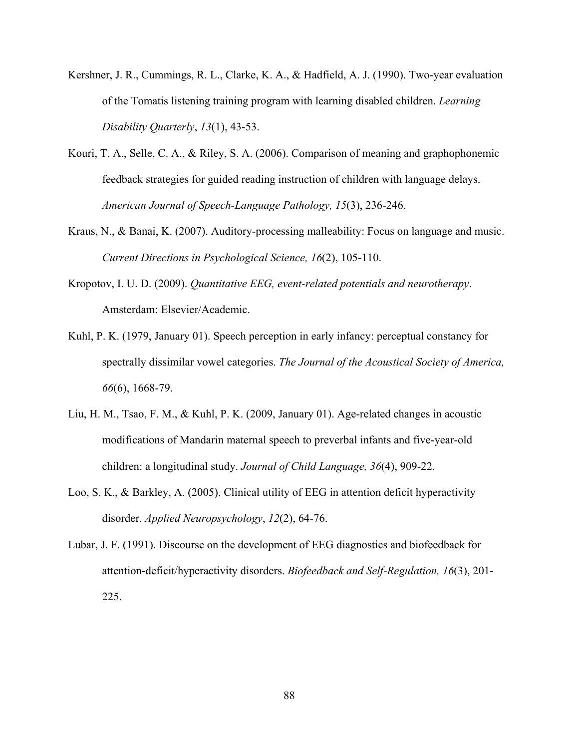- Kershner, J. R., Cummings, R. L., Clarke, K. A., & Hadfield, A. J. (1990). Two-year evaluation of the Tomatis listening training program with learning disabled children. *Learning Disability Quarterly*, *13*(1), 43-53.
- Kouri, T. A., Selle, C. A., & Riley, S. A. (2006). Comparison of meaning and graphophonemic feedback strategies for guided reading instruction of children with language delays. *American Journal of Speech-Language Pathology, 15*(3), 236-246.
- Kraus, N., & Banai, K. (2007). Auditory-processing malleability: Focus on language and music. *Current Directions in Psychological Science, 16*(2), 105-110.
- Kropotov, I. U. D. (2009). *Quantitative EEG, event-related potentials and neurotherapy*. Amsterdam: Elsevier/Academic.
- Kuhl, P. K. (1979, January 01). Speech perception in early infancy: perceptual constancy for spectrally dissimilar vowel categories. *The Journal of the Acoustical Society of America, 66*(6), 1668-79.
- Liu, H. M., Tsao, F. M., & Kuhl, P. K. (2009, January 01). Age-related changes in acoustic modifications of Mandarin maternal speech to preverbal infants and five-year-old children: a longitudinal study. *Journal of Child Language, 36*(4), 909-22.
- Loo, S. K., & Barkley, A. (2005). Clinical utility of EEG in attention deficit hyperactivity disorder. *Applied Neuropsychology*, *12*(2), 64-76.
- Lubar, J. F. (1991). Discourse on the development of EEG diagnostics and biofeedback for attention-deficit/hyperactivity disorders. *Biofeedback and Self-Regulation, 16*(3), 201- 225.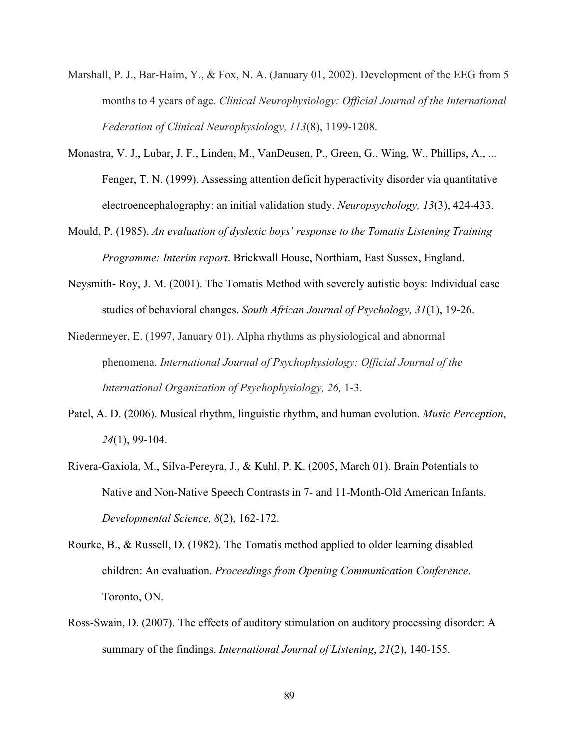- Marshall, P. J., Bar-Haim, Y., & Fox, N. A. (January 01, 2002). Development of the EEG from 5 months to 4 years of age. *Clinical Neurophysiology: Official Journal of the International Federation of Clinical Neurophysiology, 113*(8), 1199-1208.
- Monastra, V. J., Lubar, J. F., Linden, M., VanDeusen, P., Green, G., Wing, W., Phillips, A., ... Fenger, T. N. (1999). Assessing attention deficit hyperactivity disorder via quantitative electroencephalography: an initial validation study. *Neuropsychology, 13*(3), 424-433.
- Mould, P. (1985). *An evaluation of dyslexic boys' response to the Tomatis Listening Training Programme: Interim report*. Brickwall House, Northiam, East Sussex, England.
- Neysmith- Roy, J. M. (2001). The Tomatis Method with severely autistic boys: Individual case studies of behavioral changes. *South African Journal of Psychology, 31*(1), 19-26.
- Niedermeyer, E. (1997, January 01). Alpha rhythms as physiological and abnormal phenomena. *International Journal of Psychophysiology: Official Journal of the International Organization of Psychophysiology, 26,* 1-3.
- Patel, A. D. (2006). Musical rhythm, linguistic rhythm, and human evolution. *Music Perception*, *24*(1), 99-104.
- Rivera-Gaxiola, M., Silva-Pereyra, J., & Kuhl, P. K. (2005, March 01). Brain Potentials to Native and Non-Native Speech Contrasts in 7- and 11-Month-Old American Infants. *Developmental Science, 8*(2), 162-172.
- Rourke, B., & Russell, D. (1982). The Tomatis method applied to older learning disabled children: An evaluation. *Proceedings from Opening Communication Conference*. Toronto, ON.
- Ross-Swain, D. (2007). The effects of auditory stimulation on auditory processing disorder: A summary of the findings. *International Journal of Listening*, *21*(2), 140-155.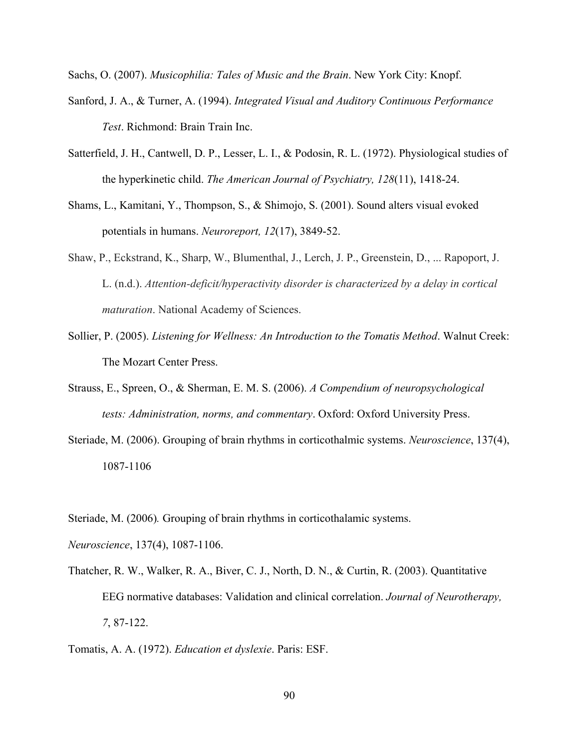Sachs, O. (2007). *Musicophilia: Tales of Music and the Brain*. New York City: Knopf.

- Sanford, J. A., & Turner, A. (1994). *Integrated Visual and Auditory Continuous Performance Test*. Richmond: Brain Train Inc.
- Satterfield, J. H., Cantwell, D. P., Lesser, L. I., & Podosin, R. L. (1972). Physiological studies of the hyperkinetic child. *The American Journal of Psychiatry, 128*(11), 1418-24.
- Shams, L., Kamitani, Y., Thompson, S., & Shimojo, S. (2001). Sound alters visual evoked potentials in humans. *Neuroreport, 12*(17), 3849-52.
- Shaw, P., Eckstrand, K., Sharp, W., Blumenthal, J., Lerch, J. P., Greenstein, D., ... Rapoport, J. L. (n.d.). *Attention-deficit/hyperactivity disorder is characterized by a delay in cortical maturation*. National Academy of Sciences.
- Sollier, P. (2005). *Listening for Wellness: An Introduction to the Tomatis Method*. Walnut Creek: The Mozart Center Press.
- Strauss, E., Spreen, O., & Sherman, E. M. S. (2006). *A Compendium of neuropsychological tests: Administration, norms, and commentary*. Oxford: Oxford University Press.
- Steriade, M. (2006). Grouping of brain rhythms in corticothalmic systems. *Neuroscience*, 137(4), 1087-1106
- Steriade, M. (2006)*.* Grouping of brain rhythms in corticothalamic systems.
- *Neuroscience*, 137(4), 1087-1106.
- Thatcher, R. W., Walker, R. A., Biver, C. J., North, D. N., & Curtin, R. (2003). Quantitative EEG normative databases: Validation and clinical correlation. *Journal of Neurotherapy, 7*, 87-122.
- Tomatis, A. A. (1972). *Education et dyslexie*. Paris: ESF.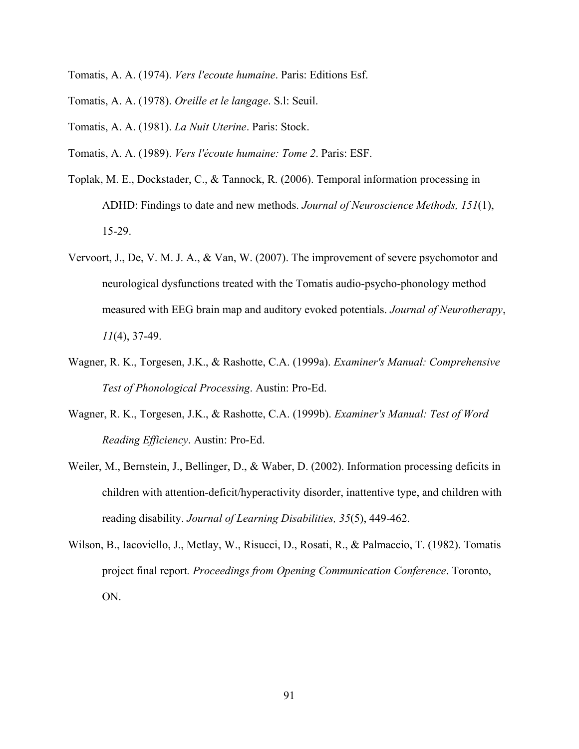- Tomatis, A. A. (1974). *Vers l'ecoute humaine*. Paris: Editions Esf.
- Tomatis, A. A. (1978). *Oreille et le langage*. S.l: Seuil.
- Tomatis, A. A. (1981). *La Nuit Uterine*. Paris: Stock.
- Tomatis, A. A. (1989). *Vers l'écoute humaine: Tome 2*. Paris: ESF.
- Toplak, M. E., Dockstader, C., & Tannock, R. (2006). Temporal information processing in ADHD: Findings to date and new methods. *Journal of Neuroscience Methods, 151*(1), 15-29.
- Vervoort, J., De, V. M. J. A., & Van, W. (2007). The improvement of severe psychomotor and neurological dysfunctions treated with the Tomatis audio-psycho-phonology method measured with EEG brain map and auditory evoked potentials. *Journal of Neurotherapy*, *11*(4), 37-49.
- Wagner, R. K., Torgesen, J.K., & Rashotte, C.A. (1999a). *Examiner's Manual: Comprehensive Test of Phonological Processing*. Austin: Pro-Ed.
- Wagner, R. K., Torgesen, J.K., & Rashotte, C.A. (1999b). *Examiner's Manual: Test of Word Reading Efficiency*. Austin: Pro-Ed.
- Weiler, M., Bernstein, J., Bellinger, D., & Waber, D. (2002). Information processing deficits in children with attention-deficit/hyperactivity disorder, inattentive type, and children with reading disability. *Journal of Learning Disabilities, 35*(5), 449-462.
- Wilson, B., Iacoviello, J., Metlay, W., Risucci, D., Rosati, R., & Palmaccio, T. (1982). Tomatis project final report*. Proceedings from Opening Communication Conference*. Toronto, ON.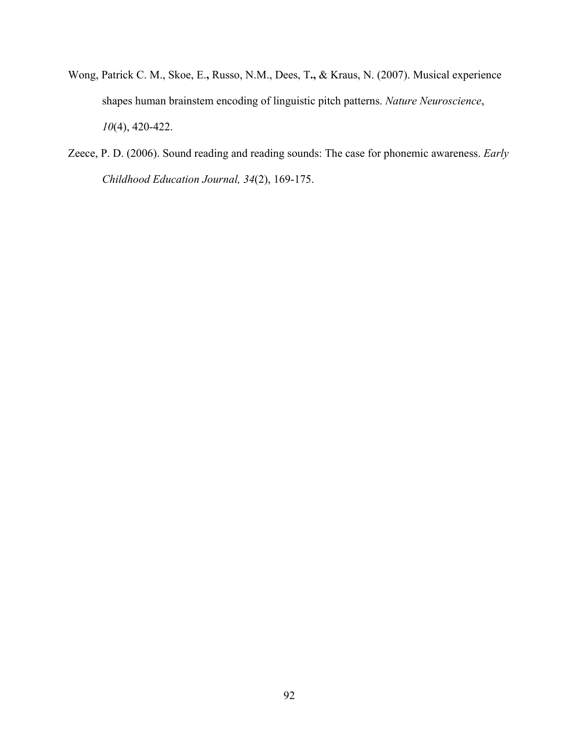- Wong, Patrick C. M., Skoe, E.**,** Russo, N.M., Dees, T**.,** & Kraus, N. (2007). Musical experience shapes human brainstem encoding of linguistic pitch patterns. *Nature Neuroscience*, *10*(4), 420-422.
- Zeece, P. D. (2006). Sound reading and reading sounds: The case for phonemic awareness. *Early Childhood Education Journal, 34*(2), 169-175.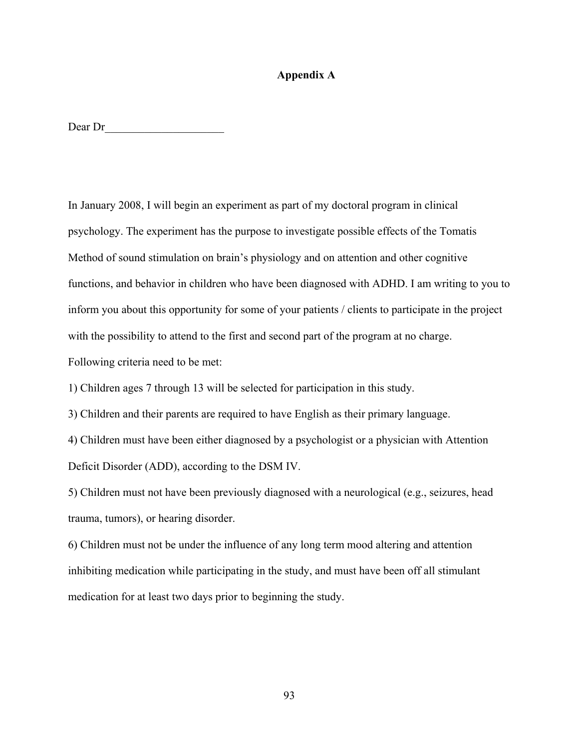## **Appendix A**

Dear Dr

In January 2008, I will begin an experiment as part of my doctoral program in clinical psychology. The experiment has the purpose to investigate possible effects of the Tomatis Method of sound stimulation on brain's physiology and on attention and other cognitive functions, and behavior in children who have been diagnosed with ADHD. I am writing to you to inform you about this opportunity for some of your patients / clients to participate in the project with the possibility to attend to the first and second part of the program at no charge. Following criteria need to be met:

1) Children ages 7 through 13 will be selected for participation in this study.

3) Children and their parents are required to have English as their primary language.

4) Children must have been either diagnosed by a psychologist or a physician with Attention Deficit Disorder (ADD), according to the DSM IV.

5) Children must not have been previously diagnosed with a neurological (e.g., seizures, head trauma, tumors), or hearing disorder.

6) Children must not be under the influence of any long term mood altering and attention inhibiting medication while participating in the study, and must have been off all stimulant medication for at least two days prior to beginning the study.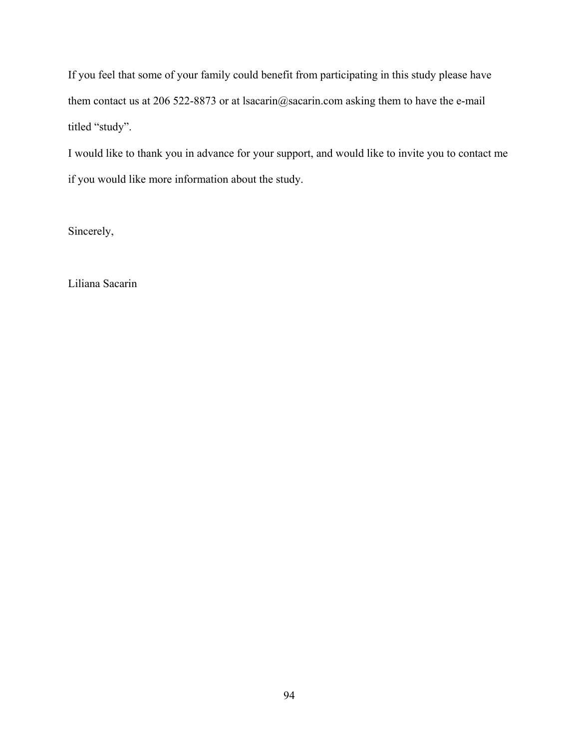If you feel that some of your family could benefit from participating in this study please have them contact us at 206 522-8873 or at lsacarin@sacarin.com asking them to have the e-mail titled "study".

I would like to thank you in advance for your support, and would like to invite you to contact me if you would like more information about the study.

Sincerely,

Liliana Sacarin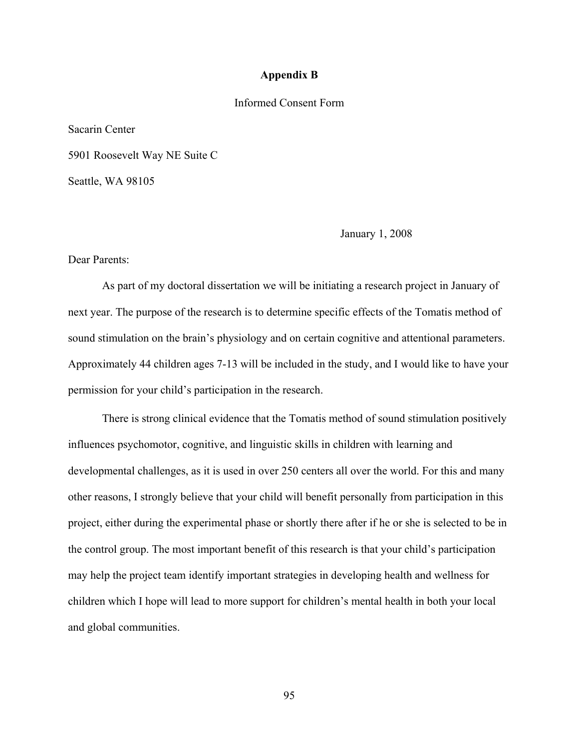#### **Appendix B**

## Informed Consent Form

Sacarin Center

5901 Roosevelt Way NE Suite C

Seattle, WA 98105

January 1, 2008

Dear Parents:

As part of my doctoral dissertation we will be initiating a research project in January of next year. The purpose of the research is to determine specific effects of the Tomatis method of sound stimulation on the brain's physiology and on certain cognitive and attentional parameters. Approximately 44 children ages 7-13 will be included in the study, and I would like to have your permission for your child's participation in the research.

There is strong clinical evidence that the Tomatis method of sound stimulation positively influences psychomotor, cognitive, and linguistic skills in children with learning and developmental challenges, as it is used in over 250 centers all over the world. For this and many other reasons, I strongly believe that your child will benefit personally from participation in this project, either during the experimental phase or shortly there after if he or she is selected to be in the control group. The most important benefit of this research is that your child's participation may help the project team identify important strategies in developing health and wellness for children which I hope will lead to more support for children's mental health in both your local and global communities.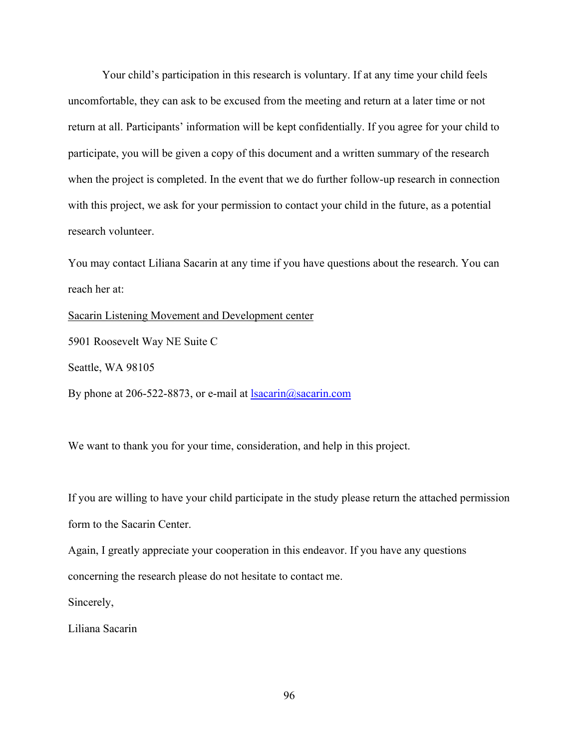Your child's participation in this research is voluntary. If at any time your child feels uncomfortable, they can ask to be excused from the meeting and return at a later time or not return at all. Participants' information will be kept confidentially. If you agree for your child to participate, you will be given a copy of this document and a written summary of the research when the project is completed. In the event that we do further follow-up research in connection with this project, we ask for your permission to contact your child in the future, as a potential research volunteer.

You may contact Liliana Sacarin at any time if you have questions about the research. You can reach her at:

Sacarin Listening Movement and Development center

5901 Roosevelt Way NE Suite C

Seattle, WA 98105

By phone at 206-522-8873, or e-mail at  $\frac{\text{Isacarin}}{\text{asacarin}}$ .com

We want to thank you for your time, consideration, and help in this project.

If you are willing to have your child participate in the study please return the attached permission form to the Sacarin Center.

Again, I greatly appreciate your cooperation in this endeavor. If you have any questions concerning the research please do not hesitate to contact me.

Sincerely,

Liliana Sacarin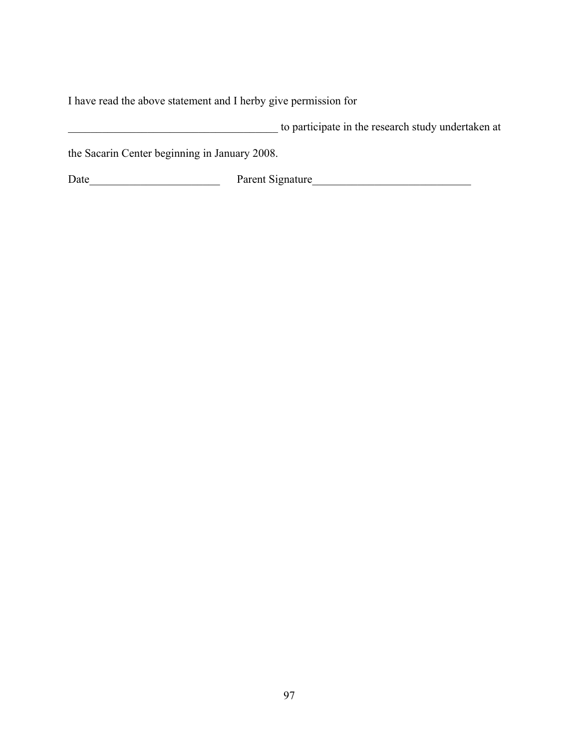I have read the above statement and I herby give permission for

\_\_\_\_\_\_\_\_\_\_\_\_\_\_\_\_\_\_\_\_\_\_\_\_\_\_\_\_\_\_\_\_\_\_\_\_\_ to participate in the research study undertaken at

the Sacarin Center beginning in January 2008.

Date\_\_\_\_\_\_\_\_\_\_\_\_\_\_\_\_\_\_\_\_\_\_\_ Parent Signature\_\_\_\_\_\_\_\_\_\_\_\_\_\_\_\_\_\_\_\_\_\_\_\_\_\_\_\_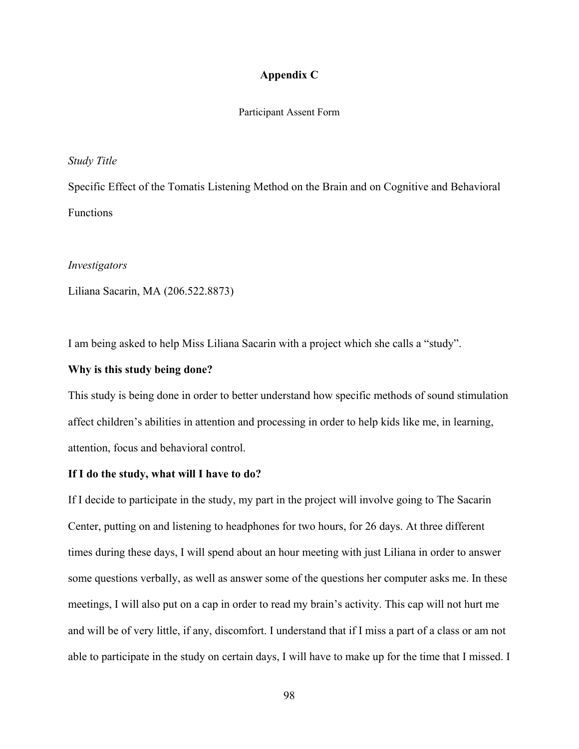### **Appendix C**

#### Participant Assent Form

### *Study Title*

Specific Effect of the Tomatis Listening Method on the Brain and on Cognitive and Behavioral Functions

#### *Investigators*

Liliana Sacarin, MA (206.522.8873)

I am being asked to help Miss Liliana Sacarin with a project which she calls a "study".

### **Why is this study being done?**

This study is being done in order to better understand how specific methods of sound stimulation affect children's abilities in attention and processing in order to help kids like me, in learning, attention, focus and behavioral control.

### **If I do the study, what will I have to do?**

If I decide to participate in the study, my part in the project will involve going to The Sacarin Center, putting on and listening to headphones for two hours, for 26 days. At three different times during these days, I will spend about an hour meeting with just Liliana in order to answer some questions verbally, as well as answer some of the questions her computer asks me. In these meetings, I will also put on a cap in order to read my brain's activity. This cap will not hurt me and will be of very little, if any, discomfort. I understand that if I miss a part of a class or am not able to participate in the study on certain days, I will have to make up for the time that I missed. I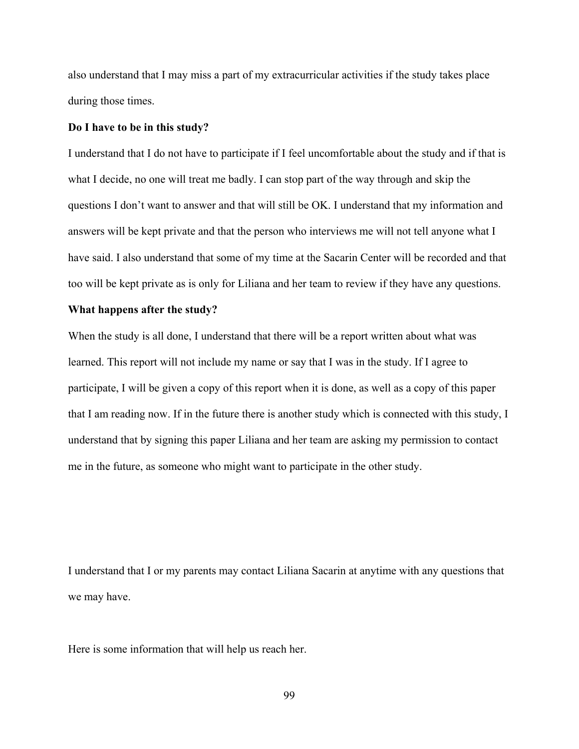also understand that I may miss a part of my extracurricular activities if the study takes place during those times.

#### **Do I have to be in this study?**

I understand that I do not have to participate if I feel uncomfortable about the study and if that is what I decide, no one will treat me badly. I can stop part of the way through and skip the questions I don't want to answer and that will still be OK. I understand that my information and answers will be kept private and that the person who interviews me will not tell anyone what I have said. I also understand that some of my time at the Sacarin Center will be recorded and that too will be kept private as is only for Liliana and her team to review if they have any questions.

### **What happens after the study?**

When the study is all done, I understand that there will be a report written about what was learned. This report will not include my name or say that I was in the study. If I agree to participate, I will be given a copy of this report when it is done, as well as a copy of this paper that I am reading now. If in the future there is another study which is connected with this study, I understand that by signing this paper Liliana and her team are asking my permission to contact me in the future, as someone who might want to participate in the other study.

I understand that I or my parents may contact Liliana Sacarin at anytime with any questions that we may have.

Here is some information that will help us reach her.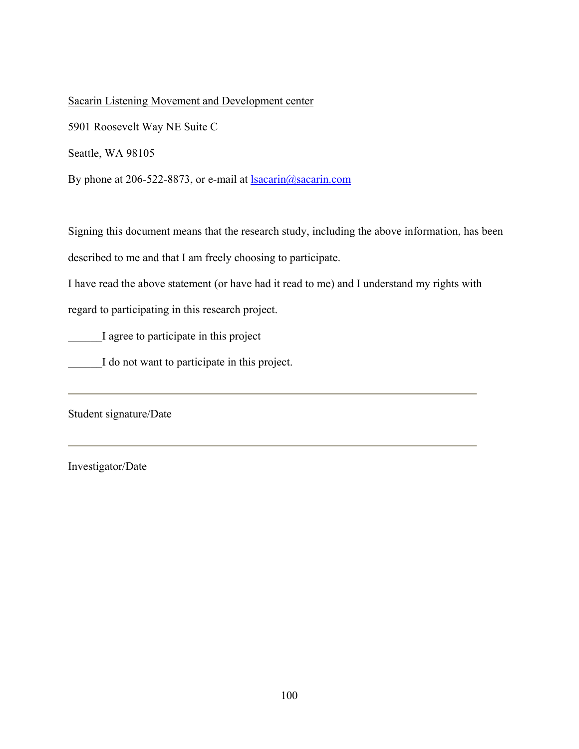Sacarin Listening Movement and Development center

5901 Roosevelt Way NE Suite C

Seattle, WA 98105

By phone at 206-522-8873, or e-mail at  $\frac{1}{s}$  sacarin.com

Signing this document means that the research study, including the above information, has been described to me and that I am freely choosing to participate.

I have read the above statement (or have had it read to me) and I understand my rights with

regard to participating in this research project.

\_\_\_\_\_\_I agree to participate in this project

\_\_\_\_\_\_I do not want to participate in this project.

Student signature/Date

Investigator/Date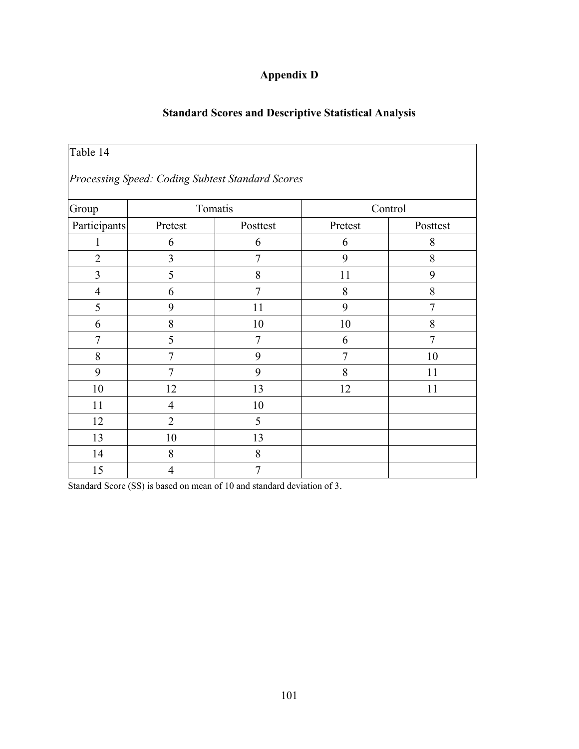# **Appendix D**

|  | <b>Standard Scores and Descriptive Statistical Analysis</b> |  |
|--|-------------------------------------------------------------|--|
|  |                                                             |  |

| Table 14       |                                                  |                |                |                |
|----------------|--------------------------------------------------|----------------|----------------|----------------|
|                | Processing Speed: Coding Subtest Standard Scores |                |                |                |
| Group          |                                                  | Tomatis        |                | Control        |
| Participants   | Pretest                                          | Posttest       | Pretest        | Posttest       |
| 1              | 6                                                | 6              | 6              | 8              |
| $\overline{2}$ | $\mathfrak{Z}$                                   | $\overline{7}$ | 9              | 8              |
| 3              | 5                                                | $\,$ 8 $\,$    | 11             | 9              |
| $\overline{4}$ | 6                                                | $\overline{7}$ | 8              | 8              |
| 5              | 9                                                | 11             | 9              | $\overline{7}$ |
| 6              | 8                                                | 10             | 10             | 8              |
| $\tau$         | 5                                                | 7              | 6              | $\overline{7}$ |
| 8              | $\tau$                                           | 9              | $\overline{7}$ | 10             |
| 9              | $\overline{7}$                                   | 9              | 8              | 11             |
| 10             | 12                                               | 13             | 12             | 11             |
| 11             | $\overline{4}$                                   | 10             |                |                |
| 12             | $\overline{2}$                                   | 5              |                |                |
| 13             | 10                                               | 13             |                |                |
| 14             | 8                                                | 8              |                |                |
| 15             | $\overline{4}$                                   | $\overline{7}$ |                |                |

Standard Score (SS) is based on mean of 10 and standard deviation of 3.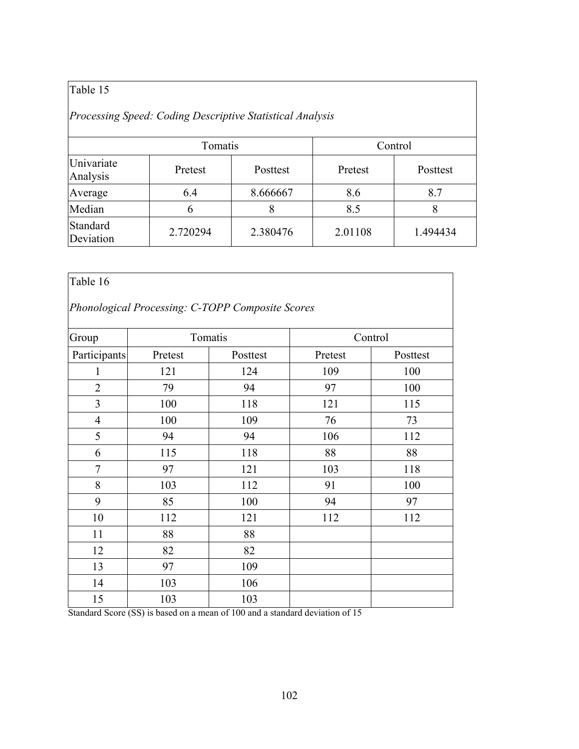| Table 15                                                  |          |          |         |          |  |  |  |  |
|-----------------------------------------------------------|----------|----------|---------|----------|--|--|--|--|
| Processing Speed: Coding Descriptive Statistical Analysis |          |          |         |          |  |  |  |  |
| Tomatis<br>Control                                        |          |          |         |          |  |  |  |  |
| Univariate<br>Analysis                                    | Pretest  | Posttest | Pretest | Posttest |  |  |  |  |
| Average                                                   | 6.4      | 8.666667 | 8.6     | 8.7      |  |  |  |  |
| Median                                                    | 6        | 8        | 8.5     | 8        |  |  |  |  |
| Standard<br>Deviation                                     | 2.720294 | 2.380476 | 2.01108 | 1.494434 |  |  |  |  |

| Table 16       |                                                  |          |         |          |  |  |  |  |  |
|----------------|--------------------------------------------------|----------|---------|----------|--|--|--|--|--|
|                | Phonological Processing: C-TOPP Composite Scores |          |         |          |  |  |  |  |  |
| Group          |                                                  | Tomatis  |         | Control  |  |  |  |  |  |
| Participants   | Pretest                                          | Posttest | Pretest | Posttest |  |  |  |  |  |
| 1              | 121                                              | 124      | 109     | 100      |  |  |  |  |  |
| $\overline{2}$ | 79                                               | 94       | 97      | 100      |  |  |  |  |  |
| 3              | 100                                              | 118      | 121     | 115      |  |  |  |  |  |
| $\overline{4}$ | 100                                              | 109      | 76      | 73       |  |  |  |  |  |
| 5              | 94                                               | 94       | 106     | 112      |  |  |  |  |  |
| 6              | 115                                              | 118      | 88      | 88       |  |  |  |  |  |
| $\overline{7}$ | 97                                               | 121      | 103     | 118      |  |  |  |  |  |
| 8              | 103                                              | 112      | 91      | 100      |  |  |  |  |  |
| 9              | 85                                               | 100      | 94      | 97       |  |  |  |  |  |
| 10             | 112                                              | 121      | 112     | 112      |  |  |  |  |  |
| 11             | 88                                               | 88       |         |          |  |  |  |  |  |
| 12             | 82                                               | 82       |         |          |  |  |  |  |  |
| 13             | 97                                               | 109      |         |          |  |  |  |  |  |
| 14             | 103                                              | 106      |         |          |  |  |  |  |  |
| 15             | 103                                              | 103      |         |          |  |  |  |  |  |

Standard Score (SS) is based on a mean of 100 and a standard deviation of 15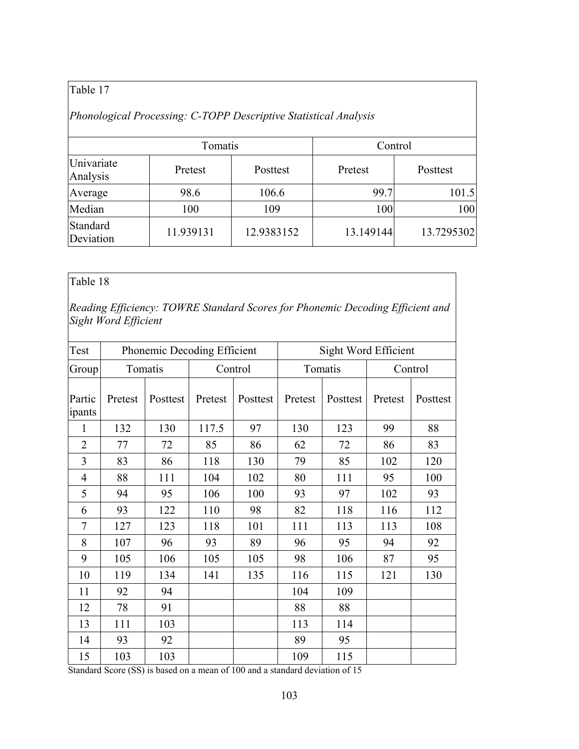| Table 17                                                         |           |            |           |            |  |  |  |
|------------------------------------------------------------------|-----------|------------|-----------|------------|--|--|--|
| Phonological Processing: C-TOPP Descriptive Statistical Analysis |           |            |           |            |  |  |  |
| Tomatis<br>Control                                               |           |            |           |            |  |  |  |
| Univariate<br>Analysis                                           | Pretest   | Posttest   | Pretest   | Posttest   |  |  |  |
| Average                                                          | 98.6      | 106.6      | 99.7      | 101.5      |  |  |  |
| Median                                                           | 100       | 109        | 100       | 100        |  |  |  |
| Standard<br>Deviation                                            | 11.939131 | 12.9383152 | 13.149144 | 13.7295302 |  |  |  |

*Reading Efficiency: TOWRE Standard Scores for Phonemic Decoding Efficient and Sight Word Efficient* 

| Test             |         | Phonemic Decoding Efficient |         |          | Sight Word Efficient |          |         |          |  |
|------------------|---------|-----------------------------|---------|----------|----------------------|----------|---------|----------|--|
| Group            |         | Tomatis                     |         | Control  |                      | Tomatis  |         | Control  |  |
| Partic<br>ipants | Pretest | Posttest                    | Pretest | Posttest | Pretest              | Posttest | Pretest | Posttest |  |
| 1                | 132     | 130                         | 117.5   | 97       | 130                  | 123      | 99      | 88       |  |
| $\overline{2}$   | 77      | 72                          | 85      | 86       | 62                   | 72       | 86      | 83       |  |
| 3                | 83      | 86                          | 118     | 130      | 79                   | 85       | 102     | 120      |  |
| 4                | 88      | 111                         | 104     | 102      | 80                   | 111      | 95      | 100      |  |
| 5                | 94      | 95                          | 106     | 100      | 93                   | 97       | 102     | 93       |  |
| 6                | 93      | 122                         | 110     | 98       | 82                   | 118      | 116     | 112      |  |
| $\overline{7}$   | 127     | 123                         | 118     | 101      | 111                  | 113      | 113     | 108      |  |
| 8                | 107     | 96                          | 93      | 89       | 96                   | 95       | 94      | 92       |  |
| 9                | 105     | 106                         | 105     | 105      | 98                   | 106      | 87      | 95       |  |
| 10               | 119     | 134                         | 141     | 135      | 116                  | 115      | 121     | 130      |  |
| 11               | 92      | 94                          |         |          | 104                  | 109      |         |          |  |
| 12               | 78      | 91                          |         |          | 88                   | 88       |         |          |  |
| 13               | 111     | 103                         |         |          | 113                  | 114      |         |          |  |
| 14               | 93      | 92                          |         |          | 89                   | 95       |         |          |  |
| 15               | 103     | 103                         |         |          | 109                  | 115      |         |          |  |

Standard Score (SS) is based on a mean of 100 and a standard deviation of 15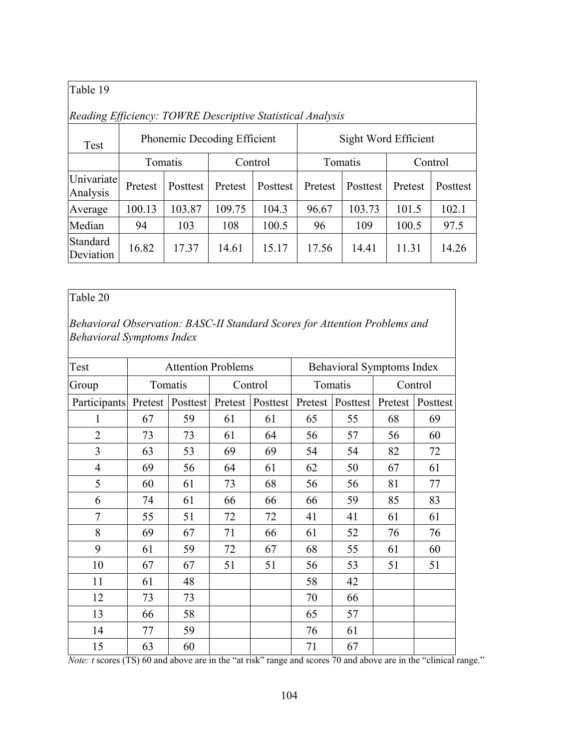| Table 19                                                    |         |          |         |          |                    |          |         |          |  |
|-------------------------------------------------------------|---------|----------|---------|----------|--------------------|----------|---------|----------|--|
| Reading Efficiency: TOWRE Descriptive Statistical Analysis  |         |          |         |          |                    |          |         |          |  |
| Sight Word Efficient<br>Phonemic Decoding Efficient<br>Test |         |          |         |          |                    |          |         |          |  |
|                                                             |         | Tomatis  |         | Control  |                    | Tomatis  | Control |          |  |
| Univariate<br>Analysis                                      | Pretest | Posttest | Pretest | Posttest | Pretest            | Posttest | Pretest | Posttest |  |
| Average                                                     | 100.13  | 103.87   | 109.75  | 104.3    | 96.67              | 103.73   | 101.5   | 102.1    |  |
| Median                                                      | 94      | 103      | 108     | 100.5    | 109<br>100.5<br>96 |          |         | 97.5     |  |
| Standard<br>Deviation                                       | 16.82   | 17.37    | 14.61   | 15.17    | 17.56              | 14.41    | 11.31   | 14.26    |  |

*Behavioral Observation: BASC-II Standard Scores for Attention Problems and Behavioral Symptoms Index* 

| Test           |         | <b>Attention Problems</b> |         |          | Behavioral Symptoms Index |          |         |          |
|----------------|---------|---------------------------|---------|----------|---------------------------|----------|---------|----------|
| Group          |         | Tomatis                   |         | Control  | Tomatis                   |          | Control |          |
| Participants   | Pretest | Posttest                  | Pretest | Posttest | Pretest                   | Posttest | Pretest | Posttest |
| 1              | 67      | 59                        | 61      | 61       | 65                        | 55       | 68      | 69       |
| $\overline{2}$ | 73      | 73                        | 61      | 64       | 56                        | 57       | 56      | 60       |
| 3              | 63      | 53                        | 69      | 69       | 54                        | 54       | 82      | 72       |
| $\overline{4}$ | 69      | 56                        | 64      | 61       | 62                        | 50       | 67      | 61       |
| 5              | 60      | 61                        | 73      | 68       | 56                        | 56       | 81      | 77       |
| 6              | 74      | 61                        | 66      | 66       | 66                        | 59       | 85      | 83       |
| $\overline{7}$ | 55      | 51                        | 72      | 72       | 41                        | 41       | 61      | 61       |
| 8              | 69      | 67                        | 71      | 66       | 61                        | 52       | 76      | 76       |
| 9              | 61      | 59                        | 72      | 67       | 68                        | 55       | 61      | 60       |
| 10             | 67      | 67                        | 51      | 51       | 56                        | 53       | 51      | 51       |
| 11             | 61      | 48                        |         |          | 58                        | 42       |         |          |
| 12             | 73      | 73                        |         |          | 70                        | 66       |         |          |
| 13             | 66      | 58                        |         |          | 65                        | 57       |         |          |
| 14             | 77      | 59                        |         |          | 76                        | 61       |         |          |
| 15             | 63      | 60                        |         |          | 71                        | 67       |         |          |

*Note: t* scores (TS) 60 and above are in the "at risk" range and scores 70 and above are in the "clinical range."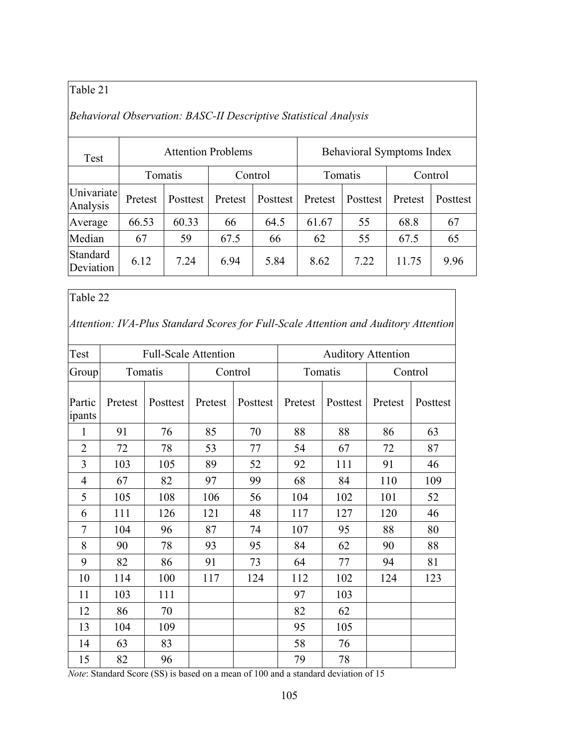### *Behavioral Observation: BASC-II Descriptive Statistical Analysis*

| Test                   |         | <b>Attention Problems</b> |         |          | Behavioral Symptoms Index |          |         |          |  |
|------------------------|---------|---------------------------|---------|----------|---------------------------|----------|---------|----------|--|
|                        |         | Tomatis                   |         | Control  | Tomatis                   |          | Control |          |  |
| Univariate<br>Analysis | Pretest | Posttest                  | Pretest | Posttest | Pretest                   | Posttest | Pretest | Posttest |  |
| Average                | 66.53   | 60.33                     | 66      | 64.5     | 61.67                     | 55       | 68.8    | 67       |  |
| Median                 | 67      | 59                        | 67.5    | 66       | 62                        | 55       | 67.5    | 65       |  |
| Standard<br>Deviation  | 6.12    | 7.24                      | 6.94    | 5.84     | 8.62                      | 7.22     | 11.75   | 9.96     |  |

## Table 22

# *Attention: IVA-Plus Standard Scores for Full-Scale Attention and Auditory Attention*

| Test             |         | <b>Full-Scale Attention</b> |         |          | <b>Auditory Attention</b> |          |         |          |
|------------------|---------|-----------------------------|---------|----------|---------------------------|----------|---------|----------|
| Group            |         | Tomatis                     |         | Control  |                           | Tomatis  | Control |          |
| Partic<br>ipants | Pretest | Posttest                    | Pretest | Posttest | Pretest                   | Posttest | Pretest | Posttest |
| 1                | 91      | 76                          | 85      | 70       | 88                        | 88       | 86      | 63       |
| $\overline{2}$   | 72      | 78                          | 53      | 77       | 54                        | 67       | 72      | 87       |
| 3                | 103     | 105                         | 89      | 52       | 92                        | 111      | 91      | 46       |
| $\overline{4}$   | 67      | 82                          | 97      | 99       | 68                        | 84       | 110     | 109      |
| 5                | 105     | 108                         | 106     | 56       | 104                       | 102      | 101     | 52       |
| 6                | 111     | 126                         | 121     | 48       | 117                       | 127      | 120     | 46       |
| $\tau$           | 104     | 96                          | 87      | 74       | 107                       | 95       | 88      | 80       |
| 8                | 90      | 78                          | 93      | 95       | 84                        | 62       | 90      | 88       |
| 9                | 82      | 86                          | 91      | 73       | 64                        | 77       | 94      | 81       |
| 10               | 114     | 100                         | 117     | 124      | 112                       | 102      | 124     | 123      |
| 11               | 103     | 111                         |         |          | 97                        | 103      |         |          |
| 12               | 86      | 70                          |         |          | 82                        | 62       |         |          |
| 13               | 104     | 109                         |         |          | 95                        | 105      |         |          |
| 14               | 63      | 83                          |         |          | 58                        | 76       |         |          |
| 15               | 82      | 96                          |         |          | 79                        | 78       |         |          |

*Note*: Standard Score (SS) is based on a mean of 100 and a standard deviation of 15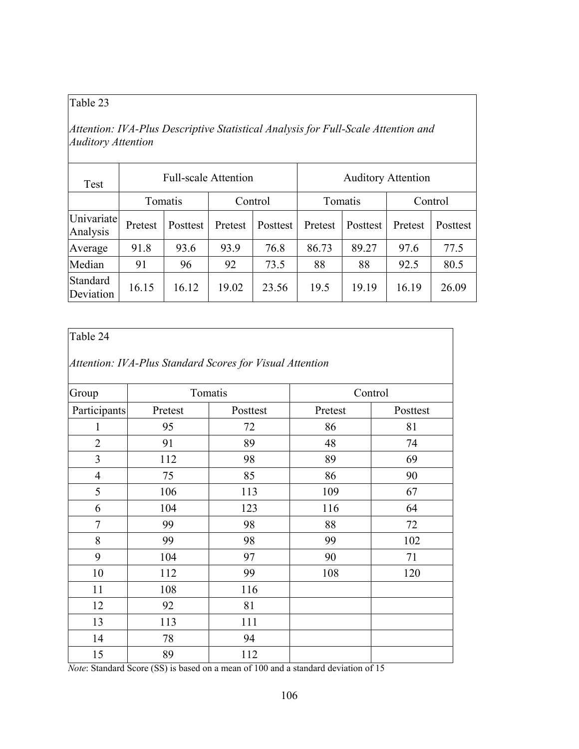### *Attention: IVA-Plus Descriptive Statistical Analysis for Full-Scale Attention and Auditory Attention*

| Test                   |         | <b>Full-scale Attention</b> |         |          | <b>Auditory Attention</b> |          |         |          |
|------------------------|---------|-----------------------------|---------|----------|---------------------------|----------|---------|----------|
|                        |         | Tomatis                     |         | Control  | Tomatis                   |          | Control |          |
| Univariate<br>Analysis | Pretest | Posttest                    | Pretest | Posttest | Pretest                   | Posttest | Pretest | Posttest |
| Average                | 91.8    | 93.6                        | 93.9    | 76.8     | 86.73                     | 89.27    | 97.6    | 77.5     |
| Median                 | 91      | 96                          | 92      | 73.5     | 88                        | 88       | 92.5    | 80.5     |
| Standard<br>Deviation  | 16.15   | 16.12                       | 19.02   | 23.56    | 19.5                      | 19.19    | 16.19   | 26.09    |

| Table 24       |         |                                                          |         |          |
|----------------|---------|----------------------------------------------------------|---------|----------|
|                |         | Attention: IVA-Plus Standard Scores for Visual Attention |         |          |
| Group          |         | Tomatis                                                  |         | Control  |
| Participants   | Pretest | Posttest                                                 | Pretest | Posttest |
|                | 95      | 72                                                       | 86      | 81       |
| $\overline{2}$ | 91      | 89                                                       | 48      | 74       |
| $\overline{3}$ | 112     | 98                                                       | 89      | 69       |
| $\overline{4}$ | 75      | 85                                                       | 86      | 90       |
| 5              | 106     | 113                                                      | 109     | 67       |
| 6              | 104     | 123                                                      | 116     | 64       |
| $\overline{7}$ | 99      | 98                                                       | 88      | 72       |
| 8              | 99      | 98                                                       | 99      | 102      |
| 9              | 104     | 97                                                       | 90      | 71       |
| 10             | 112     | 99                                                       | 108     | 120      |
| 11             | 108     | 116                                                      |         |          |
| 12             | 92      | 81                                                       |         |          |
| 13             | 113     | 111                                                      |         |          |
| 14             | 78      | 94                                                       |         |          |
| 15             | 89      | 112                                                      |         |          |

*Note*: Standard Score (SS) is based on a mean of 100 and a standard deviation of 15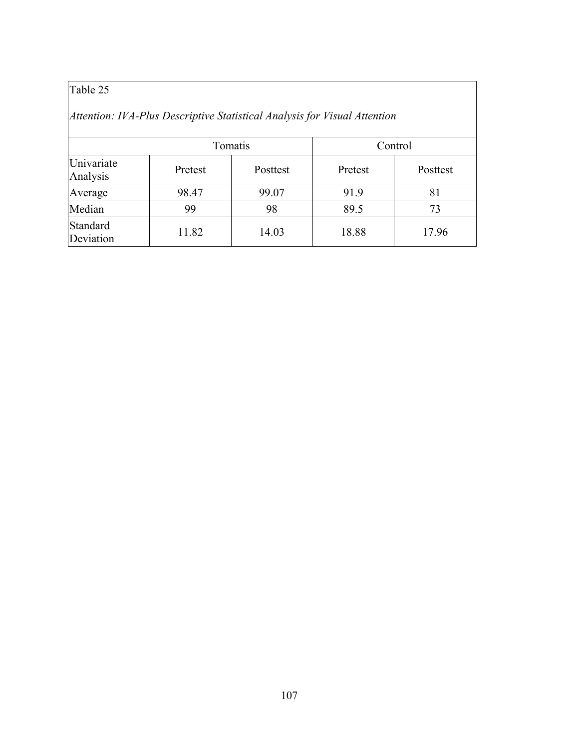| Table 25                                                                  |         |          |         |          |  |  |  |
|---------------------------------------------------------------------------|---------|----------|---------|----------|--|--|--|
| Attention: IVA-Plus Descriptive Statistical Analysis for Visual Attention |         |          |         |          |  |  |  |
| Tomatis                                                                   |         |          | Control |          |  |  |  |
| Univariate<br>Analysis                                                    | Pretest | Posttest | Pretest | Posttest |  |  |  |
| Average                                                                   | 98.47   | 99.07    | 91.9    | 81       |  |  |  |
| Median                                                                    | 99      | 98       | 89.5    | 73       |  |  |  |
| Standard<br>Deviation                                                     | 11.82   | 14.03    | 18.88   | 17.96    |  |  |  |

# 107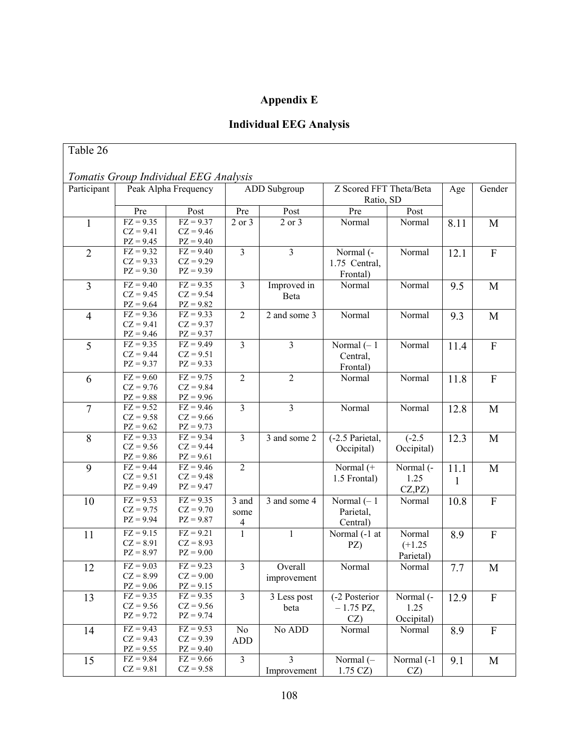# **Appendix E**

|  |  |  | <b>Individual EEG Analysis</b> |  |  |
|--|--|--|--------------------------------|--|--|
|--|--|--|--------------------------------|--|--|

| Table 26                              |                            |                            |                         |                |                                      |            |              |                           |  |
|---------------------------------------|----------------------------|----------------------------|-------------------------|----------------|--------------------------------------|------------|--------------|---------------------------|--|
| Tomatis Group Individual EEG Analysis |                            |                            |                         |                |                                      |            |              |                           |  |
| Participant                           |                            | Peak Alpha Frequency       | ADD Subgroup            |                | Z Scored FFT Theta/Beta<br>Ratio, SD |            | Age          | Gender                    |  |
|                                       | Pre                        | Post                       | Pre                     | Post           | Pre                                  | Post       |              |                           |  |
| $\mathbf{1}$                          | $FZ = 9.35$                | $FZ = 9.37$                | $2$ or $3$              | $2$ or $3$     | Normal                               | Normal     | 8.11         | M                         |  |
|                                       | $CZ = 9.41$                | $CZ = 9.46$                |                         |                |                                      |            |              |                           |  |
|                                       | $PZ = 9.45$                | $PZ = 9.40$                |                         |                |                                      |            |              |                           |  |
| $\overline{2}$                        | $FZ = 9.32$                | $FZ = 9.40$                | $\overline{3}$          | $\overline{3}$ | Normal (-                            | Normal     | 12.1         | $\mathbf{F}$              |  |
|                                       | $CZ = 9.33$                | $CZ = 9.29$                |                         |                | 1.75 Central,                        |            |              |                           |  |
|                                       | $PZ = 9.30$                | $PZ = 9.39$                |                         |                | Frontal)                             |            |              |                           |  |
| $\overline{3}$                        | $FZ = 9.40$                | $FZ = 9.35$                | $\overline{3}$          | Improved in    | Normal                               | Normal     | 9.5          | M                         |  |
|                                       | $CZ = 9.45$                | $CZ = 9.54$                |                         | Beta           |                                      |            |              |                           |  |
|                                       | $PZ = 9.64$                | $PZ = 9.82$                |                         |                |                                      |            |              |                           |  |
| $\overline{4}$                        | $FZ = 9.36$                | $FZ = 9.33$                | $\overline{2}$          | 2 and some 3   | Normal                               | Normal     | 9.3          | M                         |  |
|                                       | $CZ = 9.41$                | $CZ = 9.37$                |                         |                |                                      |            |              |                           |  |
|                                       | $PZ = 9.46$                | $PZ = 9.37$                |                         |                |                                      |            |              |                           |  |
| $\overline{5}$                        | $FZ = 9.35$                | $FZ = 9.49$                | $\overline{3}$          | $\overline{3}$ | Normal $(-1)$                        | Normal     | 11.4         | $\mathbf{F}$              |  |
|                                       | $CZ = 9.44$<br>$PZ = 9.37$ | $CZ = 9.51$<br>$PZ = 9.33$ |                         |                | Central,                             |            |              |                           |  |
|                                       |                            |                            |                         |                | Frontal)                             |            |              |                           |  |
| 6                                     | $FZ = 9.60$                | $FZ = 9.75$                | $\overline{2}$          | $\overline{2}$ | Normal                               | Normal     | 11.8         | $\mathbf{F}$              |  |
|                                       | $CZ = 9.76$                | $CZ = 9.84$                |                         |                |                                      |            |              |                           |  |
|                                       | $PZ = 9.88$                | $PZ = 9.96$                |                         |                |                                      |            |              |                           |  |
| $\overline{7}$                        | $FZ = 9.52$                | $FZ = 9.46$                | $\overline{3}$          | $\overline{3}$ | Normal                               | Normal     | 12.8         | M                         |  |
|                                       | $CZ = 9.58$                | $CZ = 9.66$                |                         |                |                                      |            |              |                           |  |
|                                       | $PZ = 9.62$<br>$FZ = 9.33$ | $PZ = 9.73$<br>$FZ = 9.34$ | $\overline{3}$          |                |                                      |            |              |                           |  |
| 8                                     | $CZ = 9.56$                | $CZ = 9.44$                |                         | 3 and some 2   | $(-2.5 \text{ Partial})$             | $(-2.5)$   | 12.3         | M                         |  |
|                                       | $PZ = 9.86$                | $PZ = 9.61$                |                         |                | Occipital)                           | Occipital) |              |                           |  |
| 9                                     | $FZ = 9.44$                | $FZ = 9.46$                | $\overline{2}$          |                | Normal (+                            | Normal (-  | 11.1         | M                         |  |
|                                       | $CZ = 9.51$                | $CZ = 9.48$                |                         |                | 1.5 Frontal)                         | 1.25       |              |                           |  |
|                                       | $PZ = 9.49$                | $PZ = 9.47$                |                         |                |                                      | CZ, PZ     | $\mathbf{1}$ |                           |  |
| 10                                    | $FZ = 9.53$                | $FZ = 9.35$                | 3 and                   | 3 and some 4   | Normal $(-1)$                        | Normal     | 10.8         | $\boldsymbol{\mathrm{F}}$ |  |
|                                       | $CZ = 9.75$                | $CZ = 9.70$                | some                    |                | Parietal,                            |            |              |                           |  |
|                                       | $PZ = 9.94$                | $PZ = 9.87$                | 4                       |                | Central)                             |            |              |                           |  |
| 11                                    | $FZ = 9.15$                | $FZ = 9.21$                | $\overline{1}$          | $\mathbf{1}$   | Normal (-1 at                        | Normal     | 8.9          | ${\bf F}$                 |  |
|                                       | $CZ = 8.91$                | $CZ = 8.93$                |                         |                | PZ)                                  | $(+1.25)$  |              |                           |  |
|                                       | $PZ = 8.97$                | $PZ = 9.00$                |                         |                |                                      | Parietal)  |              |                           |  |
|                                       | $FZ = 9.03$                | $FZ = 9.23$                | $\overline{3}$          | Overall        | Normal                               | Normal     |              |                           |  |
| 12                                    | $CZ = 8.99$                | $CZ = 9.00$                |                         |                |                                      |            | 7.7          | $\mathbf M$               |  |
|                                       | $PZ = 9.06$                | $PZ = 9.15$                |                         | improvement    |                                      |            |              |                           |  |
| 13                                    | $FZ = 9.35$                | $FZ = 9.35$                | $\overline{\mathbf{3}}$ | 3 Less post    | (-2 Posterior                        | Normal (-  | 12.9         | $\mathbf F$               |  |
|                                       | $CZ = 9.56$                | $CZ = 9.56$                |                         | beta           | $-1.75$ PZ,                          | 1.25       |              |                           |  |
|                                       | $PZ = 9.72$                | $PZ = 9.74$                |                         |                | CZ                                   | Occipital) |              |                           |  |
| 14                                    | $\overline{FZ} = 9.43$     | $FZ = 9.53$                | No                      | No ADD         | Normal                               | Normal     | 8.9          | $\boldsymbol{\mathrm{F}}$ |  |
|                                       | $CZ = 9.43$                | $CZ = 9.39$                | <b>ADD</b>              |                |                                      |            |              |                           |  |
|                                       | $PZ = 9.55$                | $PZ = 9.40$                |                         |                |                                      |            |              |                           |  |
| 15                                    | $FZ = 9.84$                | $FZ = 9.66$                | $\overline{3}$          | $\overline{3}$ | Normal $($                           | Normal (-1 | 9.1          | M                         |  |
|                                       | $CZ = 9.81$                | $CZ = 9.58$                |                         | Improvement    | $1.75\text{ CZ}$                     | CZ         |              |                           |  |